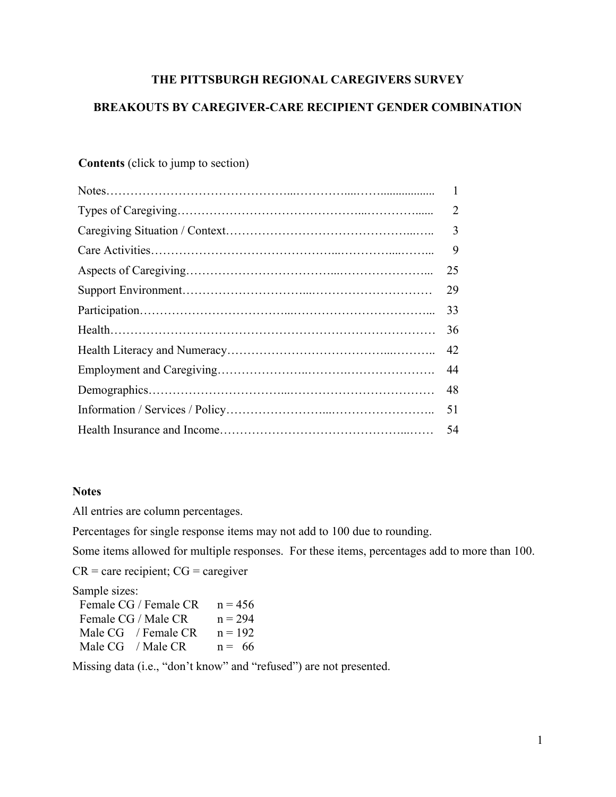## **THE PITTSBURGH REGIONAL CAREGIVERS SURVEY**

## **BREAKOUTS BY CAREGIVER-CARE RECIPIENT GENDER COMBINATION**

# **Contents** (click to jump to section)

| 2  |
|----|
| 3  |
| 9  |
| 25 |
| 29 |
| 33 |
| 36 |
| 42 |
| 44 |
| 48 |
| 51 |
| 54 |
|    |

## **Notes**

All entries are column percentages.

Percentages for single response items may not add to 100 due to rounding.

Some items allowed for multiple responses. For these items, percentages add to more than 100.

 $CR =$  care recipient;  $CG =$  caregiver

Sample sizes:

| Female CG / Female CR   | $n = 456$ |
|-------------------------|-----------|
| Female CG / Male CR     | $n = 294$ |
| Male $CG$ / Female $CR$ | $n = 192$ |
| Male $CG$ / Male $CR$   | $n = 66$  |

Missing data (i.e., "don't know" and "refused") are not presented.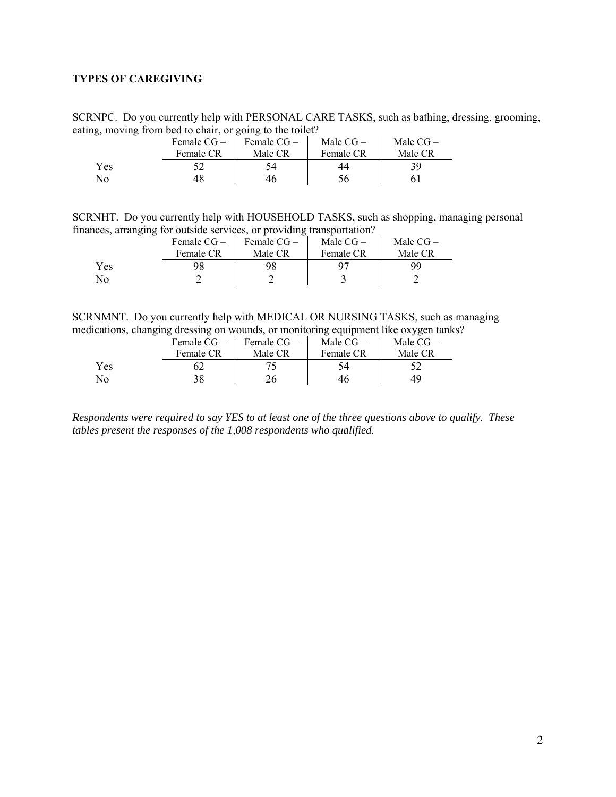## <span id="page-1-0"></span>**TYPES OF CAREGIVING**

SCRNPC. Do you currently help with PERSONAL CARE TASKS, such as bathing, dressing, grooming, eating, moving from bed to chair, or going to the toilet?

|     | Female $CG-$ | Female CG – | Male $CG-$ | Male $CG-$ |
|-----|--------------|-------------|------------|------------|
|     | Female CR    | Male CR     | Female CR  | Male CR    |
| Yes |              |             |            | 39         |
| No  |              |             |            |            |

SCRNHT. Do you currently help with HOUSEHOLD TASKS, such as shopping, managing personal finances, arranging for outside services, or providing transportation?

|     | Female $CG-$ | Female $CG -$ | Male $CG-$ | Male $CG-$ |  |
|-----|--------------|---------------|------------|------------|--|
|     | Female CR    | Male CR       | Female CR  | Male CR    |  |
| Yes |              | 98            |            | 99         |  |
| No  |              |               |            |            |  |

SCRNMNT. Do you currently help with MEDICAL OR NURSING TASKS, such as managing medications, changing dressing on wounds, or monitoring equipment like oxygen tanks?

|     | Female $CG-$ | Female $CG-$ | Male $CG-$ | Male $CG-$ |
|-----|--------------|--------------|------------|------------|
|     | Female CR    | Male CR      | Female CR  | Male CR    |
| Yes |              |              |            |            |
| No  | 38           |              | 46         | 49         |

*Respondents were required to say YES to at least one of the three questions above to qualify. These tables present the responses of the 1,008 respondents who qualified.*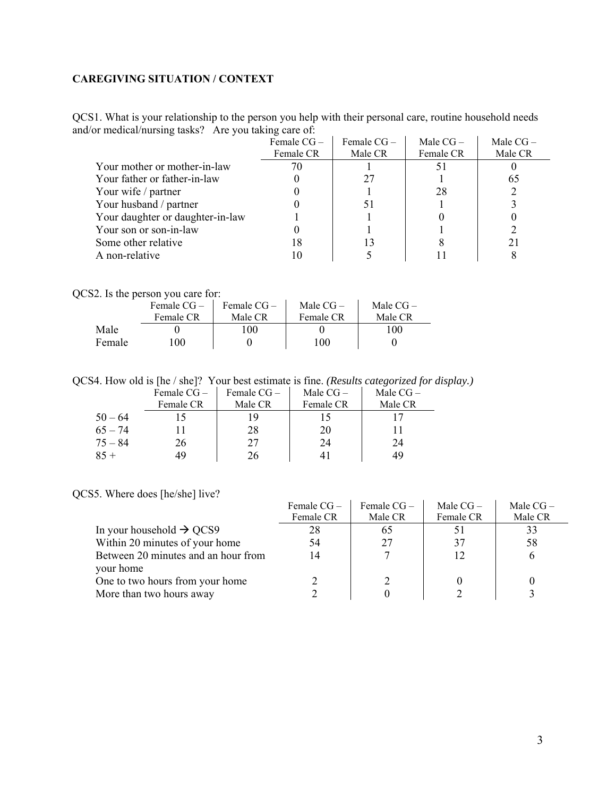## <span id="page-2-0"></span>**CAREGIVING SITUATION / CONTEXT**

QCS1. What is your relationship to the person you help with their personal care, routine household needs and/or medical/nursing tasks? Are you taking care of:

|                                  | Female $CG -$ | Female $CG -$ | Male $CG-$ | Male $CG-$ |
|----------------------------------|---------------|---------------|------------|------------|
|                                  | Female CR     | Male CR       | Female CR  | Male CR    |
| Your mother or mother-in-law     |               |               |            |            |
| Your father or father-in-law     |               | 27            |            | 65         |
| Your wife / partner              |               |               | 28         |            |
| Your husband / partner           |               |               |            |            |
| Your daughter or daughter-in-law |               |               |            |            |
| Your son or son-in-law           |               |               |            |            |
| Some other relative              | 18            |               |            | 21         |
| A non-relative                   |               |               |            |            |

QCS2. Is the person you care for:

|        | Female $CG-$ | Female $CG -$ | Male $CG-$ | Male $CG-$ |
|--------|--------------|---------------|------------|------------|
|        | Female CR    | Male CR       | Female CR  | Male CR    |
| Male   |              | 100           |            | 100        |
| Female | 100          |               | 100.       |            |

QCS4. How old is [he / she]? Your best estimate is fine. *(Results categorized for display.)*

|           | Female $CG -$ | Female $CG -$ | Male $CG-$ | Male $CG-$ |
|-----------|---------------|---------------|------------|------------|
|           | Female CR     | Male CR       | Female CR  | Male CR    |
| $50 - 64$ |               |               |            |            |
| $65 - 74$ |               | 28            | 20         |            |
| $75 - 84$ | 26            | 27            | 24         | 24         |
| $85 +$    |               | 26            |            | 49         |

QCS5. Where does [he/she] live?

|                                      | Female $CG -$ | Female $CG -$ | Male $CG-$ | Male $CG-$ |
|--------------------------------------|---------------|---------------|------------|------------|
|                                      | Female CR     | Male CR       | Female CR  | Male CR    |
| In your household $\rightarrow$ QCS9 | 28            | 65            |            | 33         |
| Within 20 minutes of your home       | 54            | 27            | 37         | 58         |
| Between 20 minutes and an hour from  | 14            |               |            |            |
| your home                            |               |               |            |            |
| One to two hours from your home      |               |               |            |            |
| More than two hours away             |               |               |            |            |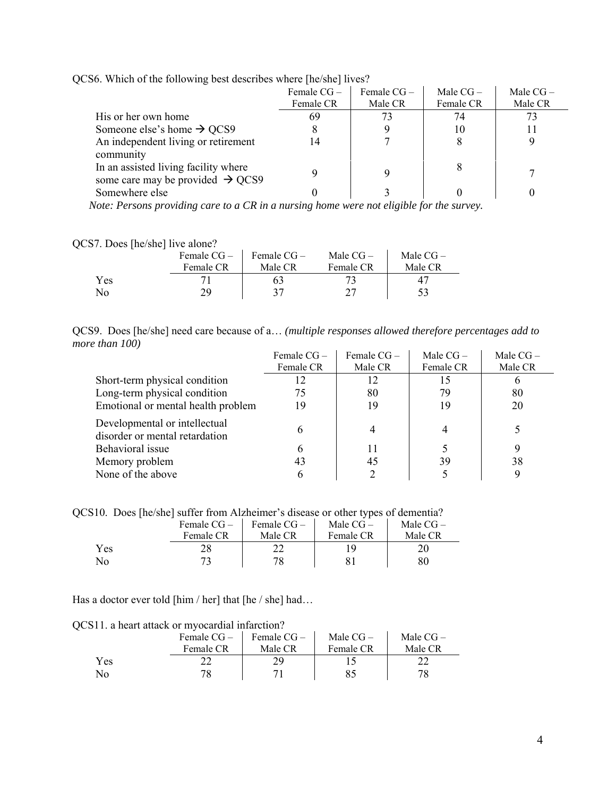|                                              | Female $CG -$ | Female $CG-$ | Male $CG-$ | Male $CG-$ |  |
|----------------------------------------------|---------------|--------------|------------|------------|--|
|                                              | Female CR     | Male CR      | Female CR  | Male CR    |  |
| His or her own home                          | 69            | 73           | 74         | 73         |  |
| Someone else's home $\rightarrow$ QCS9       |               |              | 10         |            |  |
| An independent living or retirement          | 14            |              | 8          |            |  |
| community                                    |               |              |            |            |  |
| In an assisted living facility where         |               |              | 8          |            |  |
| some care may be provided $\rightarrow$ QCS9 |               |              |            |            |  |
| Somewhere else                               |               |              |            |            |  |
|                                              |               |              |            |            |  |

QCS6. Which of the following best describes where [he/she] lives?

 *Note: Persons providing care to a CR in a nursing home were not eligible for the survey.* 

| QCS7. Does [he/she] live alone? |  |  |
|---------------------------------|--|--|
|                                 |  |  |

|     | Female $CG-$ | Female $CG-$ | Male $CG-$ | Male $CG-$ |
|-----|--------------|--------------|------------|------------|
|     | Female CR    | Male CR      | Female CR  | Male CR    |
| Yes |              | 63           |            |            |
| No  | 70           | 27           |            |            |

| QCS9. Does [he/she] need care because of a (multiple responses allowed therefore percentages add to |  |  |  |  |
|-----------------------------------------------------------------------------------------------------|--|--|--|--|
| more than 100)                                                                                      |  |  |  |  |

|                                                                 | Female $CG -$ | Female $CG -$ | Male $CG-$ | Male $CG-$ |
|-----------------------------------------------------------------|---------------|---------------|------------|------------|
|                                                                 | Female CR     | Male CR       | Female CR  | Male CR    |
| Short-term physical condition                                   |               | 12            |            |            |
| Long-term physical condition                                    | 75            | 80            | 79         | 80         |
| Emotional or mental health problem                              | 19            | 19            | 19         | 20         |
| Developmental or intellectual<br>disorder or mental retardation |               |               |            |            |
| Behavioral issue                                                | 6             | 11            |            |            |
| Memory problem                                                  | 43            | 45            | 39         | 38         |
| None of the above                                               |               |               |            |            |

QCS10. Does [he/she] suffer from Alzheimer's disease or other types of dementia?

|     | Female $CG-$ | Female $CG-$ | Male $CG-$ | Male $CG-$ |
|-----|--------------|--------------|------------|------------|
|     | Female CR    | Male CR      | Female CR  | Male CR    |
| Yes |              |              |            |            |
| No  |              | 78           |            | 80         |

Has a doctor ever told [him / her] that [he / she] had...

QCS11. a heart attack or myocardial infarction?

|     | Female $CG-$ | Female $CG-$ | Male $CG-$ | Male $CG-$ |
|-----|--------------|--------------|------------|------------|
|     | Female CR    | Male CR      | Female CR  | Male CR    |
| Yes |              |              |            |            |
| No. |              |              |            | 78         |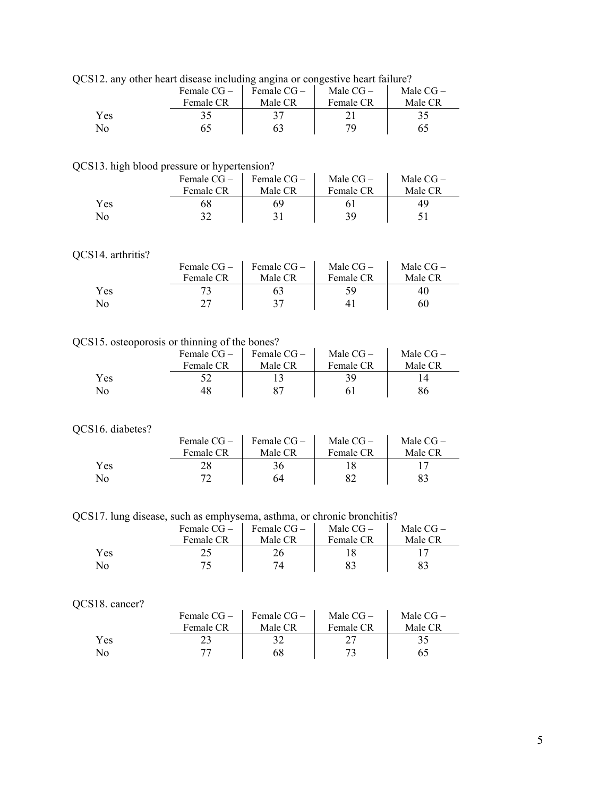| QCS12. any other heart disease including angina or congestive heart failure? |  |
|------------------------------------------------------------------------------|--|
|                                                                              |  |

|     | Female $CG-$ | Female $CG -$ | Male $CG-$ | Male $CG-$ |
|-----|--------------|---------------|------------|------------|
|     | Female CR    | Male CR       | Female CR  | Male CR    |
| Yes |              |               |            |            |
| No  |              |               | 70         |            |

## QCS13. high blood pressure or hypertension?

|     | Female $CG-$ | Female $CG-$ | Male $CG-$ | Male $CG-$ |
|-----|--------------|--------------|------------|------------|
|     | Female CR    | Male CR      | Female CR  | Male CR    |
| Yes | 68           | 69           |            | 49         |
| No  |              |              | 39         |            |

## QCS14. arthritis?

|     | Female $CG-$ | Female $CG -$ | Male $CG-$ | Male $CG-$ |
|-----|--------------|---------------|------------|------------|
|     | Female CR    | Male CR       | Female CR  | Male CR    |
| Yes |              |               |            | 40         |
| No  | רר           |               |            | 60         |

## QCS15. osteoporosis or thinning of the bones?

|     | Female $CG-$ | Female CG- | Male $CG-$ | Male $CG-$ |
|-----|--------------|------------|------------|------------|
|     | Female CR    | Male CR    | Female CR  | Male CR    |
| Yes |              |            |            |            |
| No  |              |            |            | 86         |

## QCS16. diabetes?

| 16. diabetes? |              |            |            |            |
|---------------|--------------|------------|------------|------------|
|               | Female $CG-$ | Female CG- | Male $CG-$ | Male $CG-$ |
|               | Female CR    | Male CR    | Female CR  | Male CR    |
| Yes           |              | 36.        |            |            |
| No            |              | 64         |            |            |

QCS17. lung disease, such as emphysema, asthma, or chronic bronchitis?

|             | Female $CG-$ | Female $CG-$ | Male $CG-$ | Male $CG-$ |
|-------------|--------------|--------------|------------|------------|
|             | Female CR    | Male CR      | Female CR  | Male CR    |
| <b>Yes</b>  |              |              |            |            |
| $\rm N_{O}$ |              |              | 83         |            |

## QCS18. cancer?

|     | Female $CG-$ | Female $CG-$ | Male $CG-$ | Male $CG-$ |
|-----|--------------|--------------|------------|------------|
|     | Female CR    | Male CR      | Female CR  | Male CR    |
| Yes |              |              |            |            |
| No. |              | 68           |            |            |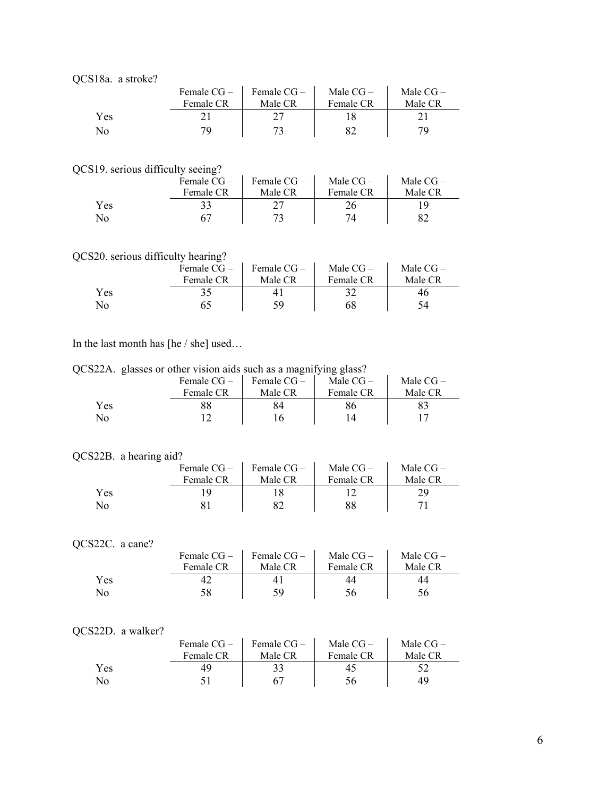|  | QCS18a. a stroke? |
|--|-------------------|
|--|-------------------|

|                | Female $CG-$ | Female $CG-$ | Male $CG-$ | Male $CG-$ |
|----------------|--------------|--------------|------------|------------|
|                | Female CR    | Male CR      | Female CR  | Male CR    |
| Yes            |              |              |            |            |
| N <sub>0</sub> |              |              |            | 79         |

QCS19. serious difficulty seeing?

|     | Female $CG-$ | Female $CG-$ | Male $CG-$ | Male $CG-$ |
|-----|--------------|--------------|------------|------------|
|     | Female CR    | Male CR      | Female CR  | Male CR    |
| Yes |              |              |            |            |
| No  |              |              | 74         |            |

## QCS20. serious difficulty hearing?

|     | Female $CG-$ | Female $CG-$ | Male $CG-$ | Male $CG-$ |
|-----|--------------|--------------|------------|------------|
|     | Female CR    | Male CR      | Female CR  | Male CR    |
| Yes |              |              |            | 46         |
| No. |              | 59           | 68         | 54         |

In the last month has [he / she] used…

QCS22A. glasses or other vision aids such as a magnifying glass?

|     | Female $CG -$ | Female $CG-$ | Male $CG-$ | Male $CG-$ |
|-----|---------------|--------------|------------|------------|
|     | Female CR     | Male CR      | Female CR  | Male CR    |
| Yes |               |              |            |            |
| No  |               |              |            |            |

## QCS22B. a hearing aid?

|     | Female $CG-$ | Female $CG-$ | Male $CG-$ | Male $CG-$ |
|-----|--------------|--------------|------------|------------|
|     | Female CR    | Male CR      | Female CR  | Male CR    |
| Yes |              |              |            | 29         |
| No  |              |              | 88         |            |

## QCS22C. a cane?

|     | Female $CG-$ | Female CG – | Male $CG-$ | Male $CG-$ |
|-----|--------------|-------------|------------|------------|
|     | Female CR    | Male CR     | Female CR  | Male CR    |
| Yes |              |             |            | 44         |
| No  | 58           | 59          |            | 56         |

## QCS22D. a walker?

|     | Female $CG-$ | Female $CG-$ | Male $CG-$ | Male $CG-$ |
|-----|--------------|--------------|------------|------------|
|     | Female CR    | Male CR      | Female CR  | Male CR    |
| Yes | 49           | 33           |            |            |
| No  |              |              | 56         | 49         |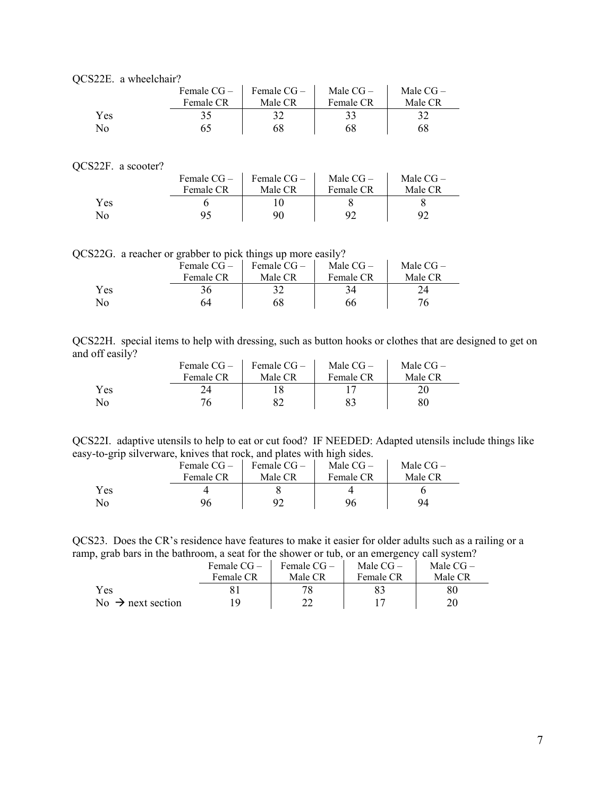|  | OCS22E. a wheelchair? |
|--|-----------------------|
|--|-----------------------|

|     | Female $CG-$ | Female $CG-$ | Male $CG-$ | Male $CG-$ |
|-----|--------------|--------------|------------|------------|
|     | Female CR    | Male CR      | Female CR  | Male CR    |
| Yes |              |              |            |            |
| No  |              | 68           | 68         | 68         |

#### QCS22F. a scooter?

| $221.$ a subtract $\Gamma$ |            |             |            |            |
|----------------------------|------------|-------------|------------|------------|
|                            | Female CG- | Female CG – | Male $CG-$ | Male $CG-$ |
|                            | Female CR  | Male CR     | Female CR  | Male CR    |
| Yes                        |            |             |            |            |
| N <sub>0</sub>             |            | 90          | 92         |            |

QCS22G. a reacher or grabber to pick things up more easily?

|     | Female CG – | Female $CG-$ | Male $CG-$ | Male $CG-$ |
|-----|-------------|--------------|------------|------------|
|     | Female CR   | Male CR      | Female CR  | Male CR    |
| Yes | 36          |              |            | 24         |
| Nо  | 64          | 68           | 66         | 76         |

| QCS22H. special items to help with dressing, such as button hooks or clothes that are designed to get on |  |  |  |  |  |  |  |  |
|----------------------------------------------------------------------------------------------------------|--|--|--|--|--|--|--|--|
| and off easily?                                                                                          |  |  |  |  |  |  |  |  |

|                | Female $CG-$ | Female CG- | Male $CG-$ | Male $CG-$ |
|----------------|--------------|------------|------------|------------|
|                | Female CR    | Male CR    | Female CR  | Male CR    |
| Yes            |              |            |            |            |
| N <sub>0</sub> |              |            |            | 80         |

QCS22I. adaptive utensils to help to eat or cut food? IF NEEDED: Adapted utensils include things like easy-to-grip silverware, knives that rock, and plates with high sides.

|     | Female CG – | Female $CG-$ | Male $CG-$ | Male $CG-$ |  |
|-----|-------------|--------------|------------|------------|--|
|     | Female CR   | Male CR      | Female CR  | Male CR    |  |
| Yes |             |              |            |            |  |
| No  | 96          | 92           | 96         | 94         |  |

QCS23. Does the CR's residence have features to make it easier for older adults such as a railing or a ramp, grab bars in the bathroom, a seat for the shower or tub, or an emergency call system?

|                               | Female $CG-$ | Female $CG-$ | Male $CG-$ | Male $CG-$ |
|-------------------------------|--------------|--------------|------------|------------|
|                               | Female CR    | Male CR      | Female CR  | Male CR    |
| <b>Yes</b>                    |              |              |            | 80         |
| No $\rightarrow$ next section |              |              |            |            |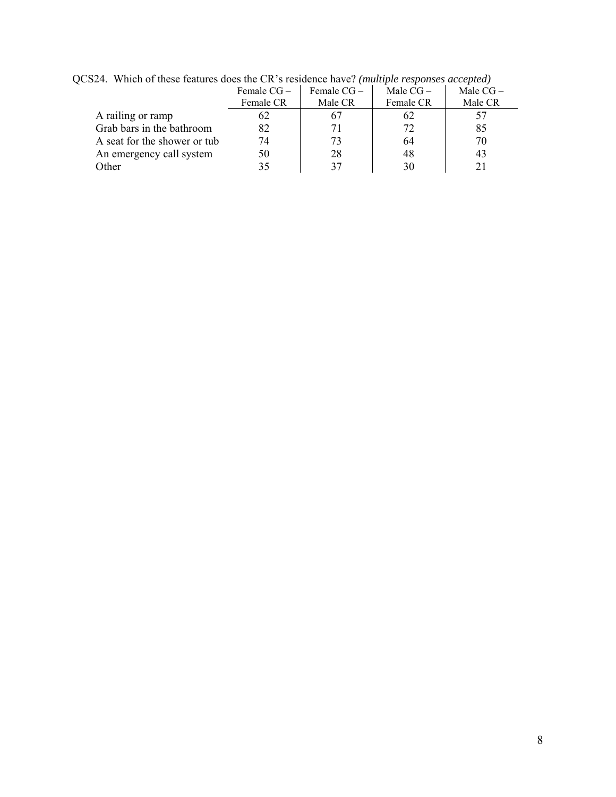|                              | Female $CG-$ | Female $CG-$ | Male $CG-$ | Male $CG-$ |
|------------------------------|--------------|--------------|------------|------------|
|                              | Female CR    | Male CR      | Female CR  | Male CR    |
| A railing or ramp            | 62           |              | 62         |            |
| Grab bars in the bathroom    | 82           |              | 72         | 85         |
| A seat for the shower or tub | 74           |              | 64         | 70         |
| An emergency call system     | 50           | 28           | 48         | 43         |
| Other                        | 35           |              |            |            |

QCS24. Which of these features does the CR's residence have? *(multiple responses accepted)*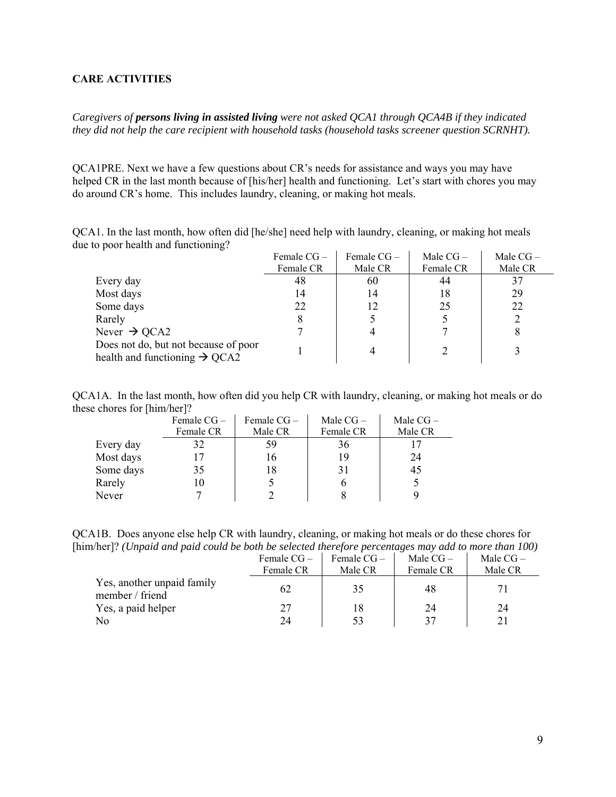### <span id="page-8-0"></span>**CARE ACTIVITIES**

*Caregivers of persons living in assisted living were not asked QCA1 through QCA4B if they indicated they did not help the care recipient with household tasks (household tasks screener question SCRNHT).* 

QCA1PRE. Next we have a few questions about CR's needs for assistance and ways you may have helped CR in the last month because of [his/her] health and functioning. Let's start with chores you may do around CR's home. This includes laundry, cleaning, or making hot meals.

QCA1. In the last month, how often did [he/she] need help with laundry, cleaning, or making hot meals due to poor health and functioning?

|                                                                                   | Female $CG-$ | Female $CG -$ | Male $CG -$ | Male $CG-$ |
|-----------------------------------------------------------------------------------|--------------|---------------|-------------|------------|
|                                                                                   | Female CR    | Male CR       | Female CR   | Male CR    |
| Every day                                                                         | 48           | 60            | 44          |            |
| Most days                                                                         | 14           | 14            | 18          | 29         |
| Some days                                                                         | 22           | 12            | 25          | 22         |
| Rarely                                                                            |              |               |             |            |
| Never $\rightarrow$ QCA2                                                          |              |               |             |            |
| Does not do, but not because of poor<br>health and functioning $\rightarrow$ QCA2 |              |               |             |            |

QCA1A. In the last month, how often did you help CR with laundry, cleaning, or making hot meals or do these chores for [him/her]?

|           | Female $CG -$ | Female $CG -$ | Male $CG-$ | Male $CG-$ |
|-----------|---------------|---------------|------------|------------|
|           | Female CR     | Male CR       | Female CR  | Male CR    |
| Every day | 32            | 59            | 36         |            |
| Most days |               | 16            | 19         | 24         |
| Some days | 35            | 18            | 31         | 45         |
| Rarely    |               |               |            |            |
| Never     |               |               |            |            |

QCA1B. Does anyone else help CR with laundry, cleaning, or making hot meals or do these chores for [him/her]? *(Unpaid and paid could be both be selected therefore percentages may add to more than 100)* 

|                                               | Female $CG-$<br>Female CR | Female $CG-$<br>Male CR | Male $CG-$<br>Female CR | Male $CG-$<br>Male CR |
|-----------------------------------------------|---------------------------|-------------------------|-------------------------|-----------------------|
| Yes, another unpaid family<br>member / friend | 62                        | 35                      | 48                      |                       |
| Yes, a paid helper                            | 27                        | 18                      | 24                      | 24                    |
| No                                            | 24                        | 53                      | 37                      |                       |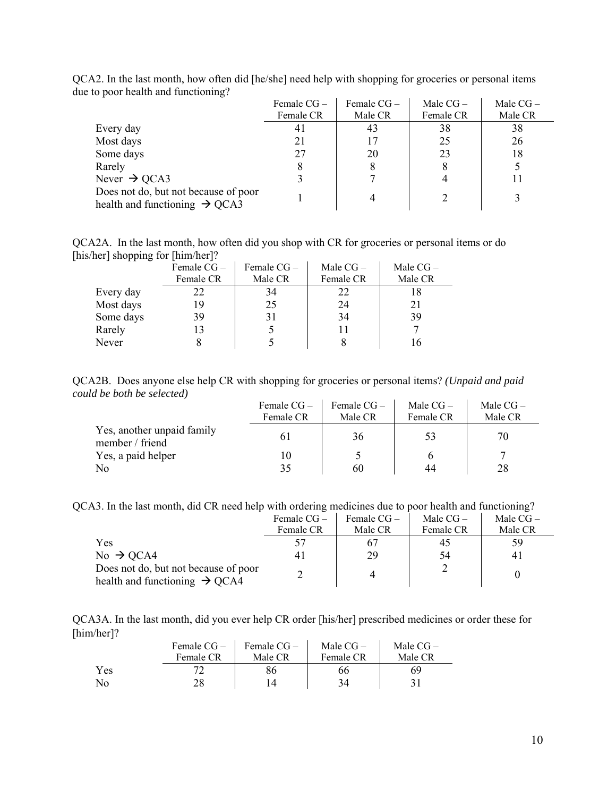|                                                                                   | Female $CG-$ | Female $CG -$ | Male $CG-$ | Male $CG-$ |
|-----------------------------------------------------------------------------------|--------------|---------------|------------|------------|
|                                                                                   | Female CR    | Male CR       | Female CR  | Male CR    |
| Every day                                                                         | 41           | 43            | 38         | 38         |
| Most days                                                                         |              |               | 25         | 26         |
| Some days                                                                         | 27           | 20            | 23         | 18         |
| Rarely                                                                            | 8            | 8             | 8          |            |
| Never $\rightarrow$ QCA3                                                          |              |               |            |            |
| Does not do, but not because of poor<br>health and functioning $\rightarrow$ QCA3 |              |               |            |            |

QCA2. In the last month, how often did [he/she] need help with shopping for groceries or personal items due to poor health and functioning?

QCA2A. In the last month, how often did you shop with CR for groceries or personal items or do [his/her] shopping for [him/her]?

|           | Female $CG -$ | Female $CG -$ | Male $CG-$ | Male $CG-$ |
|-----------|---------------|---------------|------------|------------|
|           | Female CR     | Male CR       | Female CR  | Male CR    |
| Every day | 22            | 34            | 22         |            |
| Most days | 19            | 25            | 24         | 21         |
| Some days | 39            | 31            | 34         | 39         |
| Rarely    | 13            |               |            |            |
| Never     |               |               |            |            |

QCA2B. Does anyone else help CR with shopping for groceries or personal items? *(Unpaid and paid could be both be selected)* 

|                                               | Female $CG-$ | Female $CG-$ | Male $CG-$ | Male $CG-$ |
|-----------------------------------------------|--------------|--------------|------------|------------|
|                                               | Female CR    | Male CR      | Female CR  | Male CR    |
| Yes, another unpaid family<br>member / friend | 6 I          | 36           | 53         | 70         |
| Yes, a paid helper                            |              |              |            |            |
| No                                            | 35           | 60           | 44         | 28         |

QCA3. In the last month, did CR need help with ordering medicines due to poor health and functioning?

|                                                                                   | Female $CG-$ | Female $CG-$ | Male $CG-$ | Male $CG-$ |
|-----------------------------------------------------------------------------------|--------------|--------------|------------|------------|
|                                                                                   | Female CR    | Male CR      | Female CR  | Male CR    |
| Yes                                                                               | 57           |              | 45         | 59         |
| $No \rightarrow QCA4$                                                             | 41           | 29           | 54         | 41         |
| Does not do, but not because of poor<br>health and functioning $\rightarrow$ QCA4 |              |              |            |            |

QCA3A. In the last month, did you ever help CR order [his/her] prescribed medicines or order these for [him/her]?

|     | Female $CG-$<br>Female CR | Female $CG-$<br>Male CR | Male $CG-$<br>Female CR | Male $CG-$<br>Male CR |
|-----|---------------------------|-------------------------|-------------------------|-----------------------|
| Yes |                           |                         | 66                      | 69                    |
| No  | 28                        |                         | 34                      |                       |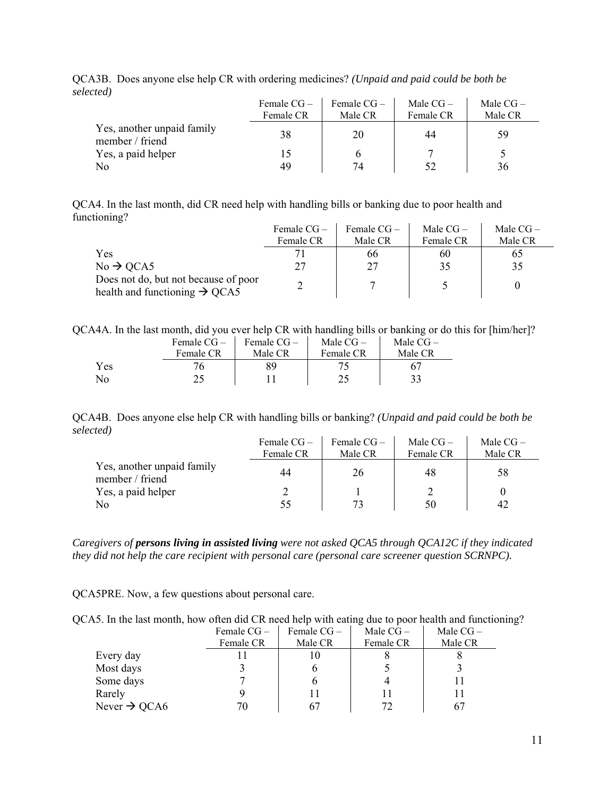|                                               | Female $CG-$<br>Female CR | Female $CG-$<br>Male CR | Male $CG-$<br>Female CR | Male $CG-$<br>Male CR |
|-----------------------------------------------|---------------------------|-------------------------|-------------------------|-----------------------|
|                                               |                           |                         |                         |                       |
| Yes, another unpaid family<br>member / friend | 38                        | 20                      | 44                      | 59                    |
| Yes, a paid helper                            |                           | h                       |                         |                       |
| N <sub>0</sub>                                | 49                        | 74                      | 52                      | 36                    |

QCA3B. Does anyone else help CR with ordering medicines? *(Unpaid and paid could be both be selected)*

QCA4. In the last month, did CR need help with handling bills or banking due to poor health and functioning?

|                                                                                   | Female $CG -$ | Female $CG -$ | Male $CG-$ | Male $CG-$ |
|-----------------------------------------------------------------------------------|---------------|---------------|------------|------------|
|                                                                                   | Female CR     | Male CR       | Female CR  | Male CR    |
| Yes                                                                               |               | 66            | 60         |            |
| $No \rightarrow QCA5$                                                             |               | 27            | 35         |            |
| Does not do, but not because of poor<br>health and functioning $\rightarrow$ QCA5 |               |               |            |            |

|  |  |  |  | QCA4A. In the last month, did you ever help CR with handling bills or banking or do this for [him/her]? |  |
|--|--|--|--|---------------------------------------------------------------------------------------------------------|--|
|  |  |  |  |                                                                                                         |  |

|     | Female $CG-$ | Female $CG-$ | Male $CG-$ | Male $CG-$ |
|-----|--------------|--------------|------------|------------|
|     | Female CR    | Male CR      | Female CR  | Male CR    |
| Yes |              |              |            |            |
| No  |              |              |            |            |

QCA4B. Does anyone else help CR with handling bills or banking? *(Unpaid and paid could be both be selected)*  $\bar{a}$  $\mathbf{r}$ 

|                                               | Female $CG-$ | Female $CG-$ | Male $CG-$ | Male $CG-$ |
|-----------------------------------------------|--------------|--------------|------------|------------|
|                                               | Female CR    | Male CR      | Female CR  | Male CR    |
| Yes, another unpaid family<br>member / friend | 44           | 26           | 48         | 58         |
| Yes, a paid helper                            |              |              |            |            |
| N <sub>0</sub>                                | 55           | 73           | 50         | 42         |

*Caregivers of persons living in assisted living were not asked QCA5 through QCA12C if they indicated they did not help the care recipient with personal care (personal care screener question SCRNPC).* 

QCA5PRE. Now, a few questions about personal care.

| QCA5. In the last month, how often did CR need help with eating due to poor health and functioning? |  |  |  |  |
|-----------------------------------------------------------------------------------------------------|--|--|--|--|
|-----------------------------------------------------------------------------------------------------|--|--|--|--|

|                          | Female $CG -$ | Female $CG-$ | Male $CG-$ | Male $CG-$ |
|--------------------------|---------------|--------------|------------|------------|
|                          | Female CR     | Male CR      | Female CR  | Male CR    |
| Every day                |               | 10           |            |            |
| Most days                |               |              |            |            |
| Some days                |               |              |            |            |
| Rarely                   |               |              |            |            |
| Never $\rightarrow$ QCA6 | 70            | 67           | 72         |            |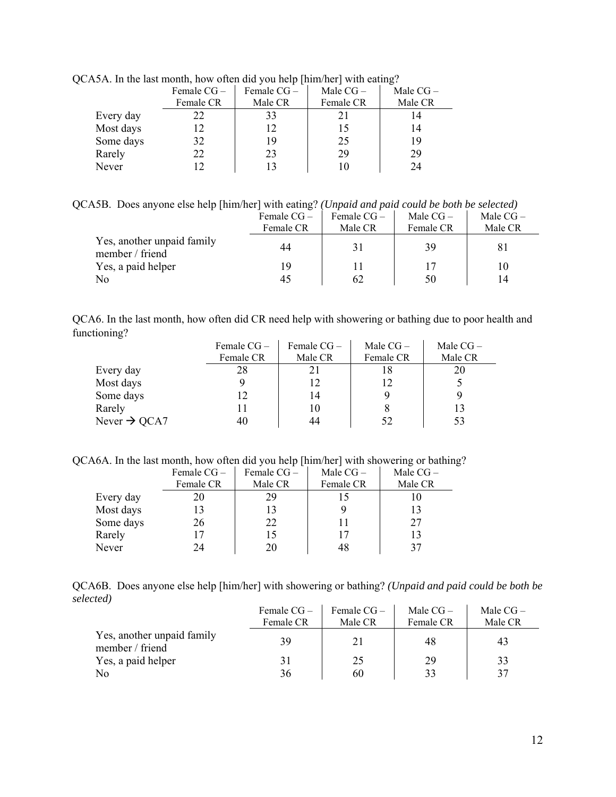|           | Female $CG-$ | Female $CG-$ | Male $CG-$ | Male $CG-$ |  |  |  |  |
|-----------|--------------|--------------|------------|------------|--|--|--|--|
|           | Female CR    | Male CR      | Female CR  | Male CR    |  |  |  |  |
| Every day | 22           | 33           |            |            |  |  |  |  |
| Most days |              | 12           | 15         | 14         |  |  |  |  |
| Some days | 32           | 19           | 25         | 19         |  |  |  |  |
| Rarely    | 22           | 23           | 29         | 29         |  |  |  |  |
| Never     |              |              |            | 24         |  |  |  |  |

QCA5A. In the last month, how often did you help [him/her] with eating?

QCA5B. Does anyone else help [him/her] with eating? *(Unpaid and paid could be both be selected)*

|                                               | Female $CG-$ | Female $CG-$ | Male $CG-$ | Male $CG-$ |
|-----------------------------------------------|--------------|--------------|------------|------------|
|                                               | Female CR    | Male CR      | Female CR  | Male CR    |
| Yes, another unpaid family<br>member / friend | 44           | 31           | 39         |            |
| Yes, a paid helper                            | 19           | 11           |            |            |
| N <sub>0</sub>                                | 45           | 62           | 50         | 14         |

| QCA6. In the last month, how often did CR need help with showering or bathing due to poor health and |  |  |  |
|------------------------------------------------------------------------------------------------------|--|--|--|
| functioning?                                                                                         |  |  |  |

|                          | Female $CG -$ | Female $CG -$ | Male $CG-$ | Male $CG-$ |
|--------------------------|---------------|---------------|------------|------------|
|                          | Female CR     | Male CR       | Female CR  | Male CR    |
| Every day                | 28            | 21            | 18         |            |
| Most days                |               |               | 12         |            |
| Some days                |               | 14            |            |            |
| Rarely                   |               |               |            | 13         |
| Never $\rightarrow$ QCA7 | 40            |               | 52         | 53         |

QCA6A. In the last month, how often did you help [him/her] with showering or bathing?

|           | Female $CG -$ | Female $CG -$ | Male $CG-$ | Male $CG-$ |
|-----------|---------------|---------------|------------|------------|
|           | Female CR     | Male CR       | Female CR  | Male CR    |
| Every day | 20            | 29            |            |            |
| Most days |               | 13            |            | 13         |
| Some days | 26            | 22            |            | 27         |
| Rarely    |               | 15            | 17         | 13         |
| Never     | 24            | 20            | 48         | 37         |

QCA6B. Does anyone else help [him/her] with showering or bathing? *(Unpaid and paid could be both be selected)*  $\mathbf{r}$  $\bar{a}$  $\bar{z}$ 

|                                               | Female $CG-$ | Female $CG-$ | Male $CG-$ | Male $CG-$ |
|-----------------------------------------------|--------------|--------------|------------|------------|
|                                               | Female CR    | Male CR      | Female CR  | Male CR    |
| Yes, another unpaid family<br>member / friend | 39           | 21           | 48         | 43         |
| Yes, a paid helper                            | 31           | 25           | 29         | 33         |
| No                                            | 36           | 60           | 33         | 37         |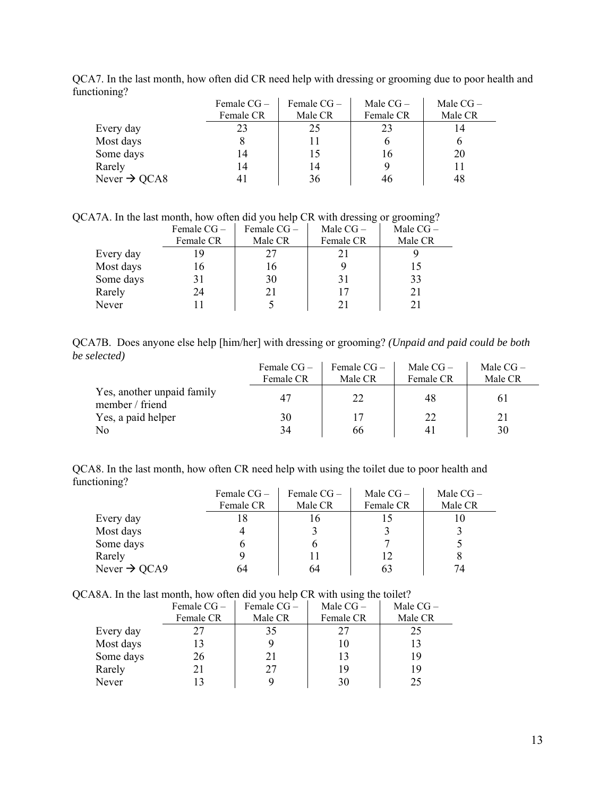|                          | Female $CG-$<br>Female CR | Female $CG-$<br>Male CR | Male $CG-$<br>Female CR | Male $CG-$<br>Male CR |
|--------------------------|---------------------------|-------------------------|-------------------------|-----------------------|
| Every day                | 23                        | 25                      | 23                      | 14                    |
| Most days                |                           |                         | O                       |                       |
| Some days                | 14                        |                         | 16                      | 20                    |
| Rarely                   | 14                        | 14                      | 9                       |                       |
| Never $\rightarrow$ QCA8 |                           | 36                      | 46                      | 48                    |

QCA7. In the last month, how often did CR need help with dressing or grooming due to poor health and functioning?

QCA7A. In the last month, how often did you help CR with dressing or grooming?

|           | Female $CG -$ | Female $CG -$ | Male $CG-$ | Male $CG-$ |
|-----------|---------------|---------------|------------|------------|
|           | Female CR     | Male CR       | Female CR  | Male CR    |
| Every day | 19            | 27            | 21         |            |
| Most days | 16            | 16            |            |            |
| Some days | 31            | 30            | 31         | 33         |
| Rarely    | 24            | 21            | 17         | 21         |
| Never     |               |               |            |            |

QCA7B. Does anyone else help [him/her] with dressing or grooming? *(Unpaid and paid could be both be selected)*

|                                               | Female $CG-$ | Female $CG-$ | Male $CG-$ | Male $CG-$ |
|-----------------------------------------------|--------------|--------------|------------|------------|
|                                               | Female CR    | Male CR      | Female CR  | Male CR    |
| Yes, another unpaid family<br>member / friend | 47           | 22           | 48         | 6 I        |
| Yes, a paid helper                            | 30           | 17           | 22         | 21         |
| N <sub>0</sub>                                | 34           | 66           | 41         | 30         |

QCA8. In the last month, how often CR need help with using the toilet due to poor health and functioning?  $\mathbf{r}$  $\mathcal{L}^{\mathcal{L}}$  $\mathcal{A}^{\mathcal{A}}$ 

|                          | Female $CG -$ | Female $CG-$ | Male $CG-$ | Male $CG-$ |
|--------------------------|---------------|--------------|------------|------------|
|                          | Female CR     | Male CR      | Female CR  | Male CR    |
| Every day                |               | 16           | 15         | I O        |
| Most days                |               |              |            |            |
| Some days                |               |              |            |            |
| Rarely                   |               |              | 12         |            |
| Never $\rightarrow$ QCA9 | 64            | 64           | 63         | 74         |

QCA8A. In the last month, how often did you help CR with using the toilet?

|           | Female $CG -$ | Female $CG -$ | Male $CG-$ | Male $CG-$ |
|-----------|---------------|---------------|------------|------------|
|           | Female CR     | Male CR       | Female CR  | Male CR    |
| Every day | 27            | 35            | 27         | 25         |
| Most days |               |               | 10         |            |
| Some days | 26            | 21            | 13         | 19         |
| Rarely    | 21            | 27            | 19         | 19         |
| Never     |               |               | 30         | 25         |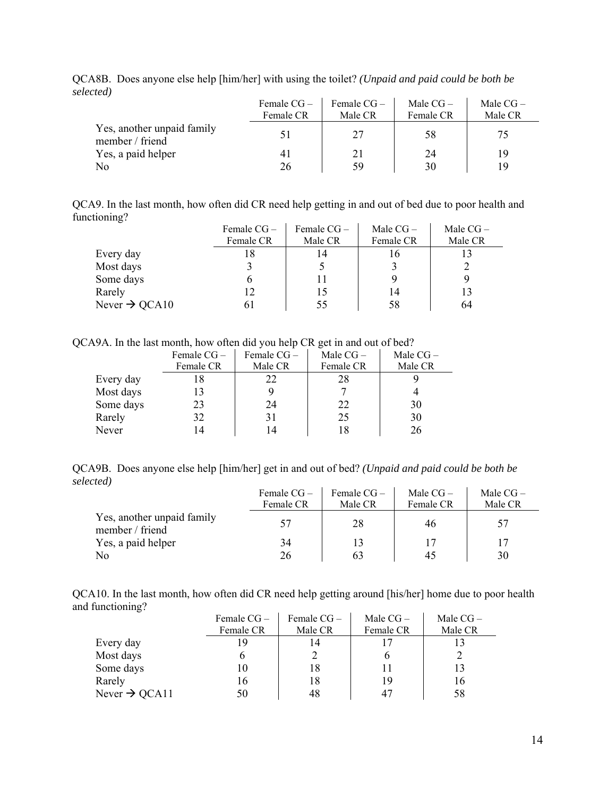|                                               | Female $CG-$<br>Female CR | Female $CG-$<br>Male CR | Male $CG-$<br>Female CR | Male $CG-$<br>Male CR |
|-----------------------------------------------|---------------------------|-------------------------|-------------------------|-----------------------|
| Yes, another unpaid family<br>member / friend | 51                        | 27                      | 58                      | 75                    |
| Yes, a paid helper                            |                           | 21                      | 24                      | 19                    |
| N <sub>0</sub>                                | 26                        | 59                      | 30                      | 19                    |

QCA8B. Does anyone else help [him/her] with using the toilet? *(Unpaid and paid could be both be selected)*

QCA9. In the last month, how often did CR need help getting in and out of bed due to poor health and functioning?

|                           | Female $CG -$ | Female $CG -$ | Male $CG-$ | Male $CG-$ |
|---------------------------|---------------|---------------|------------|------------|
|                           | Female CR     | Male CR       | Female CR  | Male CR    |
| Every day                 | 18            | 14            | 16         |            |
| Most days                 |               |               |            |            |
| Some days                 |               |               |            |            |
| Rarely                    | 12            | 15            | 14         | 13         |
| Never $\rightarrow$ QCA10 |               | 55            | 58         | 64         |

QCA9A. In the last month, how often did you help CR get in and out of bed?

|           | Female $CG -$ | Female $CG -$ | Male $CG-$ | Male $CG-$ |
|-----------|---------------|---------------|------------|------------|
|           | Female CR     | Male CR       | Female CR  | Male CR    |
| Every day |               | 22            | 28         |            |
| Most days |               |               |            |            |
| Some days | 23            | 24            | 22         | 30         |
| Rarely    | 32            | 31            | 25         | 30         |
| Never     |               | 14            |            | 26         |

QCA9B. Does anyone else help [him/her] get in and out of bed? *(Unpaid and paid could be both be selected)*  $\mathbf{r}$ 

|                                               | Female $CG-$ | Female $CG-$ | Male $CG-$ | Male $CG-$ |
|-----------------------------------------------|--------------|--------------|------------|------------|
|                                               | Female CR    | Male CR      | Female CR  | Male CR    |
| Yes, another unpaid family<br>member / friend | 57           | 28           | 46         | 57         |
| Yes, a paid helper                            | 34           | 13           | 17         |            |
| No                                            | 26           | 63           | 45         | 30         |

QCA10. In the last month, how often did CR need help getting around [his/her] home due to poor health and functioning?  $\frac{1}{1}$  $\mathbf{r}$ 

|                           | Female $CG -$ | Female $CG -$ | Male $CG-$ | Male $CG-$ |
|---------------------------|---------------|---------------|------------|------------|
|                           | Female CR     | Male CR       | Female CR  | Male CR    |
| Every day                 | 19            | 14            |            |            |
| Most days                 |               |               |            |            |
| Some days                 |               | 18            |            |            |
| Rarely                    | 16            | 18            | 19         | 16         |
| Never $\rightarrow$ QCA11 | 50            | 48            | 47         | 58         |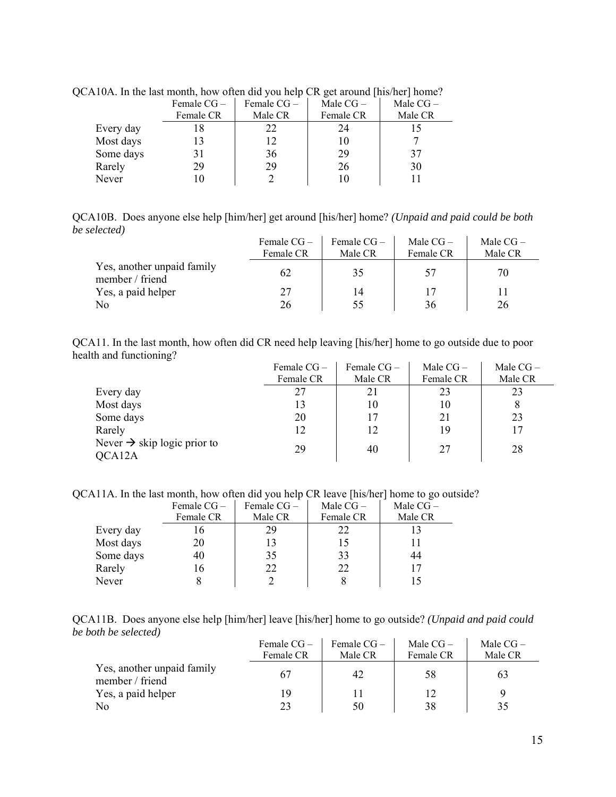|           | Female $CG -$ | Female $CG -$ | Male $CG-$ | Male $CG-$ |
|-----------|---------------|---------------|------------|------------|
|           | Female CR     | Male CR       | Female CR  | Male CR    |
| Every day |               | 22.           | 24         |            |
| Most days |               | 12            | 10         |            |
| Some days | 31            | 36            | 29         | 37         |
| Rarely    | 29            | 29            | 26         | 30         |
| Never     |               |               |            |            |

QCA10A. In the last month, how often did you help CR get around [his/her] home?

QCA10B. Does anyone else help [him/her] get around [his/her] home? *(Unpaid and paid could be both be selected)*

|                                               | Female $CG-$ | Female $CG-$ | Male $CG-$ | Male $CG-$ |
|-----------------------------------------------|--------------|--------------|------------|------------|
|                                               | Female CR    | Male CR      | Female CR  | Male CR    |
| Yes, another unpaid family<br>member / friend | 62           | 35           | 57         | 70         |
| Yes, a paid helper                            | 27           | 14           | 17         |            |
| No                                            | 26           | 55           | 36         | 26         |

QCA11. In the last month, how often did CR need help leaving [his/her] home to go outside due to poor health and functioning?

|                                         | Female $CG -$ | Female $CG -$ | Male $CG-$ | Male $CG-$ |
|-----------------------------------------|---------------|---------------|------------|------------|
|                                         | Female CR     | Male CR       | Female CR  | Male CR    |
| Every day                               | 27            | 21            | 23         | 23         |
| Most days                               | 13            | 10            | 10         |            |
| Some days                               | 20            | 17            | 21         | 23         |
| Rarely                                  | 12            | 12            | 19         | 17         |
| Never $\rightarrow$ skip logic prior to | 29            | 40            | 27         | 28         |
| QCA12A                                  |               |               |            |            |

QCA11A. In the last month, how often did you help CR leave [his/her] home to go outside?

|           | Female $CG -$ | Female $CG -$ | Male $CG-$ | Male CG- |
|-----------|---------------|---------------|------------|----------|
|           | Female CR     | Male CR       | Female CR  | Male CR  |
| Every day | 16            | 29            | 22         |          |
| Most days | 20            | 13            | 15         |          |
| Some days | 40            | 35            | 33         | 44       |
| Rarely    | 16            | 22            | 22         |          |
| Never     |               |               |            |          |

|                      | QCA11B. Does anyone else help [him/her] leave [his/her] home to go outside? (Unpaid and paid could |  |  |  |  |
|----------------------|----------------------------------------------------------------------------------------------------|--|--|--|--|
| be both be selected) |                                                                                                    |  |  |  |  |

|                                               | Female $CG-$ | Female $CG-$ | Male $CG-$ | Male $CG-$ |
|-----------------------------------------------|--------------|--------------|------------|------------|
|                                               | Female CR    | Male CR      | Female CR  | Male CR    |
| Yes, another unpaid family<br>member / friend | 67           | 42           | 58         | 63         |
| Yes, a paid helper                            | 19           |              | 12         |            |
| No                                            | 23           | 50           | 38         | 35         |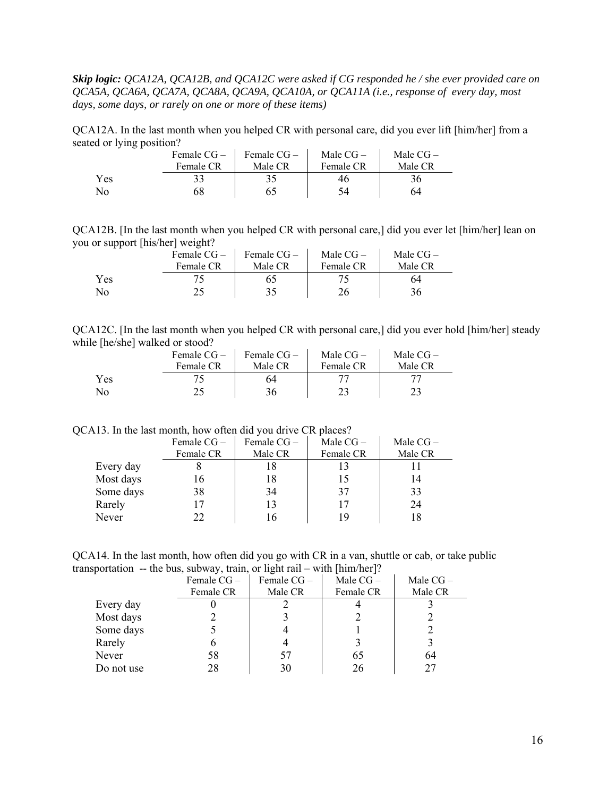*Skip logic: QCA12A, QCA12B, and QCA12C were asked if CG responded he / she ever provided care on QCA5A, QCA6A, QCA7A, QCA8A, QCA9A, QCA10A, or QCA11A (i.e., response of every day, most days, some days, or rarely on one or more of these items)* 

QCA12A. In the last month when you helped CR with personal care, did you ever lift [him/her] from a seated or lying position?  $\sim 10^{-1}$  $\mathcal{L}_{\rm{max}}$  $\mathcal{L}_{\mathcal{A}}$ 

|     | Female $CG-$ | Female $CG-$ | Male $CG-$ | Male $CG-$ |
|-----|--------------|--------------|------------|------------|
|     | Female CR    | Male CR      | Female CR  | Male CR    |
| Yes |              |              | 46         | 36         |
| No  | 68           |              |            | 64         |

QCA12B. [In the last month when you helped CR with personal care,] did you ever let [him/her] lean on you or support [his/her] weight?

|     | Female $CG-$ | Female $CG-$ | Male $CG-$ | Male $CG-$ |
|-----|--------------|--------------|------------|------------|
|     | Female CR    | Male CR      | Female CR  | Male CR    |
| Yes |              |              |            | 64         |
| No  |              | 35           |            | 36         |

| QCA12C. [In the last month when you helped CR with personal care,] did you ever hold [him/her] steady |  |  |  |
|-------------------------------------------------------------------------------------------------------|--|--|--|
| while [he/she] walked or stood?                                                                       |  |  |  |

|     | Female $CG-$ | Female $CG-$ | Male $CG-$ | Male $CG-$ |
|-----|--------------|--------------|------------|------------|
|     | Female CR    | Male CR      | Female CR  | Male CR    |
| Yes |              | 64           |            |            |
| No  |              | 36           |            |            |

QCA13. In the last month, how often did you drive CR places?

|           | Female $CG -$ | Female $CG -$ | Male $CG-$ | Male $CG-$ |
|-----------|---------------|---------------|------------|------------|
|           | Female CR     | Male CR       | Female CR  | Male CR    |
| Every day |               | 18            | 13         |            |
| Most days | 16            | 18            | 15         | 14         |
| Some days | 38            | 34            | 37         | 33         |
| Rarely    | 17            | 13            | 17         | 24         |
| Never     | 22            |               | 19         | 18         |

QCA14. In the last month, how often did you go with CR in a van, shuttle or cab, or take public transportation -- the bus, subway, train, or light rail – with [him/her]?

|            | Female $CG -$ | Female $CG -$ | Male $CG-$ | Male $CG-$ |
|------------|---------------|---------------|------------|------------|
|            | Female CR     | Male CR       | Female CR  | Male CR    |
| Every day  |               |               |            |            |
| Most days  |               |               |            |            |
| Some days  |               |               |            |            |
| Rarely     |               |               |            |            |
| Never      | 58            | 57            | 65         | 64         |
| Do not use | 28            | 30            |            |            |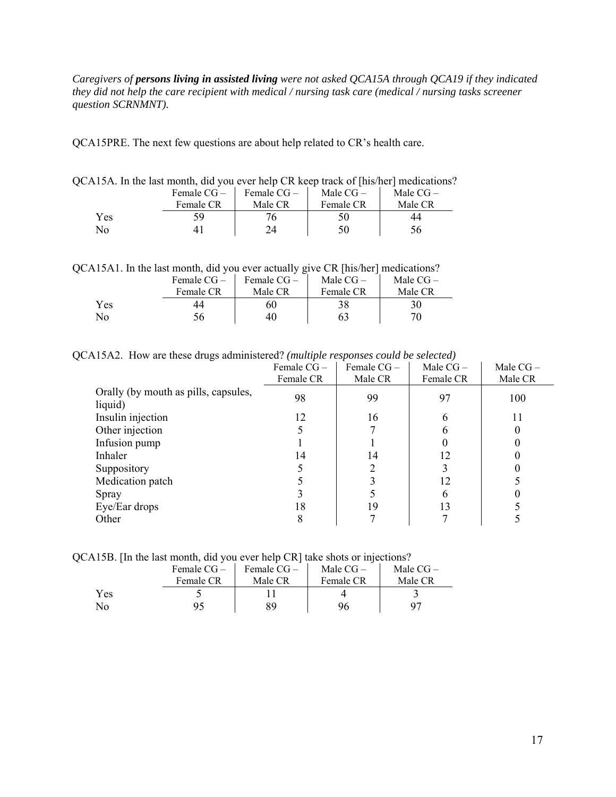*Caregivers of persons living in assisted living were not asked QCA15A through QCA19 if they indicated they did not help the care recipient with medical / nursing task care (medical / nursing tasks screener question SCRNMNT).* 

QCA15PRE. The next few questions are about help related to CR's health care.

| $\Delta$ 19A. In the fast month, the you ever help $\Box K$ keep track of fins/her finetrications |           |                             |           |            |
|---------------------------------------------------------------------------------------------------|-----------|-----------------------------|-----------|------------|
|                                                                                                   |           | Female $CG -$ Female $CG -$ | Male CG – | Male $CG-$ |
|                                                                                                   | Female CR | Male CR                     | Female CR | Male CR    |
| Yes                                                                                               | 59        | 76.                         | 50        | 44         |
| No                                                                                                |           | 74                          | 50        | 56         |

QCA15A. In the last month, did you ever help CR keep track of [his/her] medications?

QCA15A1. In the last month, did you ever actually give CR [his/her] medications?

|     | Female $CG -$<br>Female CR | Female $CG-$<br>Male CR | Male $CG-$<br>Female CR | Male $CG-$<br>Male CR |
|-----|----------------------------|-------------------------|-------------------------|-----------------------|
| Yes | 44                         | 60                      | 38                      | 30                    |
| No  |                            | 40                      | 63                      | 70                    |

QCA15A2. How are these drugs administered? *(multiple responses could be selected)* 

|                                                 | Female CG-<br>Female CR | Female CG-<br>Male CR | Male $CG-$<br>Female CR | Male $CG-$<br>Male CR |
|-------------------------------------------------|-------------------------|-----------------------|-------------------------|-----------------------|
| Orally (by mouth as pills, capsules,<br>liquid) | 98                      | 99                    | 97                      | 100                   |
| Insulin injection                               | 12                      | 16                    |                         | 11                    |
| Other injection                                 |                         |                       |                         |                       |
| Infusion pump                                   |                         |                       |                         |                       |
| Inhaler                                         | 14                      | 14                    | 12                      |                       |
| Suppository                                     |                         |                       |                         |                       |
| Medication patch                                |                         |                       | 12                      |                       |
| Spray                                           |                         |                       |                         |                       |
| Eye/Ear drops                                   | 18                      | 19                    | 13                      |                       |
| Other                                           | 8                       |                       |                         |                       |

QCA15B. [In the last month, did you ever help CR] take shots or injections?

|     | Female $CG-$ | Female $CG-$ | Male $CG-$ | Male $CG-$ |
|-----|--------------|--------------|------------|------------|
|     | Female CR    | Male CR      | Female CR  | Male CR    |
| Yes |              |              |            |            |
| No  |              | QΟ           | 96         |            |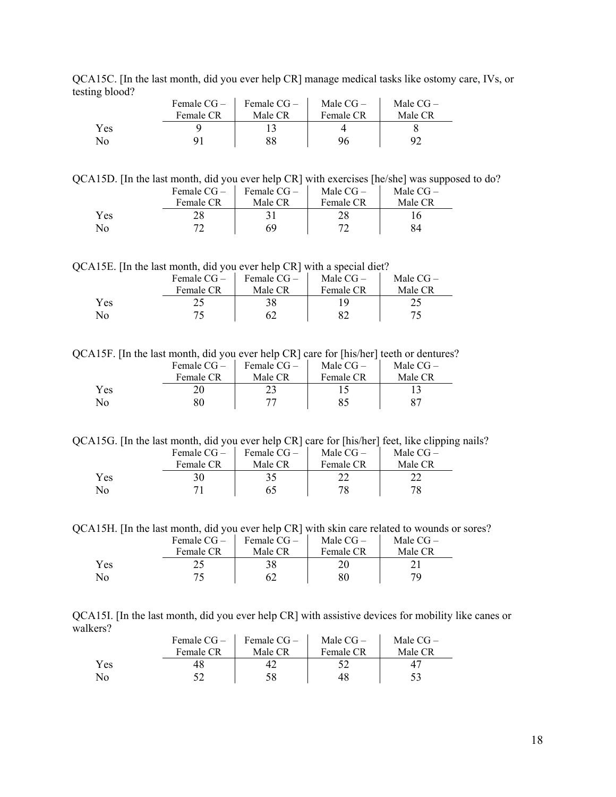QCA15C. [In the last month, did you ever help CR] manage medical tasks like ostomy care, IVs, or testing blood?

|     | Female $CG-$ | Female $CG-$ | Male $CG-$ | Male $CG-$ |
|-----|--------------|--------------|------------|------------|
|     | Female CR    | Male CR      | Female CR  | Male CR    |
| Yes |              |              |            |            |
| No  |              | 88           | 96         | 92         |

QCA15D. [In the last month, did you ever help CR] with exercises [he/she] was supposed to do?

|     | Female $CG-$ | Female $CG-$ | Male $CG-$ | Male $CG-$ |
|-----|--------------|--------------|------------|------------|
|     | Female CR    | Male CR      | Female CR  | Male CR    |
| Yes |              |              |            |            |
| No  |              | 69           |            |            |

QCA15E. [In the last month, did you ever help CR] with a special diet?

|     | Female $CG -$ | Female $CG-$ | Male $CG-$ | Male $CG-$ |
|-----|---------------|--------------|------------|------------|
|     | Female CR     | Male CR      | Female CR  | Male CR    |
| Yes |               |              |            |            |
| No  |               |              |            |            |

QCA15F. [In the last month, did you ever help CR] care for [his/her] teeth or dentures?

|     | Female $CG-$ | Female $CG-$ | Male $CG-$ | Male $CG-$ |
|-----|--------------|--------------|------------|------------|
|     | Female CR    | Male CR      | Female CR  | Male CR    |
| Yes |              |              |            |            |
| No  |              |              |            |            |

QCA15G. [In the last month, did you ever help CR] care for [his/her] feet, like clipping nails?

|     | Female $CG-$ | Female $CG-$ | Male $CG-$ | Male $CG-$ |
|-----|--------------|--------------|------------|------------|
|     | Female CR    | Male CR      | Female CR  | Male CR    |
| Yes |              |              |            |            |
| No  |              |              |            | 78         |

QCA15H. [In the last month, did you ever help CR] with skin care related to wounds or sores?

|                | Female $CG-$ | Female $CG-$ | Male $CG-$ | Male $CG-$ |
|----------------|--------------|--------------|------------|------------|
|                | Female CR    | Male CR      | Female CR  | Male CR    |
| Yes            |              |              |            |            |
| N <sub>0</sub> |              |              |            | 70,        |

QCA15I. [In the last month, did you ever help CR] with assistive devices for mobility like canes or walkers?

|     | Female $CG-$ | Female $CG-$ | Male $CG-$ | Male $CG-$ |
|-----|--------------|--------------|------------|------------|
|     | Female CR    | Male CR      | Female CR  | Male CR    |
| Yes | 48.          |              |            |            |
| No  |              | 58           | 48         |            |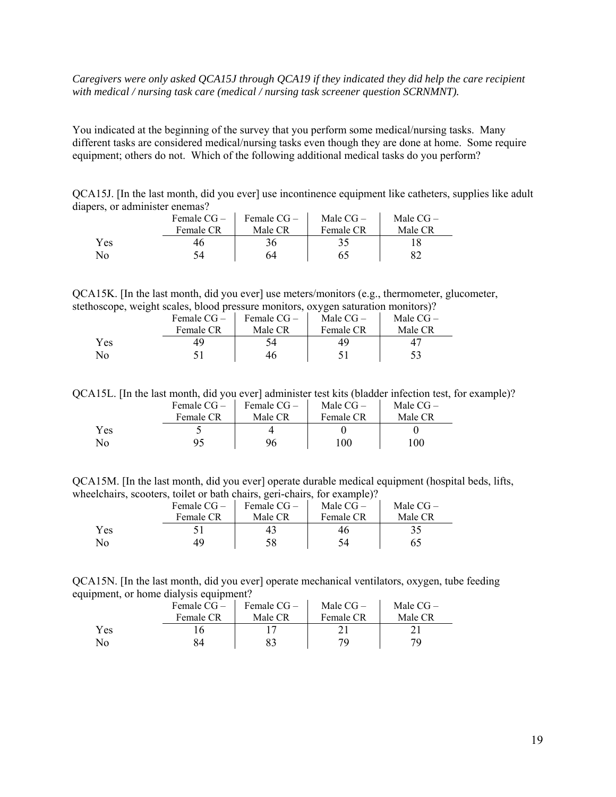#### *Caregivers were only asked QCA15J through QCA19 if they indicated they did help the care recipient with medical / nursing task care (medical / nursing task screener question SCRNMNT).*

You indicated at the beginning of the survey that you perform some medical/nursing tasks. Many different tasks are considered medical/nursing tasks even though they are done at home. Some require equipment; others do not. Which of the following additional medical tasks do you perform?

QCA15J. [In the last month, did you ever] use incontinence equipment like catheters, supplies like adult diapers, or administer enemas?

|     | Female $CG-$ | Female $CG-$ | Male $CG-$ | Male $CG-$ |
|-----|--------------|--------------|------------|------------|
|     | Female CR    | Male CR      | Female CR  | Male CR    |
| Yes | 46           | 36           |            |            |
| No  | 54           | 64           | 65         |            |

QCA15K. [In the last month, did you ever] use meters/monitors (e.g., thermometer, glucometer, stethoscope, weight scales, blood pressure monitors, oxygen saturation monitors)?

|     | Female $CG-$ | Female $CG-$ | Male $CG-$ | Male $CG-$ |
|-----|--------------|--------------|------------|------------|
|     | Female CR    | Male CR      | Female CR  | Male CR    |
| Yes | 49           |              | 49         | 4          |
| No  |              | 46           |            |            |

QCA15L. [In the last month, did you ever] administer test kits (bladder infection test, for example)?

|     | Female $CG-$ | Female $CG-$ | Male $CG-$ | Male $CG-$ |
|-----|--------------|--------------|------------|------------|
|     | Female CR    | Male CR      | Female CR  | Male CR    |
| Yes |              |              |            |            |
| No  | 95           | 96           | 100        | 100        |

QCA15M. [In the last month, did you ever] operate durable medical equipment (hospital beds, lifts, wheelchairs, scooters, toilet or bath chairs, geri-chairs, for example)?

|     | Female $CG-$ | Female CG- | Male $CG-$ | Male $CG-$ |
|-----|--------------|------------|------------|------------|
|     | Female CR    | Male CR    | Female CR  | Male CR    |
| Yes |              | 43         | 46         |            |
| No  |              | 58         |            |            |

QCA15N. [In the last month, did you ever] operate mechanical ventilators, oxygen, tube feeding equipment, or home dialysis equipment?

|     | Female $CG-$ | Female $CG-$ | Male $CG-$ | Male $CG-$ |
|-----|--------------|--------------|------------|------------|
|     | Female CR    | Male CR      | Female CR  | Male CR    |
| Yes |              |              |            |            |
| No  |              |              | 70         | 79         |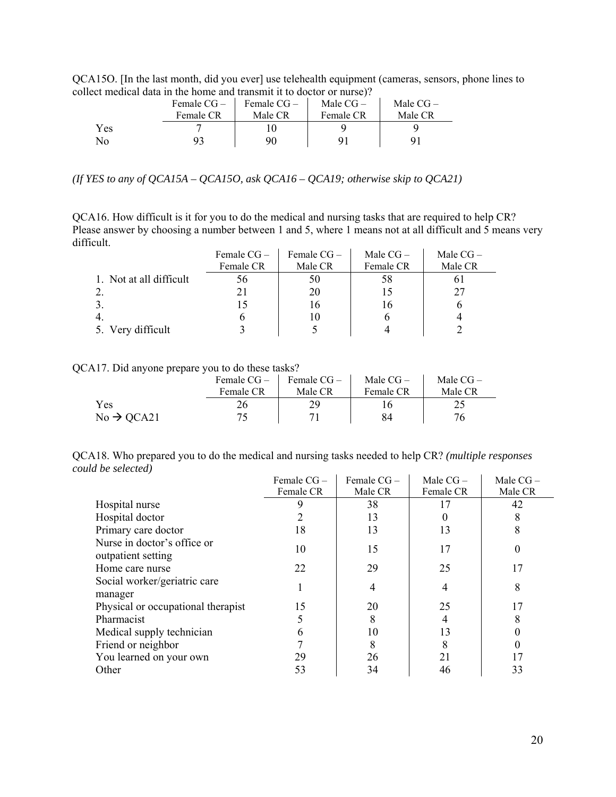QCA15O. [In the last month, did you ever] use telehealth equipment (cameras, sensors, phone lines to collect medical data in the home and transmit it to doctor or nurse)?

|     | Female $CG-$ | Female $CG-$ | Male $CG-$ | Male $CG-$ |
|-----|--------------|--------------|------------|------------|
|     | Female CR    | Male CR      | Female CR  | Male CR    |
| Yes |              |              |            |            |
| No  |              | 90           |            |            |

*(If YES to any of QCA15A – QCA15O, ask QCA16 – QCA19; otherwise skip to QCA21)* 

QCA16. How difficult is it for you to do the medical and nursing tasks that are required to help CR? Please answer by choosing a number between 1 and 5, where 1 means not at all difficult and 5 means very difficult.

|                         | Female $CG -$ | Female $CG-$ | Male $CG-$ | Male $CG-$ |
|-------------------------|---------------|--------------|------------|------------|
|                         | Female CR     | Male CR      | Female CR  | Male CR    |
| 1. Not at all difficult | 56            | 50           | 58         |            |
|                         |               | 20           | 15         | 27         |
|                         |               |              | 16         |            |
| 4.                      |               |              |            |            |
| 5. Very difficult       |               |              |            |            |

QCA17. Did anyone prepare you to do these tasks?

|                        |           | Female $CG -$ Female $CG -$ | Male $CG-$ | Male $CG-$ |
|------------------------|-----------|-----------------------------|------------|------------|
|                        | Female CR | Male CR                     | Female CR  | Male CR    |
| Yes                    | 26        | 29                          |            |            |
| $No \rightarrow QCA21$ |           |                             | 84         |            |

QCA18. Who prepared you to do the medical and nursing tasks needed to help CR? *(multiple responses could be selected)* 

|                                                   | Female CG - | Female $CG -$ | Male $CG -$ | Male $CG-$ |
|---------------------------------------------------|-------------|---------------|-------------|------------|
|                                                   | Female CR   | Male CR       | Female CR   | Male CR    |
| Hospital nurse                                    |             | 38            | 17          | 42         |
| Hospital doctor                                   |             | 13            |             |            |
| Primary care doctor                               | 18          | 13            | 13          |            |
| Nurse in doctor's office or<br>outpatient setting | 10          | 15            | 17          |            |
| Home care nurse                                   | 22          | 29            | 25          | 17         |
| Social worker/geriatric care<br>manager           |             |               |             |            |
| Physical or occupational therapist                | 15          | 20            | 25          |            |
| Pharmacist                                        |             | 8             |             |            |
| Medical supply technician                         | 6           | 10            | 13          |            |
| Friend or neighbor                                |             | 8             | 8           |            |
| You learned on your own                           | 29          | 26            | 21          |            |
| Other                                             | 53          | 34            | 46          | 33         |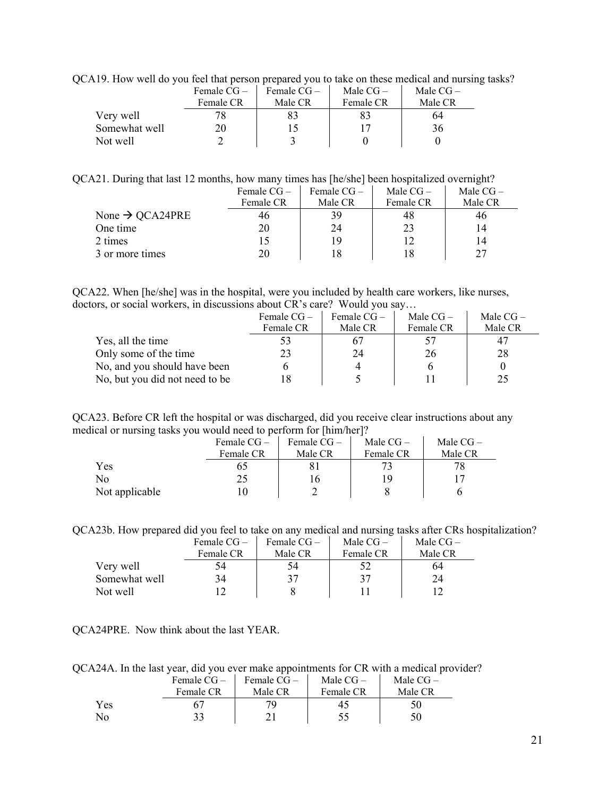QCA19. How well do you feel that person prepared you to take on these medical and nursing tasks?

|               | Female $CG-$ | Female $CG-$ | Male $CG-$ | Male $CG-$ |
|---------------|--------------|--------------|------------|------------|
|               | Female CR    | Male CR      | Female CR  | Male CR    |
| Very well     |              |              |            | 64         |
| Somewhat well | 20           |              |            | 36         |
| Not well      |              |              |            |            |

QCA21. During that last 12 months, how many times has [he/she] been hospitalized overnight?

|                             | Female $CG-$ | Female $CG-$ | Male $CG-$ | Male $CG-$ |
|-----------------------------|--------------|--------------|------------|------------|
|                             | Female CR    | Male CR      | Female CR  | Male CR    |
| None $\rightarrow$ QCA24PRE | 46           | 39           | 48         | 46         |
| One time                    | 20           | 24           | 23         |            |
| 2 times                     |              | 19           |            |            |
| 3 or more times             | 20           | 18           | 18         | 27         |

QCA22. When [he/she] was in the hospital, were you included by health care workers, like nurses, doctors, or social workers, in discussions about CR's care? Would you say…

|                                | Female $CG-$ | Female $CG-$ | Male $CG-$ | Male $CG-$ |
|--------------------------------|--------------|--------------|------------|------------|
|                                | Female CR    | Male CR      | Female CR  | Male CR    |
| Yes, all the time              | 53           | 67           |            |            |
| Only some of the time          | 23           | 24           | 26         | 28         |
| No, and you should have been   |              |              |            |            |
| No, but you did not need to be |              |              |            |            |

QCA23. Before CR left the hospital or was discharged, did you receive clear instructions about any medical or nursing tasks you would need to perform for [him/her]?

|                | Female $CG-$ | Female $CG-$ | Male $CG-$ | Male $CG-$ |
|----------------|--------------|--------------|------------|------------|
|                | Female CR    | Male CR      | Female CR  | Male CR    |
| Yes            | OD           |              |            |            |
| No             |              |              | 19         |            |
| Not applicable |              |              |            |            |

QCA23b. How prepared did you feel to take on any medical and nursing tasks after CRs hospitalization?

|               | Female $CG-$ | Female $CG-$ | Male $CG-$ | Male $CG-$ |
|---------------|--------------|--------------|------------|------------|
|               | Female CR    | Male CR      | Female CR  | Male CR    |
| Very well     |              | 54           |            | 64         |
| Somewhat well | 34           | 37           | 37         | 24         |
| Not well      |              |              |            |            |

QCA24PRE. Now think about the last YEAR.

QCA24A. In the last year, did you ever make appointments for CR with a medical provider?

|     |           | Female $CG - \vert$ Female $CG - \vert$ | Male $CG-$ | Male $CG-$ |
|-----|-----------|-----------------------------------------|------------|------------|
|     | Female CR | Male CR                                 | Female CR  | Male CR    |
| Yes |           |                                         |            |            |
| No  |           |                                         |            |            |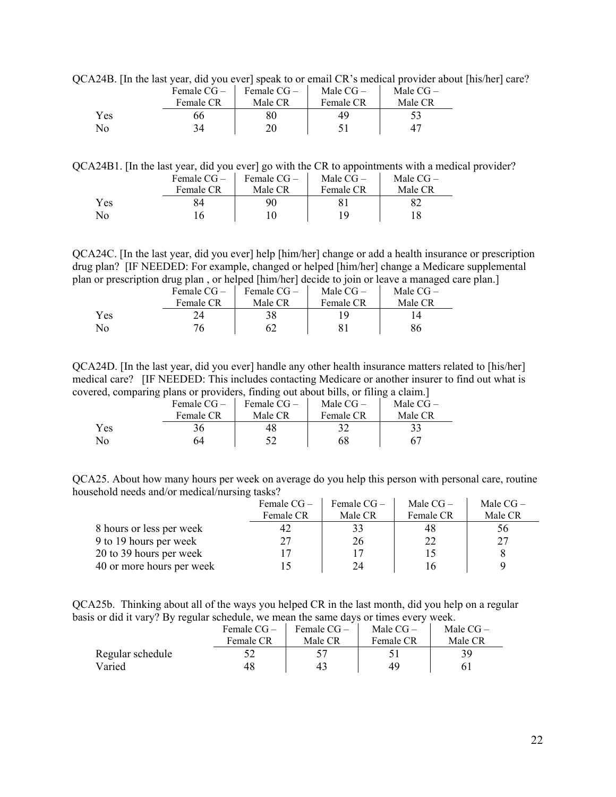QCA24B. [In the last year, did you ever] speak to or email CR's medical provider about [his/her] care?

|     | Female $CG-$ | Female $CG-$ | Male $CG-$ | Male $CG-$ |
|-----|--------------|--------------|------------|------------|
|     | Female CR    | Male CR      | Female CR  | Male CR    |
| Yes | ეტ           | 80           | 49         |            |
| No  | 34           | 20           |            |            |

QCA24B1. [In the last year, did you ever] go with the CR to appointments with a medical provider?

|     | Female $CG-$ | Female $CG-$ | Male $CG-$ | Male $CG-$ |
|-----|--------------|--------------|------------|------------|
|     | Female CR    | Male CR      | Female CR  | Male CR    |
| Yes | 84           | 90           |            |            |
| No  |              |              | 1 Q        |            |

QCA24C. [In the last year, did you ever] help [him/her] change or add a health insurance or prescription drug plan? [IF NEEDED: For example, changed or helped [him/her] change a Medicare supplemental plan or prescription drug plan , or helped [him/her] decide to join or leave a managed care plan.]

|                | Female $CG-$ | Female $CG-$ | Male $CG-$ | Male $CG-$ |
|----------------|--------------|--------------|------------|------------|
|                | Female CR    | Male CR      | Female CR  | Male CR    |
| Yes            | 24.          | 38           |            |            |
| N <sub>0</sub> |              |              |            |            |

QCA24D. [In the last year, did you ever] handle any other health insurance matters related to [his/her] medical care? [IF NEEDED: This includes contacting Medicare or another insurer to find out what is covered, comparing plans or providers, finding out about bills, or filing a claim.]

|              | $\sqrt{2}$ |              |              |            |            |
|--------------|------------|--------------|--------------|------------|------------|
|              |            | Female $CG-$ | Female $CG-$ | Male $CG-$ | Male $CG-$ |
|              |            | Female CR    | Male CR      | Female CR  | Male CR    |
| Yes          |            | 36           |              |            |            |
| $N_{\Omega}$ |            | 54           |              | 68         |            |

QCA25. About how many hours per week on average do you help this person with personal care, routine household needs and/or medical/nursing tasks?

|                           | Female $CG-$ | Female $CG-$ | Male $CG-$ | Male $CG-$ |
|---------------------------|--------------|--------------|------------|------------|
|                           | Female CR    | Male CR      | Female CR  | Male CR    |
| 8 hours or less per week  |              | 33           | 48         | 56         |
| 9 to 19 hours per week    | 27           | 26           | 22         | 27         |
| 20 to 39 hours per week   |              |              |            |            |
| 40 or more hours per week |              | 24           |            |            |

QCA25b. Thinking about all of the ways you helped CR in the last month, did you help on a regular basis or did it vary? By regular schedule, we mean the same days or times every week.

|                  | Female $CG-$<br>Female CR | Female $CG-$<br>Male CR | Male $CG-$<br>Female CR | Male $CG-$<br>Male CR |
|------------------|---------------------------|-------------------------|-------------------------|-----------------------|
| Regular schedule |                           |                         |                         |                       |
| Varied           | 48                        | 43                      | 49                      |                       |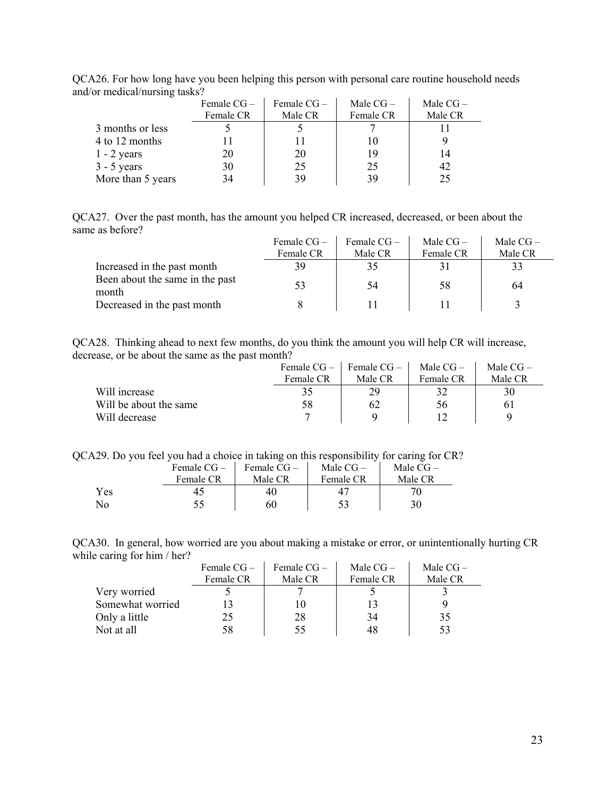|                   | Female $CG -$<br>Female CR | Female $CG -$<br>Male CR | Male $CG-$<br>Female CR | Male $CG-$<br>Male CR |
|-------------------|----------------------------|--------------------------|-------------------------|-----------------------|
| 3 months or less  |                            |                          |                         |                       |
| 4 to 12 months    |                            |                          |                         |                       |
| $1 - 2$ years     | 20                         | 20                       | 19                      |                       |
| $3 - 5$ years     | 30                         | 25                       | 25                      | 42                    |
| More than 5 years | 34                         | 39                       | 39                      | 25                    |

QCA26. For how long have you been helping this person with personal care routine household needs and/or medical/nursing tasks?

QCA27. Over the past month, has the amount you helped CR increased, decreased, or been about the same as before?

|                                          | Female $CG-$ | Female $CG-$ | Male $CG-$ | Male $CG-$ |
|------------------------------------------|--------------|--------------|------------|------------|
|                                          | Female CR    | Male CR      | Female CR  | Male CR    |
| Increased in the past month              | 39           | 35           | 31         |            |
| Been about the same in the past<br>month | 53           | 54           | 58         | 64         |
| Decreased in the past month              |              |              |            |            |

QCA28. Thinking ahead to next few months, do you think the amount you will help CR will increase, decrease, or be about the same as the past month?

|                        | Female $CG-$ | Female $CG-$ | Male $CG-$ | Male $CG-$ |
|------------------------|--------------|--------------|------------|------------|
|                        | Female CR    | Male CR      | Female CR  | Male CR    |
| Will increase          | 35           | 29           |            | 30         |
| Will be about the same | 58           | 62           | 56         | 6 I        |
| Will decrease          |              |              |            | Q          |

QCA29. Do you feel you had a choice in taking on this responsibility for caring for CR?

|                    | Female $CG-$ | Female $CG-$ | Male $CG-$ | Male $CG-$ |
|--------------------|--------------|--------------|------------|------------|
|                    | Female CR    | Male CR      | Female CR  | Male CR    |
| Yes                |              | 40           |            |            |
| $\overline{N}_{0}$ |              | 60           |            | 30         |

QCA30. In general, how worried are you about making a mistake or error, or unintentionally hurting CR while caring for him / her?  $\mathbf{r}$  $\hat{\mathbf{r}}$ 

|                  | Female $CG-$<br>Female $CG-$ |         | Male $CG-$ | Male $CG -$ |
|------------------|------------------------------|---------|------------|-------------|
|                  | Female CR                    | Male CR | Female CR  | Male CR     |
| Very worried     |                              |         |            |             |
| Somewhat worried |                              |         |            |             |
| Only a little    | 25                           | 28      | 34         | 35          |
| Not at all       | 58                           | 55      | 48         |             |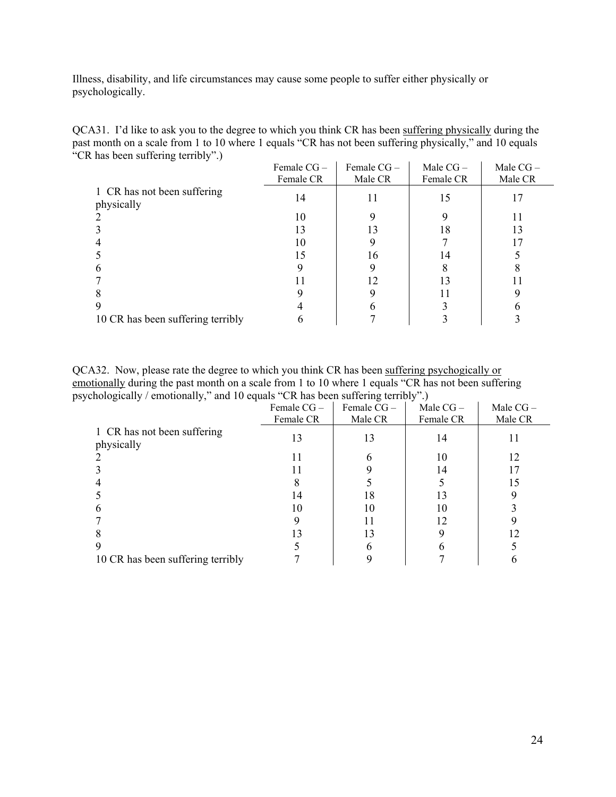Illness, disability, and life circumstances may cause some people to suffer either physically or psychologically.

| QCA31. I'd like to ask you to the degree to which you think CR has been suffering physically during the |
|---------------------------------------------------------------------------------------------------------|
| past month on a scale from 1 to 10 where 1 equals "CR has not been suffering physically," and 10 equals |
| "CR has been suffering terribly".)                                                                      |

|                                           | Female $CG-$ | Female $CG -$ | Male $CG-$ | Male $CG-$ |
|-------------------------------------------|--------------|---------------|------------|------------|
|                                           | Female CR    | Male CR       | Female CR  | Male CR    |
| 1 CR has not been suffering<br>physically | 14           | 11            | 15         |            |
|                                           | 10           |               |            |            |
|                                           | 13           | 13            | 18         | 13         |
|                                           | 10           |               |            |            |
|                                           | 15           | 16            | 14         |            |
|                                           |              |               |            |            |
|                                           |              | 12            | 13         |            |
|                                           |              |               |            |            |
|                                           |              |               |            |            |
| 10 CR has been suffering terribly         |              |               |            |            |

QCA32. Now, please rate the degree to which you think CR has been suffering psychogically or emotionally during the past month on a scale from 1 to 10 where 1 equals "CR has not been suffering psychologically / emotionally," and 10 equals "CR has been suffering terribly".)

| ັ<br>ັ້<br>л.                             |            |            |            |            |
|-------------------------------------------|------------|------------|------------|------------|
|                                           | Female CG- | Female CG- | Male $CG-$ | Male $CG-$ |
|                                           | Female CR  | Male CR    | Female CR  | Male CR    |
| 1 CR has not been suffering<br>physically | 13         | 13         | 14         |            |
|                                           | 11         |            | 10         | 12         |
|                                           |            |            | 14         |            |
|                                           |            |            |            | 15         |
|                                           | 14         | 18         |            |            |
|                                           | 10         | 10         | 10         |            |
|                                           |            |            | 12         |            |
|                                           | 13         | 13         |            | 12         |
|                                           |            |            |            |            |
| 10 CR has been suffering terribly         |            |            |            |            |
|                                           |            |            |            |            |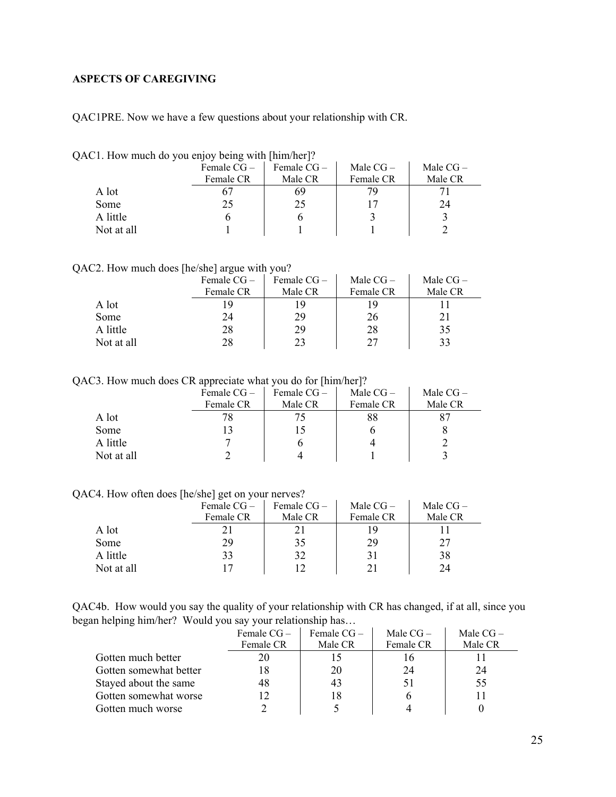## <span id="page-24-0"></span>**ASPECTS OF CAREGIVING**

QAC1PRE. Now we have a few questions about your relationship with CR.

| Male $CG -$<br>Female $CG-$<br>Female $CG-$  | Male $CG -$ |
|----------------------------------------------|-------------|
|                                              |             |
| Male CR<br>Female CR<br>Male CR<br>Female CR |             |
| A lot<br>69<br>7Q                            |             |
| 24<br>25<br>Some<br>25                       |             |
| A little                                     |             |
| Not at all                                   |             |

QAC1. How much do you enjoy being with [him/her]?

#### QAC2. How much does [he/she] argue with you?

|            | Female $CG-$<br>Female CR | Female $CG-$<br>Male CR | Male $CG-$<br>Female CR | Male $CG-$<br>Male CR |
|------------|---------------------------|-------------------------|-------------------------|-----------------------|
| A lot      | , q                       | 19                      |                         |                       |
| Some       | 24                        | 29                      | 26                      |                       |
| A little   | 28                        | 29                      | 28                      | 35                    |
| Not at all | 28                        | 23                      | 27                      | 33                    |

QAC3. How much does CR appreciate what you do for [him/her]?

|            | .<br>Female $CG-$ | Female $CG-$ | Male $CG-$ | Male $CG-$ |
|------------|-------------------|--------------|------------|------------|
|            | Female CR         | Male CR      | Female CR  | Male CR    |
| A lot      |                   |              | 88         |            |
| Some       |                   |              |            |            |
| A little   |                   |              |            |            |
| Not at all |                   |              |            |            |

QAC4. How often does [he/she] get on your nerves?

|            | - -<br>Female $CG -$ | Female $CG-$ | Male $CG-$ | Male $CG-$ |
|------------|----------------------|--------------|------------|------------|
|            | Female CR            | Male CR      | Female CR  | Male CR    |
| A lot      | 21.                  |              | 19         |            |
| Some       | 29                   | 35           | 29         | 27         |
| A little   | 33                   | 32           | 31         | 38         |
| Not at all | 17                   |              |            | 24         |

QAC4b. How would you say the quality of your relationship with CR has changed, if at all, since you began helping him/her? Would you say your relationship has…

|                        | Female CG-<br>Female CR | Female CG-<br>Male CR | Male $CG-$<br>Female CR | Male $CG-$<br>Male CR |
|------------------------|-------------------------|-----------------------|-------------------------|-----------------------|
| Gotten much better     | 20                      |                       |                         |                       |
| Gotten somewhat better | 18                      | 20                    | 24                      | 24                    |
| Stayed about the same  | 48                      | 43                    |                         | 55                    |
| Gotten somewhat worse  | 12                      | 18                    |                         |                       |
| Gotten much worse      |                         |                       |                         |                       |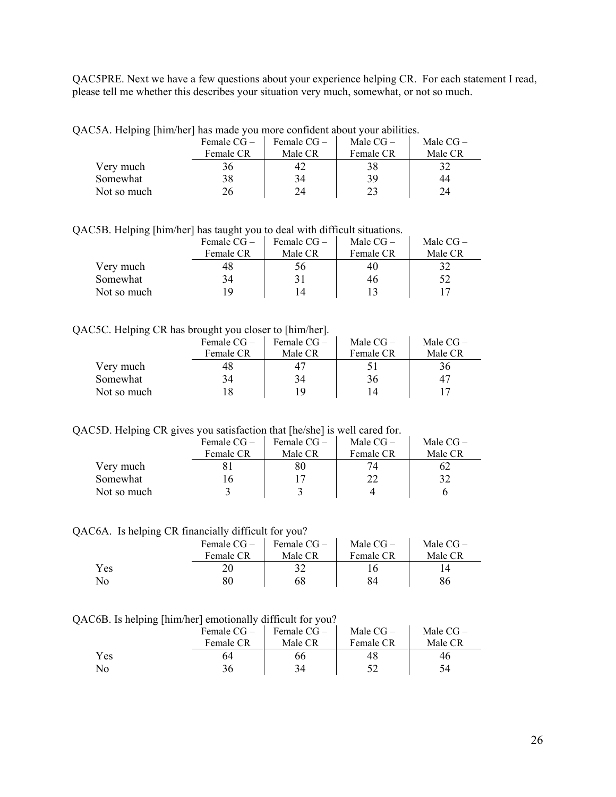QAC5PRE. Next we have a few questions about your experience helping CR. For each statement I read, please tell me whether this describes your situation very much, somewhat, or not so much.

|  | QAC5A. Helping [him/her] has made you more confident about your abilities. |  |
|--|----------------------------------------------------------------------------|--|
|  |                                                                            |  |

|             | Female $CG-$ | Female $CG-$ | Male $CG-$ | Male $CG-$ |
|-------------|--------------|--------------|------------|------------|
|             | Female CR    | Male CR      | Female CR  | Male CR    |
| Very much   | 36           | 42           | 38         | 32         |
| Somewhat    | 38           | 34           | 39         | 44         |
| Not so much | 26           | 24           | 23         | 24         |

QAC5B. Helping [him/her] has taught you to deal with difficult situations.

|             | Female $CG-$ | Female $CG-$ | Male $CG-$ | Male $CG-$ |
|-------------|--------------|--------------|------------|------------|
|             | Female CR    | Male CR      | Female CR  | Male CR    |
| Very much   | 48           | эb           | 40         |            |
| Somewhat    | 34           |              | 46         | 52         |
| Not so much | ۱۹           | 14           |            |            |

#### QAC5C. Helping CR has brought you closer to [him/her].

|             | Female $CG -$ | Female $CG-$ | Male $CG-$ | Male $CG -$ |
|-------------|---------------|--------------|------------|-------------|
|             | Female CR     | Male CR      | Female CR  | Male CR     |
| Very much   | 48            |              |            | 36          |
| Somewhat    | 34            | 34           | 36         | 47          |
| Not so much |               | 19           |            |             |

QAC5D. Helping CR gives you satisfaction that [he/she] is well cared for.

|             | Female $CG-$ | Female $CG-$ | Male $CG-$ | Male $CG-$ |
|-------------|--------------|--------------|------------|------------|
|             | Female CR    | Male CR      | Female CR  | Male CR    |
| Very much   |              | 80           |            | 62         |
| Somewhat    |              |              | 22         | 32         |
| Not so much |              |              |            |            |

#### QAC6A. Is helping CR financially difficult for you?

|     | Female $CG-$<br>Female CR | Female CG-<br>Male CR | Male $CG-$<br>Female CR | Male $CG-$<br>Male CR |
|-----|---------------------------|-----------------------|-------------------------|-----------------------|
|     |                           |                       |                         |                       |
| Yes |                           |                       |                         |                       |
| No  | 80                        | 68                    | 84                      |                       |

#### QAC6B. Is helping [him/her] emotionally difficult for you?

| .   | Female CG – | Female CG - | Male $CG-$ | Male $CG-$ |
|-----|-------------|-------------|------------|------------|
|     | Female CR   | Male CR     | Female CR  | Male CR    |
| Yes | 64          | 66          | 48         | 40         |
| No  |             | 34          |            |            |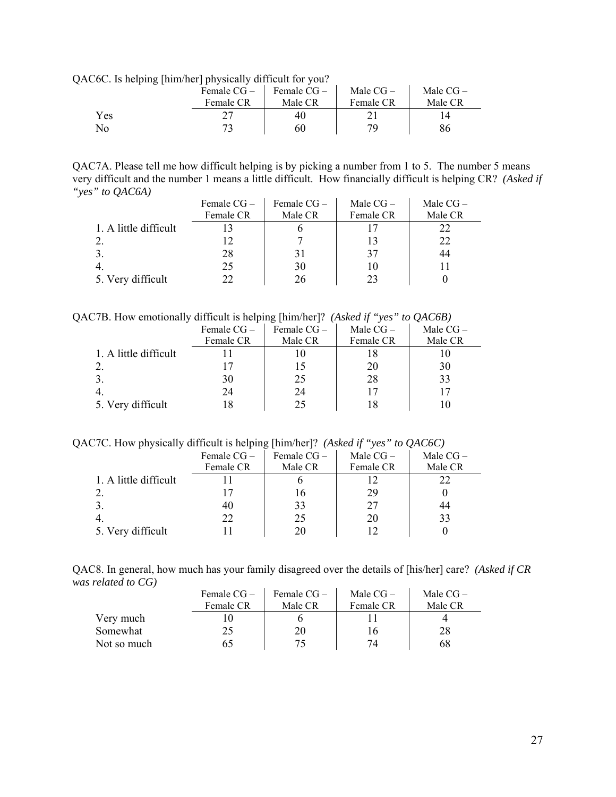QAC6C. Is helping [him/her] physically difficult for you?

|     | . | Female $CG-$ | Female $CG-$ | Male $CG-$ | Male $CG-$ |  |
|-----|---|--------------|--------------|------------|------------|--|
|     |   | Female CR    | Male CR      | Female CR  | Male CR    |  |
| Yes |   |              | 40           |            |            |  |
| No  |   |              | 60           | 70         | 86         |  |

QAC7A. Please tell me how difficult helping is by picking a number from 1 to 5. The number 5 means very difficult and the number 1 means a little difficult. How financially difficult is helping CR? *(Asked if "yes" to QAC6A)*  $\mathcal{L}_{\text{in}}$ 

|                       | Female $CG -$ | Female $CG-$ | Male $CG-$ | Male $CG-$ |
|-----------------------|---------------|--------------|------------|------------|
|                       | Female CR     | Male CR      | Female CR  | Male CR    |
| 1. A little difficult |               |              |            |            |
|                       |               |              |            | 22         |
|                       | 28            |              | 37         | 44         |
|                       | 25            | 30           | 10         |            |
| 5. Very difficult     | 77            | 26           |            |            |

QAC7B. How emotionally difficult is helping [him/her]? *(Asked if "yes" to QAC6B)* 

|                       | Female $CG -$ | Female CG - | Male $CG-$ | Male $CG -$ |
|-----------------------|---------------|-------------|------------|-------------|
|                       | Female CR     | Male CR     | Female CR  | Male CR     |
| 1. A little difficult |               |             |            |             |
|                       |               |             | 20         | 30          |
|                       | 30            | 25          | 28         | 33          |
|                       | 24            | 24          |            |             |
| 5. Very difficult     |               | 25          |            |             |

QAC7C. How physically difficult is helping [him/her]? *(Asked if "yes" to QAC6C)*

| <u>.</u>              | Female $CG -$<br>Female CR | Female $CG -$<br>Male CR | Male $CG-$<br>Female CR | Male $CG-$<br>Male CR |
|-----------------------|----------------------------|--------------------------|-------------------------|-----------------------|
| 1. A little difficult |                            |                          |                         | 22                    |
|                       |                            | Iб                       | 29                      |                       |
|                       | 40                         | 33                       | 27                      | 44                    |
|                       | 22                         | 25                       | 20                      | 33                    |
| 5. Very difficult     |                            | 20                       |                         |                       |

QAC8. In general, how much has your family disagreed over the details of [his/her] care? *(Asked if CR was related to CG)*   $\mathbf{r}$ 

|             | Female $CG-$ | Female $CG-$ | Male $CG-$ | Male $CG-$ |
|-------------|--------------|--------------|------------|------------|
|             | Female CR    | Male CR      | Female CR  | Male CR    |
| Very much   |              |              |            |            |
| Somewhat    |              | 20           | 16         | 28         |
| Not so much |              |              |            | 68         |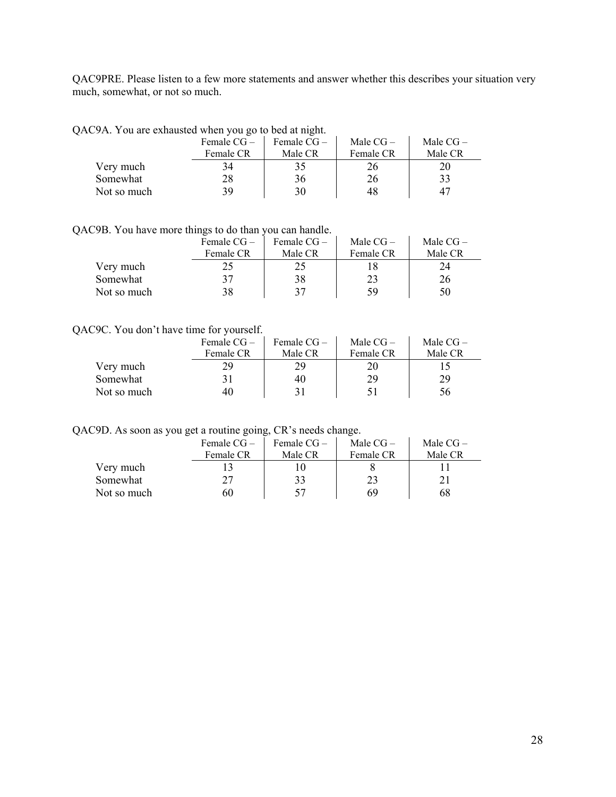QAC9PRE. Please listen to a few more statements and answer whether this describes your situation very much, somewhat, or not so much.

|  | QAC9A. You are exhausted when you go to bed at night. |  |  |
|--|-------------------------------------------------------|--|--|
|--|-------------------------------------------------------|--|--|

|             | Female $CG-$ | Female $CG-$ | Male $CG-$ | Male $CG-$ |
|-------------|--------------|--------------|------------|------------|
|             | Female CR    | Male CR      | Female CR  | Male CR    |
| Very much   |              |              |            |            |
| Somewhat    | 28           | 36           | 26         | 33         |
| Not so much | 39           | 30           | 48         |            |

QAC9B. You have more things to do than you can handle.

|             | Female $CG-$ | Female CG – | Male $CG-$ | Male $CG-$ |
|-------------|--------------|-------------|------------|------------|
|             | Female CR    | Male CR     | Female CR  | Male CR    |
| Very much   |              |             |            | 24         |
| Somewhat    | 37           | 38          | 23         | 26         |
| Not so much | 38           | 37          | 59         | 50         |

## QAC9C. You don't have time for yourself.

|             | Female $CG-$ | Female $CG-$ | Male $CG-$ | Male $CG-$ |
|-------------|--------------|--------------|------------|------------|
|             | Female CR    | Male CR      | Female CR  | Male CR    |
| Very much   | 29           | 29           | 20         |            |
| Somewhat    |              | 40           | 29         | 29         |
| Not so much | 40           |              | ור         | 56         |

QAC9D. As soon as you get a routine going, CR's needs change.

|             | Female $CG-$ | Female $CG-$ | Male $CG-$ | Male $CG-$ |
|-------------|--------------|--------------|------------|------------|
|             | Female CR    | Male CR      | Female CR  | Male CR    |
| Very much   |              |              |            |            |
| Somewhat    | 27           | 33           | 23         |            |
| Not so much | 60           | 57           | 69         | 68         |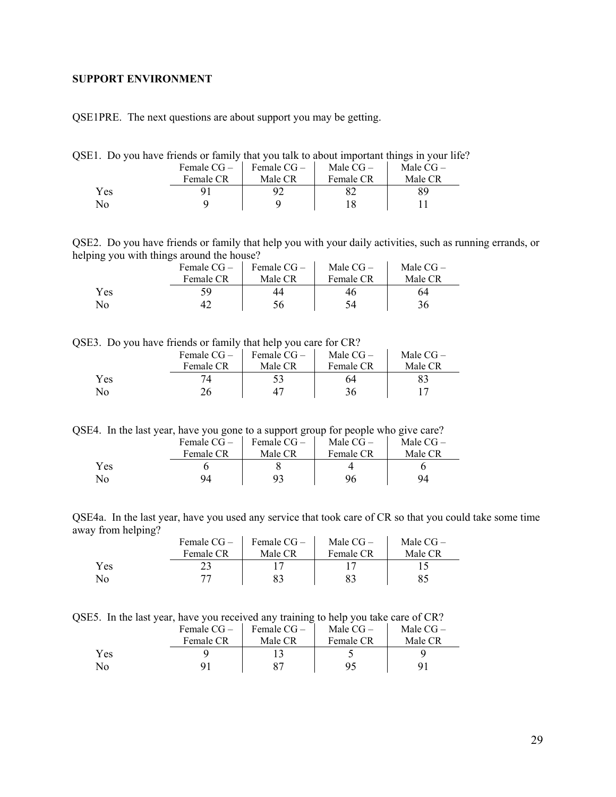## <span id="page-28-0"></span>**SUPPORT ENVIRONMENT**

QSE1PRE. The next questions are about support you may be getting.

| QSE1. Do you have friends or family that you talk to about important things in your life? |  |  |
|-------------------------------------------------------------------------------------------|--|--|
|-------------------------------------------------------------------------------------------|--|--|

|     | Female $CG -$ | Female $CG-$ | Male $CG-$ | Male $CG-$ |
|-----|---------------|--------------|------------|------------|
|     | Female CR     | Male CR      | Female CR  | Male CR    |
| Yes |               |              |            | 89         |
| No. |               |              |            |            |

QSE2. Do you have friends or family that help you with your daily activities, such as running errands, or helping you with things around the house?

|     | Female $CG-$<br>Female CR | Female $CG-$<br>Male CR | Male $CG-$<br>Female CR | Male $CG-$<br>Male CR |
|-----|---------------------------|-------------------------|-------------------------|-----------------------|
| Yes | 59                        | 44                      | 46                      | 64                    |
| No. |                           | 56                      | 54                      | 36                    |

QSE3. Do you have friends or family that help you care for CR?

|     | Female $CG-$ | Female $CG-$ | Male $CG-$ | Male $CG-$ |
|-----|--------------|--------------|------------|------------|
|     | Female CR    | Male CR      | Female CR  | Male CR    |
| Yes |              |              | 64         |            |
| No  |              |              |            |            |

QSE4. In the last year, have you gone to a support group for people who give care?

|     | Female $CG-$ | Female $CG-$ | Male $CG-$ | Male $CG-$ |
|-----|--------------|--------------|------------|------------|
|     | Female CR    | Male CR      | Female CR  | Male CR    |
| Yes |              |              |            |            |
| No  | 94           |              | 96         | 94         |

QSE4a. In the last year, have you used any service that took care of CR so that you could take some time away from helping?

|     | Female $CG-$ | Female $CG-$ | Male $CG-$ | Male $CG-$ |
|-----|--------------|--------------|------------|------------|
|     | Female CR    | Male CR      | Female CR  | Male CR    |
| Yes |              |              |            |            |
| No  |              |              |            |            |

QSE5. In the last year, have you received any training to help you take care of CR?

|     | Female $CG -$ | Female $CG-$ | Male $CG-$ | Male $CG-$ |
|-----|---------------|--------------|------------|------------|
|     | Female CR     | Male CR      | Female CR  | Male CR    |
| Yes |               |              |            |            |
| No  |               |              | 95         |            |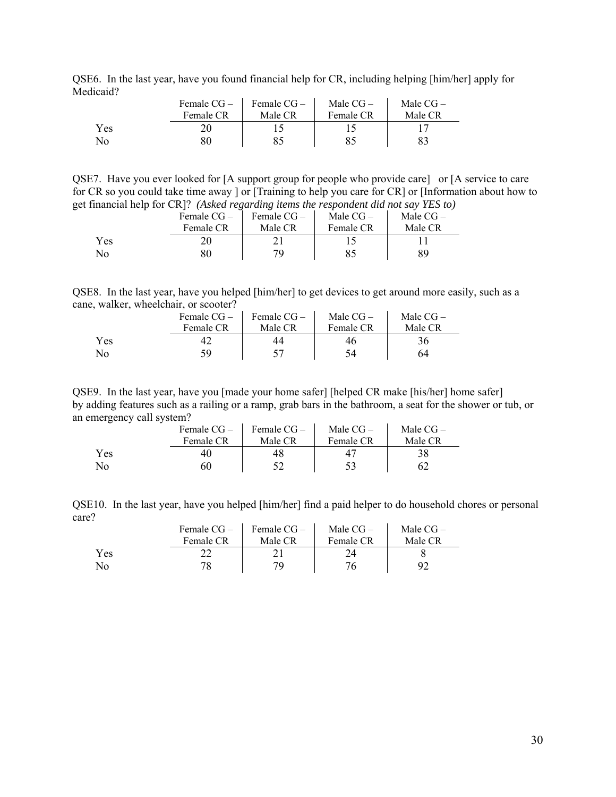QSE6. In the last year, have you found financial help for CR, including helping [him/her] apply for Medicaid?

|     | Female $CG -$ | Female $CG-$ | Male $CG-$ | Male $CG-$ |
|-----|---------------|--------------|------------|------------|
|     | Female CR     | Male CR      | Female CR  | Male CR    |
| Yes |               |              |            |            |
| No  |               |              |            |            |

QSE7. Have you ever looked for [A support group for people who provide care] or [A service to care for CR so you could take time away ] or [Training to help you care for CR] or [Information about how to get financial help for CR]? *(Asked regarding items the respondent did not say YES to)* 

|     | Female $CG-$ | Female $CG-$ | Male $CG-$ | Male $CG-$ |
|-----|--------------|--------------|------------|------------|
|     | Female CR    | Male CR      | Female CR  | Male CR    |
| Yes |              |              |            |            |
| No  |              | 70           |            | RQ         |

QSE8. In the last year, have you helped [him/her] to get devices to get around more easily, such as a cane, walker, wheelchair, or scooter?  $\mathcal{L}_{\text{max}}$  $\sim$ 

|     | Female $CG-$ | Female $CG-$ | Male $CG-$ | Male $CG-$ |
|-----|--------------|--------------|------------|------------|
|     | Female CR    | Male CR      | Female CR  | Male CR    |
| Yes |              |              |            |            |
| No  | 59           |              | 54         | 64         |

QSE9. In the last year, have you [made your home safer] [helped CR make [his/her] home safer] by adding features such as a railing or a ramp, grab bars in the bathroom, a seat for the shower or tub, or an emergency call system?

|     | Female $CG-$ | Female $CG-$ | Male $CG-$ | Male $CG-$ |
|-----|--------------|--------------|------------|------------|
|     | Female CR    | Male CR      | Female CR  | Male CR    |
| Yes | 40           | 48           |            |            |
| No  | 60           |              |            |            |

QSE10. In the last year, have you helped [him/her] find a paid helper to do household chores or personal care?

|            | Female $CG-$ | Female $CG-$ | Male $CG-$ | Male $CG-$ |
|------------|--------------|--------------|------------|------------|
|            | Female CR    | Male CR      | Female CR  | Male CR    |
| <b>Yes</b> |              |              |            |            |
| No         | 78           | 7Ο           |            |            |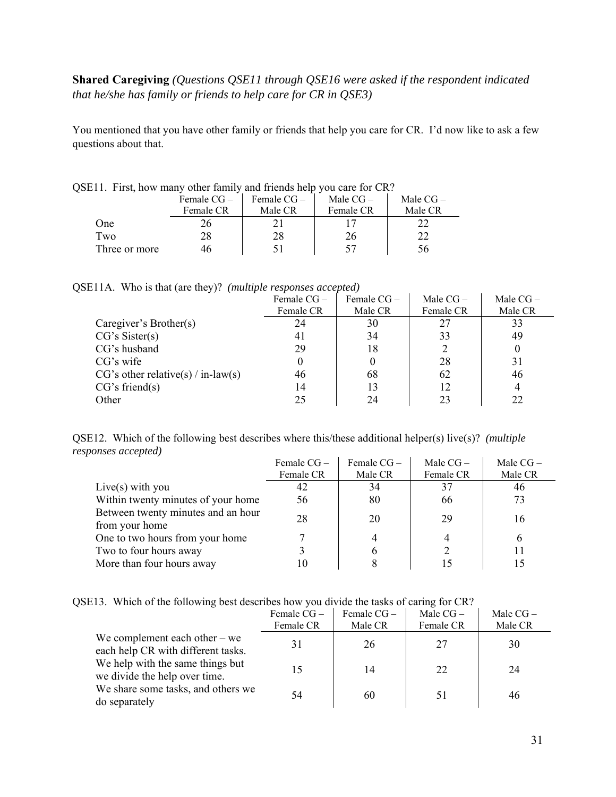## **Shared Caregiving** *(Questions QSE11 through QSE16 were asked if the respondent indicated that he/she has family or friends to help care for CR in QSE3)*

You mentioned that you have other family or friends that help you care for CR. I'd now like to ask a few questions about that.

| $E11.$ First, now many other family and friends neip you care for $CR$ ? |              |              |            |            |  |
|--------------------------------------------------------------------------|--------------|--------------|------------|------------|--|
|                                                                          | Female $CG-$ | Female $CG-$ | Male $CG-$ | Male $CG-$ |  |
|                                                                          | Female CR    | Male CR      | Female CR  | Male CR    |  |
| One                                                                      |              |              |            |            |  |
| Two                                                                      | 28           | 28           | 26         |            |  |
| Three or more                                                            |              |              | 57         | ነስ         |  |

QSE11. First, how many other family and friends help you care for CR?

|  |  | QSE11A. Who is that (are they)? (multiple responses accepted) |  |  |  |
|--|--|---------------------------------------------------------------|--|--|--|
|--|--|---------------------------------------------------------------|--|--|--|

|                                      | Female $CG-$ | Female $CG-$ | Male $CG-$ | Male $CG -$ |
|--------------------------------------|--------------|--------------|------------|-------------|
|                                      | Female CR    | Male CR      | Female CR  | Male CR     |
| Caregiver's Brother(s)               | 24           | 30           | 27         | 33          |
| CG's Sister(s)                       | 41           | 34           | 33         | 49          |
| CG's husband                         | 29           | 18           |            |             |
| CG's wife                            |              |              | 28         | 31          |
| $CG's other relative(s) / in-law(s)$ | 46           | 68           | 62         | 46          |
| CG's friend(s)                       | 14           | 13           | 12         | 4           |
| Other                                | 25           | 24           | 23         | 22          |

QSE12. Which of the following best describes where this/these additional helper(s) live(s)? *(multiple responses accepted)*  $\sim 10$ 

|                                    | Female $CG -$ | Female CG- | Male $CG-$ | Male $CG-$ |
|------------------------------------|---------------|------------|------------|------------|
|                                    | Female CR     | Male CR    | Female CR  | Male CR    |
| Live(s) with you                   | 42            | 34         | 37         | 46         |
| Within twenty minutes of your home | 56            | 80         | 66         | 73         |
| Between twenty minutes and an hour | 28            | 20         | 29         | 16         |
| from your home                     |               |            |            |            |
| One to two hours from your home    |               |            |            |            |
| Two to four hours away             |               | 6          |            |            |
| More than four hours away          | 10            |            |            |            |

QSE13. Which of the following best describes how you divide the tasks of caring for CR?

|                                                                       | Female $CG-$ | Female $CG-$ | Male $CG-$ | Male $CG-$ |
|-----------------------------------------------------------------------|--------------|--------------|------------|------------|
|                                                                       | Female CR    | Male CR      | Female CR  | Male CR    |
| We complement each other $-$ we<br>each help CR with different tasks. | 31           | 26           | 27         | 30         |
| We help with the same things but<br>we divide the help over time.     | 15           | 14           | 22         | 24         |
| We share some tasks, and others we<br>do separately                   | 54           | 60           |            | 46         |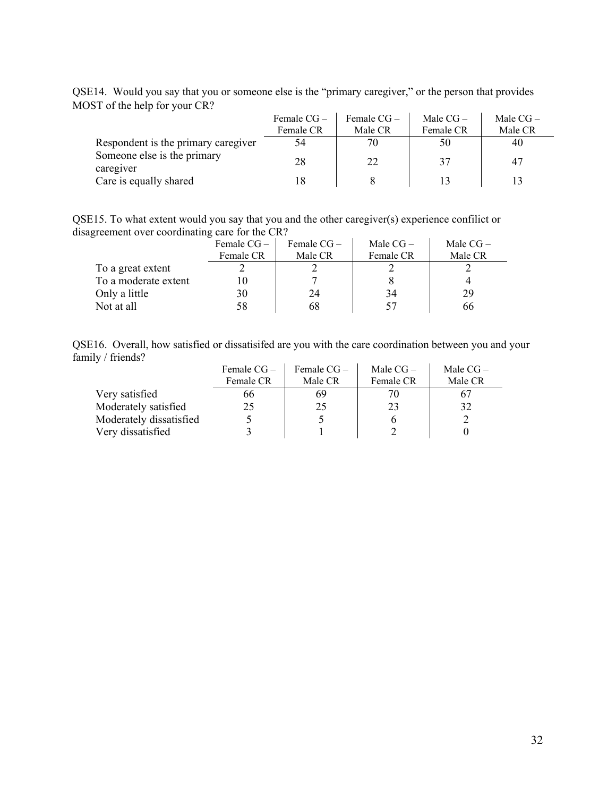QSE14. Would you say that you or someone else is the "primary caregiver," or the person that provides MOST of the help for your CR?

|                                          | Female $CG -$ | Female $CG-$ | Male $CG-$ | Male $CG-$ |
|------------------------------------------|---------------|--------------|------------|------------|
|                                          | Female CR     | Male CR      | Female CR  | Male CR    |
| Respondent is the primary caregiver      | 54            | 70           | 50         | 40         |
| Someone else is the primary<br>caregiver | 28            | 22           | 37         | 47         |
| Care is equally shared                   | 18            |              | 13         |            |

QSE15. To what extent would you say that you and the other caregiver(s) experience confilict or disagreement over coordinating care for the CR?

|                      | Female $CG-$ | Female $CG-$ | Male $CG-$ | Male $CG-$ |
|----------------------|--------------|--------------|------------|------------|
|                      | Female CR    | Male CR      | Female CR  | Male CR    |
| To a great extent    |              |              |            |            |
| To a moderate extent |              |              |            |            |
| Only a little        | 30           | 24           | 34         | 29         |
| Not at all           | 58           | 68           | 57         | 66         |

QSE16. Overall, how satisfied or dissatisifed are you with the care coordination between you and your family / friends?

|                         | Female $CG-$ | Female $CG-$ | Male $CG-$ | Male $CG-$ |
|-------------------------|--------------|--------------|------------|------------|
|                         | Female CR    | Male CR      | Female CR  | Male CR    |
| Very satisfied          | 66           | 69           |            |            |
| Moderately satisfied    | 25           | 25           | 23         | 32         |
| Moderately dissatisfied |              |              |            |            |
| Very dissatisfied       |              |              |            |            |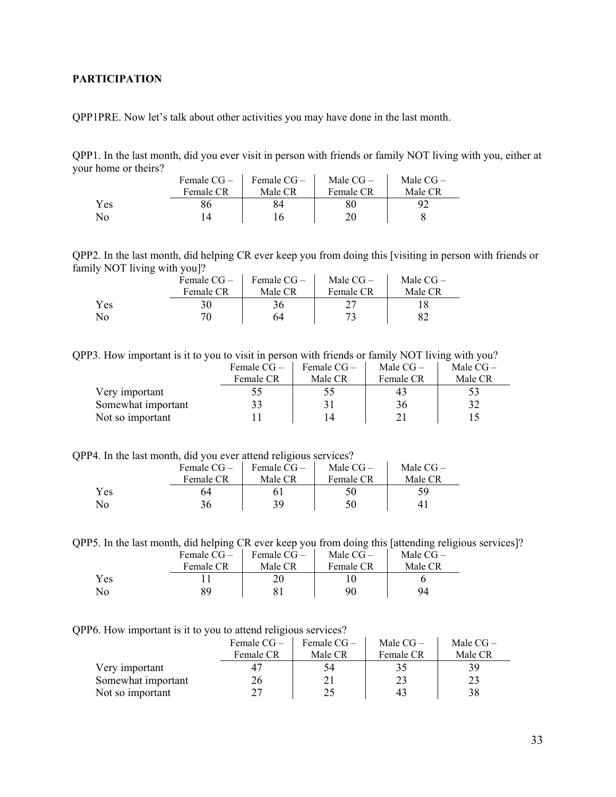## <span id="page-32-0"></span>**PARTICIPATION**

QPP1PRE. Now let's talk about other activities you may have done in the last month.

QPP1. In the last month, did you ever visit in person with friends or family NOT living with you, either at your home or theirs?  $\mathcal{L}_{\rm{in}}$  $\frac{1}{2}$ 

|     | Female $CG-$ | Female CG – | Male $CG-$ | Male $CG-$ |
|-----|--------------|-------------|------------|------------|
|     | Female CR    | Male CR     | Female CR  | Male CR    |
| Yes |              |             |            | 92         |
| No  |              |             |            |            |

QPP2. In the last month, did helping CR ever keep you from doing this [visiting in person with friends or family NOT living with you]?

|                | Female $CG-$ | Female $CG-$ | Male $CG-$ | Male $CG-$ |
|----------------|--------------|--------------|------------|------------|
|                | Female CR    | Male CR      | Female CR  | Male CR    |
| Yes            |              | 36           |            |            |
| N <sub>0</sub> | 70.          | 64           | 73         |            |

QPP3. How important is it to you to visit in person with friends or family NOT living with you?

|                    | Female $CG-$ | Female $CG-$ | Male $CG-$ | Male $CG-$ |
|--------------------|--------------|--------------|------------|------------|
|                    | Female CR    | Male CR      | Female CR  | Male CR    |
| Very important     | $22^{\circ}$ | 55           | 43         | 53         |
| Somewhat important | 33           | 31           | 36         | 32         |
| Not so important   |              | 14           |            |            |

QPP4. In the last month, did you ever attend religious services?

|     | Female $CG-$ | Female CG – | Male $CG-$ | Male $CG-$ |
|-----|--------------|-------------|------------|------------|
|     | Female CR    | Male CR     | Female CR  | Male CR    |
| Yes | 64           |             |            | 59         |
| No. |              | 39.         |            |            |

QPP5. In the last month, did helping CR ever keep you from doing this [attending religious services]?

|     | Female $CG-$ | Female CG – | Male $CG-$ | Male $CG-$ |  |
|-----|--------------|-------------|------------|------------|--|
|     | Female CR    | Male CR     | Female CR  | Male CR    |  |
| Yes |              |             |            |            |  |
| No  |              |             | 90         | 94         |  |

QPP6. How important is it to you to attend religious services?

|                    | Female $CG-$ | Female $CG-$ | Male $CG-$ | Male $CG-$ |
|--------------------|--------------|--------------|------------|------------|
|                    | Female CR    | Male CR      | Female CR  | Male CR    |
| Very important     |              | 34           |            | 39         |
| Somewhat important | 26           |              | 23         | 23         |
| Not so important   |              | 25           | 43         | 38         |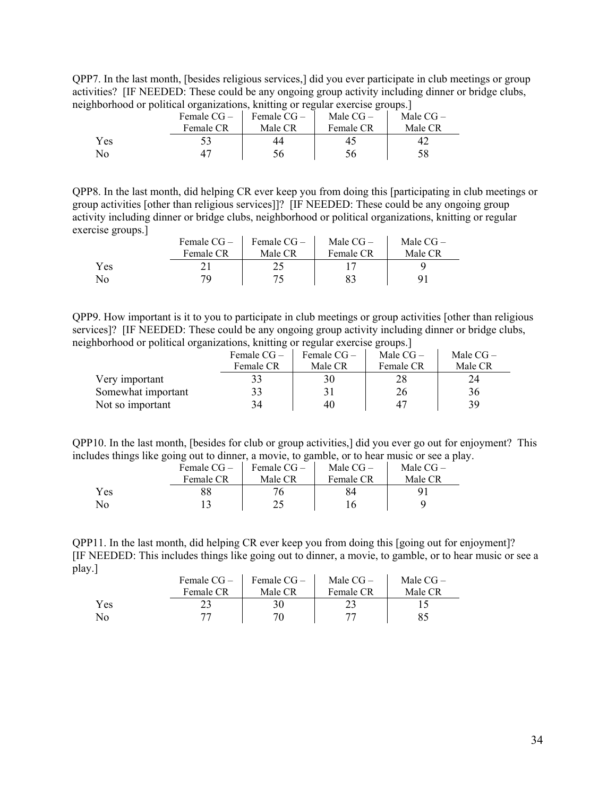QPP7. In the last month, [besides religious services,] did you ever participate in club meetings or group activities? [IF NEEDED: These could be any ongoing group activity including dinner or bridge clubs, neighborhood or political organizations, knitting or regular exercise groups.]

|     | Female $CG-$<br>Female CR | Female $CG-$<br>Male CR | Male $CG-$<br>Female CR | Male $CG-$<br>Male CR |
|-----|---------------------------|-------------------------|-------------------------|-----------------------|
| Yes |                           |                         |                         |                       |
| No  |                           |                         |                         | 58                    |

QPP8. In the last month, did helping CR ever keep you from doing this [participating in club meetings or group activities [other than religious services]]? [IF NEEDED: These could be any ongoing group activity including dinner or bridge clubs, neighborhood or political organizations, knitting or regular exercise groups.]

|     | Female $CG-$ | Female $CG-$ | Male $CG-$ | Male $CG-$ |
|-----|--------------|--------------|------------|------------|
|     | Female CR    | Male CR      | Female CR  | Male CR    |
| Yes |              |              |            |            |
| No  | 70           |              |            |            |

QPP9. How important is it to you to participate in club meetings or group activities [other than religious services]? [IF NEEDED: These could be any ongoing group activity including dinner or bridge clubs, neighborhood or political organizations, knitting or regular exercise groups.]

|                    | Female $CG-$ | Female $CG-$ | Male $CG-$ | Male $CG-$ |
|--------------------|--------------|--------------|------------|------------|
|                    | Female CR    | Male CR      | Female CR  | Male CR    |
| Very important     |              | 30           |            |            |
| Somewhat important |              |              | 26         | 36         |
| Not so important   | 34           | 40           | 47         | 39         |

QPP10. In the last month, [besides for club or group activities,] did you ever go out for enjoyment? This includes things like going out to dinner, a movie, to gamble, or to hear music or see a play.

|                  | Female $CG -$ | Female $CG-$ | Male $CG-$ | Male $CG-$ |
|------------------|---------------|--------------|------------|------------|
|                  | Female CR     | Male CR      | Female CR  | Male CR    |
| Yes              |               |              |            |            |
| $\overline{N}$ o |               | າເ           |            |            |

QPP11. In the last month, did helping CR ever keep you from doing this [going out for enjoyment]? [IF NEEDED: This includes things like going out to dinner, a movie, to gamble, or to hear music or see a play.]

|     | Female $CG-$ | Female $CG-$ | Male $CG-$ | Male $CG-$ |
|-----|--------------|--------------|------------|------------|
|     | Female CR    | Male CR      | Female CR  | Male CR    |
| Yes |              | 30           |            |            |
| No  |              | 70           |            |            |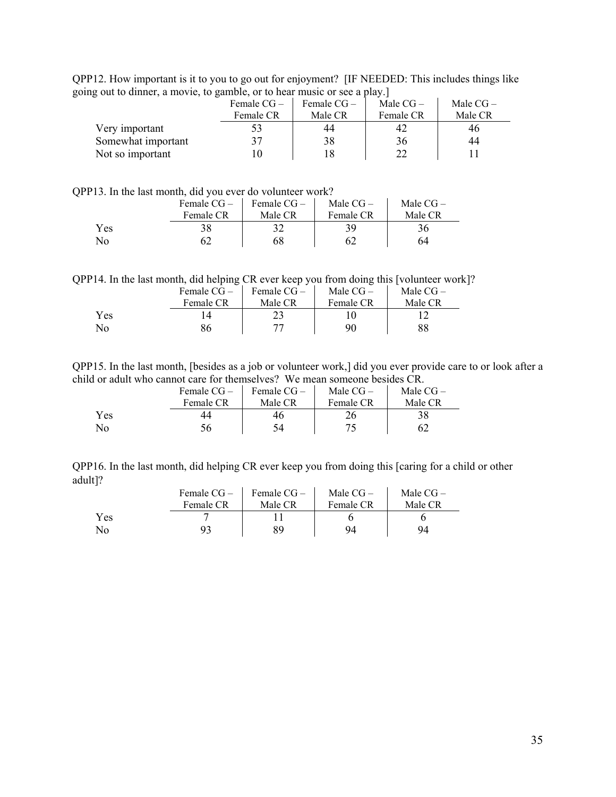QPP12. How important is it to you to go out for enjoyment? [IF NEEDED: This includes things like going out to dinner, a movie, to gamble, or to hear music or see a play.]

| $\Box$ we can also the contract $\Box$ and $\Box$ is the contract of $\Box$ . We have the proof of |              |             |            |            |
|----------------------------------------------------------------------------------------------------|--------------|-------------|------------|------------|
|                                                                                                    | Female $CG-$ | Female CG – | Male $CG-$ | Male $CG-$ |
|                                                                                                    | Female CR    | Male CR     | Female CR  | Male CR    |
| Very important                                                                                     |              | 44          |            | 40         |
| Somewhat important                                                                                 |              | 38          | 36         | 44         |
| Not so important                                                                                   |              | 18          | 22         |            |
|                                                                                                    |              |             |            |            |

QPP13. In the last month, did you ever do volunteer work?

|     | Female $CG-$ | Female $CG-$ | Male $CG-$ | Male $CG-$ |
|-----|--------------|--------------|------------|------------|
|     | Female CR    | Male CR      | Female CR  | Male CR    |
| Yes |              |              |            |            |
| No  |              | 68           |            | 64         |

QPP14. In the last month, did helping CR ever keep you from doing this [volunteer work]?

|     | Female $CG -$ | Female $CG-$ | Male $CG-$ | Male $CG-$ |
|-----|---------------|--------------|------------|------------|
|     | Female CR     | Male CR      | Female CR  | Male CR    |
| Yes |               |              |            |            |
| No  | 86            |              | 90         | 88         |

QPP15. In the last month, [besides as a job or volunteer work,] did you ever provide care to or look after a child or adult who cannot care for themselves? We mean someone besides CR.

|     | Female CG - | Female CG – | Male $CG-$ | Male $CG-$ |
|-----|-------------|-------------|------------|------------|
|     | Female CR   | Male CR     | Female CR  | Male CR    |
| Yes | 44          | 46          |            | 38         |
| No  | 56          | 54          |            |            |

QPP16. In the last month, did helping CR ever keep you from doing this [caring for a child or other adult]?  $\mathbf{r}$ 

|     | Female $CG-$ | Female $CG-$ | Male $CG-$ | Male $CG-$ |
|-----|--------------|--------------|------------|------------|
|     | Female CR    | Male CR      | Female CR  | Male CR    |
| Yes |              |              |            |            |
| No  | 93           |              | 94         | 94         |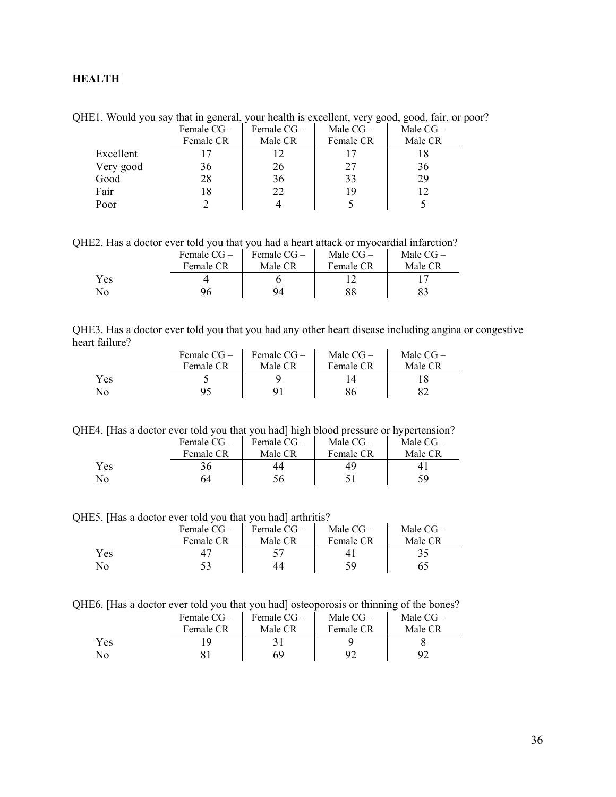## <span id="page-35-0"></span>**HEALTH**

QHE1. Would you say that in general, your health is excellent, very good, good, fair, or poor? Female  $CG - \vert$  Female  $CG - \vert$  Male  $CG - \vert$  Male  $CG - \vert$ 

|           | $r$ emaile $C\cup$ | $r$ emaile $C\cup$ | $M$ aie C $U -$ | Next $C_{\rm O}$ $-$ |
|-----------|--------------------|--------------------|-----------------|----------------------|
|           | Female CR          | Male CR            | Female CR       | Male CR              |
| Excellent |                    |                    |                 |                      |
| Very good | 36                 | 26                 | 27              | 36                   |
| Good      | 28                 | 36                 | 33              | 29                   |
| Fair      | 18                 | 22                 | 19              |                      |
| Poor      |                    |                    |                 |                      |

QHE2. Has a doctor ever told you that you had a heart attack or myocardial infarction?

|                | Female CG - | Female $CG-$ | Male $CG-$ | Male $CG-$ |
|----------------|-------------|--------------|------------|------------|
|                | Female CR   | Male CR      | Female CR  | Male CR    |
| Yes            |             |              |            |            |
| N <sub>0</sub> | 96          | 94           | 88         |            |

| QHE3. Has a doctor ever told you that you had any other heart disease including angina or congestive |  |  |  |  |
|------------------------------------------------------------------------------------------------------|--|--|--|--|
| heart failure?                                                                                       |  |  |  |  |

|     | Female $CG-$ | Female $CG-$ | Male $CG-$ | Male $CG-$ |
|-----|--------------|--------------|------------|------------|
|     | Female CR    | Male CR      | Female CR  | Male CR    |
| Yes |              |              |            |            |
| No  |              |              |            |            |

QHE4. [Has a doctor ever told you that you had] high blood pressure or hypertension?

|                | Female CG – | Female $CG-$ | Male $CG-$ | Male $CG-$ |
|----------------|-------------|--------------|------------|------------|
|                | Female CR   | Male CR      | Female CR  | Male CR    |
| Yes            |             |              |            |            |
| N <sub>0</sub> | 54          | 56           |            | 59         |

QHE5. [Has a doctor ever told you that you had] arthritis?

|     | Female $CG-$ | Female $CG -$ | Male $CG-$ | Male $CG-$ |
|-----|--------------|---------------|------------|------------|
|     | Female CR    | Male CR       | Female CR  | Male CR    |
| Yes |              |               |            |            |
| No  |              |               | 59         | 65         |

QHE6. [Has a doctor ever told you that you had] osteoporosis or thinning of the bones?

|     | Female $CG-$ | Female $CG-$ | Male $CG-$ | Male $CG-$ |
|-----|--------------|--------------|------------|------------|
|     | Female CR    | Male CR      | Female CR  | Male CR    |
| Yes |              |              |            |            |
| No  |              | 69           | 97         |            |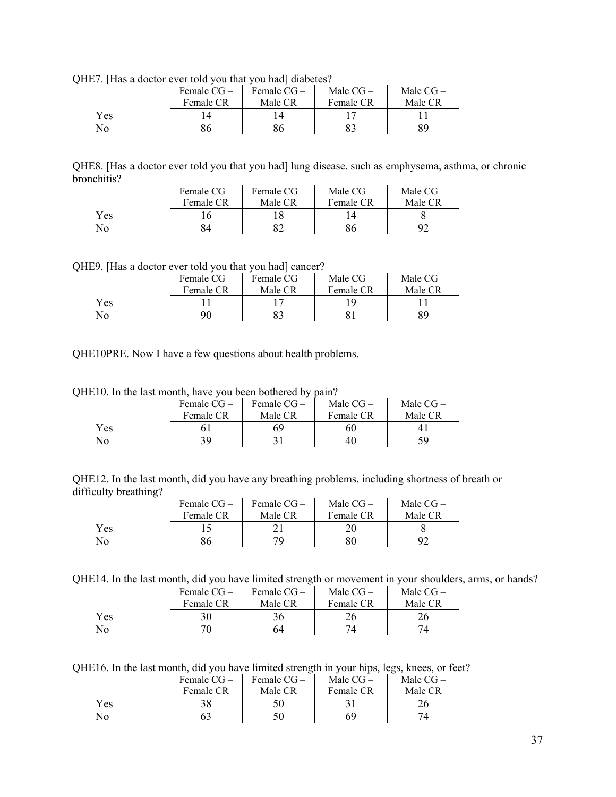QHE7. [Has a doctor ever told you that you had] diabetes?

|     | Female $CG-$ | Female $CG-$ | Male $CG-$ | Male $CG-$ |  |
|-----|--------------|--------------|------------|------------|--|
|     | Female CR    | Male CR      | Female CR  | Male CR    |  |
| Yes |              |              |            |            |  |
| No  |              |              |            | 89         |  |

QHE8. [Has a doctor ever told you that you had] lung disease, such as emphysema, asthma, or chronic bronchitis?  $\mathcal{L}_{\rm{max}}$  $\mathcal{L}$ 

|     | Female $CG-$ | Female $CG-$ | Male $CG-$ | Male $CG-$ |
|-----|--------------|--------------|------------|------------|
|     | Female CR    | Male CR      | Female CR  | Male CR    |
| Yes |              |              |            |            |
| No  |              |              | 86         |            |

QHE9. [Has a doctor ever told you that you had] cancer?

|     | Female $CG -$<br>Female CR | Female $CG-$<br>Male CR | Male $CG-$<br>Female CR | Male $CG-$<br>Male CR |
|-----|----------------------------|-------------------------|-------------------------|-----------------------|
| Yes |                            |                         |                         |                       |
| No  | 90                         |                         |                         | 89                    |

QHE10PRE. Now I have a few questions about health problems.

QHE10. In the last month, have you been bothered by pain?

|     | Female $CG-$ | Female $CG-$ | Male $CG-$ | Male $CG-$ |
|-----|--------------|--------------|------------|------------|
|     | Female CR    | Male CR      | Female CR  | Male CR    |
| Yes |              | 69           | 60         |            |
| No  | 39           |              | 40         | 54         |

QHE12. In the last month, did you have any breathing problems, including shortness of breath or difficulty breathing?

|     | Female $CG-$ | Female $CG-$ | Male $CG-$ | Male $CG-$ |
|-----|--------------|--------------|------------|------------|
|     | Female CR    | Male CR      | Female CR  | Male CR    |
| Yes |              |              |            |            |
| No  | 86           | 70           | 80         | 92         |

QHE14. In the last month, did you have limited strength or movement in your shoulders, arms, or hands?

|     | Female $CG-$ | Female $CG-$ | Male $CG-$ | Male $CG-$ |
|-----|--------------|--------------|------------|------------|
|     | Female CR    | Male CR      | Female CR  | Male CR    |
| Yes | 30           |              |            |            |
| No  | 70.          | 64           | 74         | 74         |

QHE16. In the last month, did you have limited strength in your hips, legs, knees, or feet?

|     | Female $CG -$ | Female $CG-$ | Male $CG-$ | Male $CG-$ |
|-----|---------------|--------------|------------|------------|
|     | Female CR     | Male CR      | Female CR  | Male CR    |
| Yes |               |              |            |            |
| No  |               |              | 69         | 74         |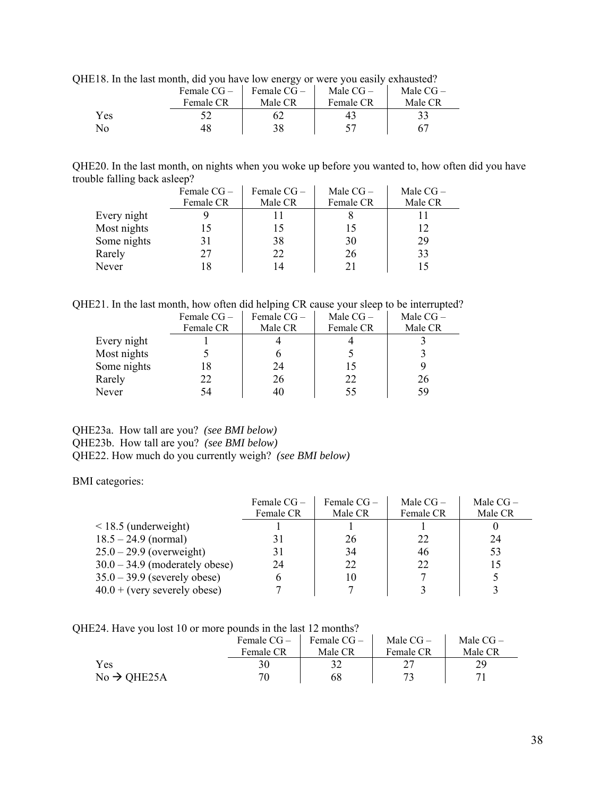| $\sim$ 10. In the fast momen, that you have low energy of were you casify exhausted. |             |              |            |            |  |
|--------------------------------------------------------------------------------------|-------------|--------------|------------|------------|--|
|                                                                                      | Female CG – | Female $CG-$ | Male $CG-$ | Male $CG-$ |  |
|                                                                                      | Female CR   | Male CR      | Female CR  | Male CR    |  |
| Yes                                                                                  |             | 62           | 43         | 33         |  |
| N <sub>0</sub>                                                                       |             | 38           |            | 67         |  |
|                                                                                      |             |              |            |            |  |

QHE18. In the last month, did you have low energy or were you easily exhausted?

QHE20. In the last month, on nights when you woke up before you wanted to, how often did you have trouble falling back asleep?

|             | Female CG- | Female $CG-$ | Male $CG-$ | Male $CG-$ |
|-------------|------------|--------------|------------|------------|
|             | Female CR  | Male CR      | Female CR  | Male CR    |
| Every night |            |              |            |            |
| Most nights |            |              | L5         |            |
| Some nights |            | 38           | 30         | 29         |
| Rarely      | 27         | 22           | 26         | 33         |
| Never       |            |              | 21         |            |

QHE21. In the last month, how often did helping CR cause your sleep to be interrupted?

|             | Female $CG -$ | Female CG- | Male $CG-$ | Male $CG-$ |
|-------------|---------------|------------|------------|------------|
|             | Female CR     | Male CR    | Female CR  | Male CR    |
| Every night |               |            |            |            |
| Most nights |               |            |            |            |
| Some nights |               | 24         | 15         |            |
| Rarely      | 22            | 26         | 22         | 26         |
| Never       | 54            | 40         | 55         | 59         |

### QHE23a. How tall are you? *(see BMI below)* QHE23b. How tall are you? *(see BMI below)* QHE22. How much do you currently weigh? *(see BMI below)*

BMI categories:

|                                  | Female $CG-$ | Female $CG-$ | Male $CG-$ | Male $CG-$ |
|----------------------------------|--------------|--------------|------------|------------|
|                                  | Female CR    | Male CR      | Female CR  | Male CR    |
| $\leq$ 18.5 (underweight)        |              |              |            |            |
| $18.5 - 24.9$ (normal)           | 31           | 26           | 22         | 24         |
| $25.0 - 29.9$ (overweight)       | 31           | 34           | 46         | 53         |
| $30.0 - 34.9$ (moderately obese) | 24           | 22           | 22         | 15         |
| $35.0 - 39.9$ (severely obese)   | 6            | 10           |            |            |
| $40.0 + (very severely obese)$   |              |              |            |            |

QHE24. Have you lost 10 or more pounds in the last 12 months?

|                         | Female CG –<br>Female CR | Female CG-<br>Male CR | Male $CG-$<br>Female CR | Male $CG-$<br>Male CR |
|-------------------------|--------------------------|-----------------------|-------------------------|-----------------------|
| Yes                     |                          |                       |                         |                       |
| $No \rightarrow QHE25A$ | 70                       | 68                    |                         |                       |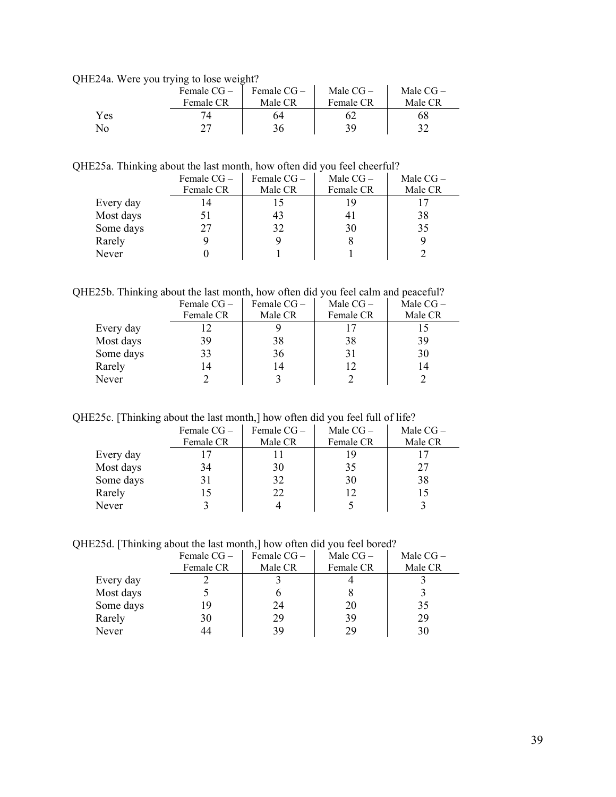QHE24a. Were you trying to lose weight?

|     | Female $CG-$ | Female CG- | Male $CG-$ | Male $CG-$ |
|-----|--------------|------------|------------|------------|
|     | Female CR    | Male CR    | Female CR  | Male CR    |
| Yes |              | 64         | 62         | 68         |
| No  |              |            | 39         |            |

QHE25a. Thinking about the last month, how often did you feel cheerful?

|           | Female $CG -$ | Female $CG -$ | Male $CG-$ | Male $CG-$ |
|-----------|---------------|---------------|------------|------------|
|           | Female CR     | Male CR       | Female CR  | Male CR    |
| Every day |               |               |            |            |
| Most days |               | 43            | 41         | 38         |
| Some days |               | 32            | 30         | 35         |
| Rarely    |               |               |            |            |
| Never     |               |               |            |            |

QHE25b. Thinking about the last month, how often did you feel calm and peaceful?

|           | Female $CG -$ | Female $CG -$ | Male $CG-$ | Male $CG-$ |
|-----------|---------------|---------------|------------|------------|
|           | Female CR     | Male CR       | Female CR  | Male CR    |
| Every day |               |               |            |            |
| Most days | 39            | 38            | 38         | 39         |
| Some days | 33            | 36            | 31         | 30         |
| Rarely    |               | 14            | 12         | 14         |
| Never     |               |               |            |            |

QHE25c. [Thinking about the last month,] how often did you feel full of life?

|           | Female $CG -$ | Female $CG -$ | Male $CG-$ | Male $CG-$ |
|-----------|---------------|---------------|------------|------------|
|           | Female CR     | Male CR       | Female CR  | Male CR    |
| Every day |               |               | 19         |            |
| Most days | 34            | 30            | 35         | 27         |
| Some days | 31            | 32            | 30         | 38         |
| Rarely    |               | 22            | 12         |            |
| Never     |               |               |            |            |

QHE25d. [Thinking about the last month,] how often did you feel bored?

|              | Female $CG -$ | Female $CG-$ | Male $CG-$ | Male $CG-$ |
|--------------|---------------|--------------|------------|------------|
|              | Female CR     | Male CR      | Female CR  | Male CR    |
| Every day    |               |              |            |            |
| Most days    |               |              |            |            |
| Some days    | 19            | 24           | 20         | 35         |
| Rarely       | 30            | 29           | 39         | 29         |
| <b>Never</b> |               | 39           | 29         |            |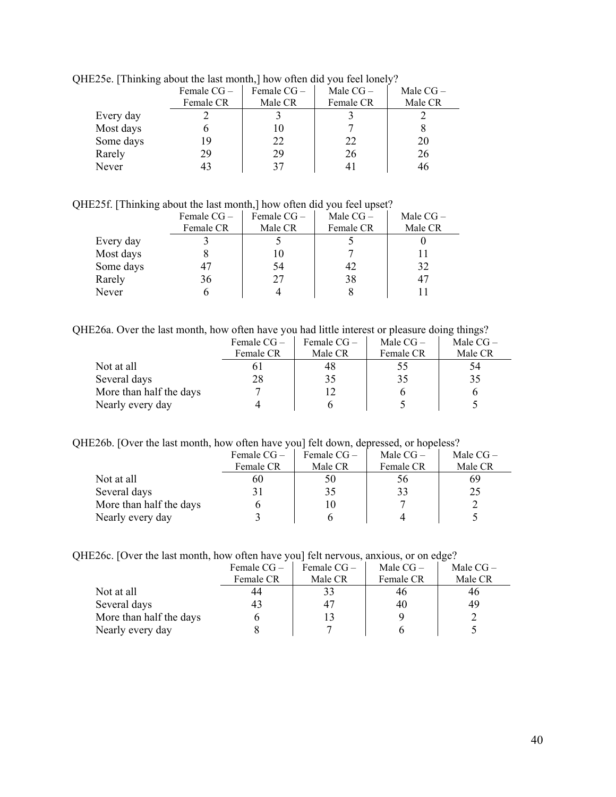| $\omega$ , runnaing about the hast monthly now onen and you feel follery. |               |            |            |            |  |  |  |
|---------------------------------------------------------------------------|---------------|------------|------------|------------|--|--|--|
|                                                                           | Female $CG -$ | Female CG- | Male $CG-$ | Male $CG-$ |  |  |  |
|                                                                           | Female CR     | Male CR    | Female CR  | Male CR    |  |  |  |
| Every day                                                                 |               |            |            |            |  |  |  |
| Most days                                                                 |               | 10         |            |            |  |  |  |
| Some days                                                                 | 19            | 22         | 22         | 20         |  |  |  |
| Rarely                                                                    | 29            | 29         | 26         | 26         |  |  |  |
| Never                                                                     |               |            |            |            |  |  |  |

QHE25e. [Thinking about the last month,] how often did you feel lonely?

QHE25f. [Thinking about the last month,] how often did you feel upset?

|           | Female CG-<br>Female CR | Female CG-<br>Male CR | Male $CG-$<br>Female CR | Male $CG-$<br>Male CR |
|-----------|-------------------------|-----------------------|-------------------------|-----------------------|
| Every day |                         |                       |                         |                       |
| Most days |                         |                       |                         |                       |
| Some days |                         | 54                    | 42                      | 32                    |
| Rarely    | 36                      | 27                    | 38                      |                       |
| Never     |                         |                       |                         |                       |

QHE26a. Over the last month, how often have you had little interest or pleasure doing things?

|                         | Female $CG-$ | Female CG – | Male $CG-$ | Male $CG-$ |
|-------------------------|--------------|-------------|------------|------------|
|                         | Female CR    | Male CR     | Female CR  | Male CR    |
| Not at all              |              | 48          | 55         | 54         |
| Several days            | 28           | 35          | 35         | 35         |
| More than half the days |              | 12          |            |            |
| Nearly every day        |              |             |            |            |

QHE26b. [Over the last month, how often have you] felt down, depressed, or hopeless?

|                         | Female $CG-$ | Female $CG-$ | Male $CG-$ | Male $CG-$ |
|-------------------------|--------------|--------------|------------|------------|
|                         | Female CR    | Male CR      | Female CR  | Male CR    |
| Not at all              | 60           | 50           | 56         | 69         |
| Several days            |              | 35           | 33         | 25         |
| More than half the days |              | 10           |            |            |
| Nearly every day        |              |              |            |            |

|  | QHE26c. [Over the last month, how often have you] felt nervous, anxious, or on edge? |  |  |  |  |  |
|--|--------------------------------------------------------------------------------------|--|--|--|--|--|
|  |                                                                                      |  |  |  |  |  |

|                         | Female $CG-$ | Female $CG-$ | Male $CG-$ | Male $CG-$ |
|-------------------------|--------------|--------------|------------|------------|
|                         | Female CR    | Male CR      | Female CR  | Male CR    |
| Not at all              | 44           | 33           | 46         | 46         |
| Several days            |              | 47           | 40         | 49         |
| More than half the days |              | 13           |            |            |
| Nearly every day        |              |              |            |            |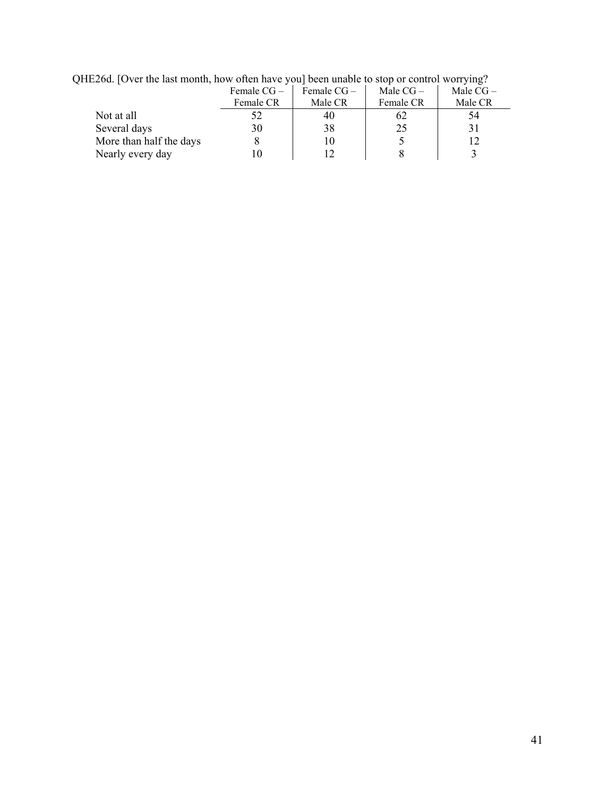| Female $CG-$ | Female $CG-$ | Male $CG-$ | Male $CG-$ |  |  |  |  |
|--------------|--------------|------------|------------|--|--|--|--|
| Female CR    | Male CR      | Female CR  | Male CR    |  |  |  |  |
|              | 40           | 62         | 54         |  |  |  |  |
| 30           | 38           | 25         |            |  |  |  |  |
|              |              |            |            |  |  |  |  |
|              |              |            |            |  |  |  |  |
|              |              |            |            |  |  |  |  |

QHE26d. [Over the last month, how often have you] been unable to stop or control worrying?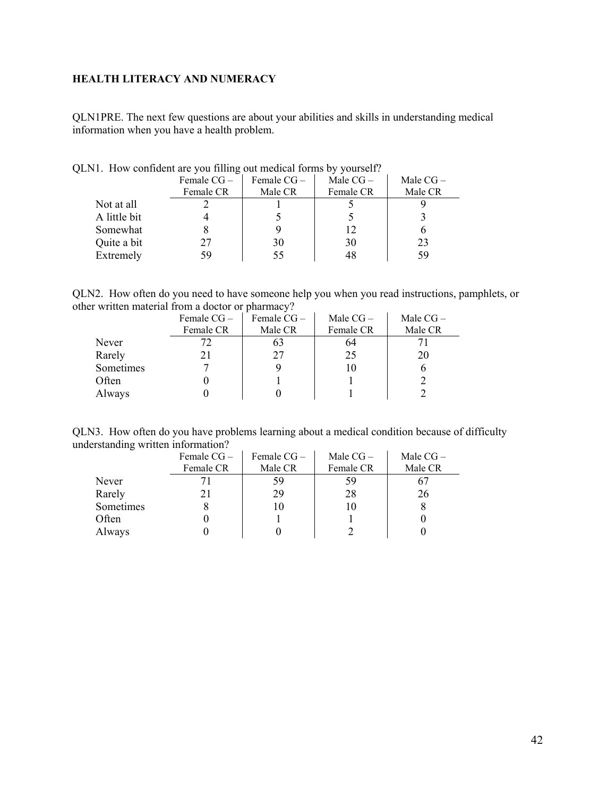## <span id="page-41-0"></span>**HEALTH LITERACY AND NUMERACY**

QLN1PRE. The next few questions are about your abilities and skills in understanding medical information when you have a health problem.

|              | Female $CG -$ | Female $CG -$ | Male $CG-$ | Male $CG-$ |  |
|--------------|---------------|---------------|------------|------------|--|
|              | Female CR     | Male CR       | Female CR  | Male CR    |  |
| Not at all   |               |               |            |            |  |
| A little bit |               |               |            |            |  |
| Somewhat     |               |               | 12         |            |  |
| Quite a bit  | 27            | 30            | 30         | 23         |  |
| Extremely    | 59            |               | 48         | 59         |  |
|              |               |               |            |            |  |

QLN1. How confident are you filling out medical forms by yourself?

QLN2. How often do you need to have someone help you when you read instructions, pamphlets, or other written material from a doctor or pharmacy?

|           | Female $CG -$ | Female $CG -$ | Male $CG-$ | Male $CG-$ |
|-----------|---------------|---------------|------------|------------|
|           | Female CR     | Male CR       | Female CR  | Male CR    |
| Never     |               |               | 64         |            |
| Rarely    |               |               | 25         | 20         |
| Sometimes |               |               | 10         |            |
| Often     |               |               |            |            |
| Always    |               |               |            |            |

QLN3. How often do you have problems learning about a medical condition because of difficulty understanding written information?

|           | Female $CG -$ | Female $CG -$ | Male $CG-$ | Male $CG-$ |
|-----------|---------------|---------------|------------|------------|
|           | Female CR     | Male CR       | Female CR  | Male CR    |
| Never     |               | 59            | 59         |            |
| Rarely    |               | 29            | 28         | 26         |
| Sometimes |               | 10            | 10         |            |
| Often     |               |               |            |            |
| Always    |               |               |            |            |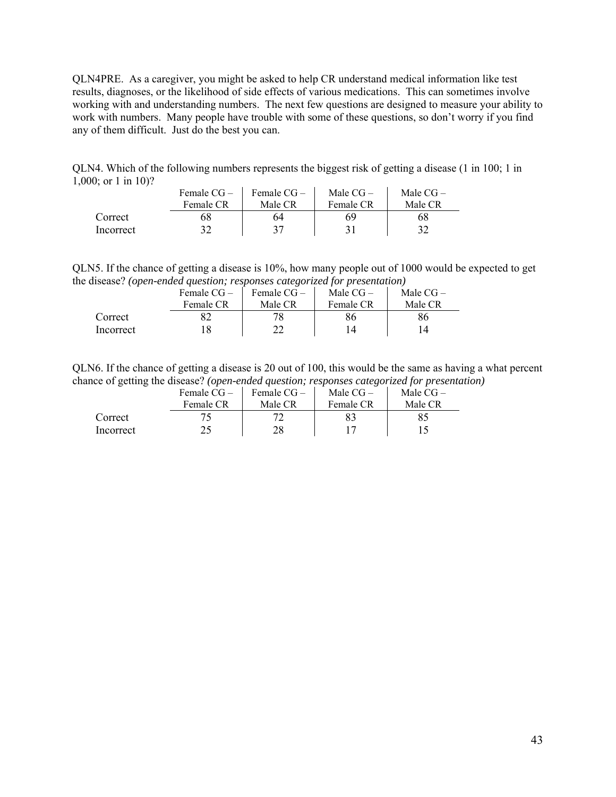QLN4PRE. As a caregiver, you might be asked to help CR understand medical information like test results, diagnoses, or the likelihood of side effects of various medications. This can sometimes involve working with and understanding numbers. The next few questions are designed to measure your ability to work with numbers. Many people have trouble with some of these questions, so don't worry if you find any of them difficult. Just do the best you can.

QLN4. Which of the following numbers represents the biggest risk of getting a disease (1 in 100; 1 in 1,000; or 1 in 10)?

|           | Female $CG-$ | Female CG – | Male $CG-$ | Male $CG-$ |
|-----------|--------------|-------------|------------|------------|
|           | Female CR    | Male CR     | Female CR  | Male CR    |
| Correct   | რგ           | 64          | 69         | 68         |
| Incorrect | רי           |             |            |            |

QLN5. If the chance of getting a disease is 10%, how many people out of 1000 would be expected to get the disease? *(open-ended question; responses categorized for presentation)*

|           | Female $CG-$ | Female $CG-$ | Male $CG-$ | Male $CG-$ |
|-----------|--------------|--------------|------------|------------|
|           | Female CR    | Male CR      | Female CR  | Male CR    |
| Correct   |              |              | 86         | 86         |
| Incorrect |              |              |            | l 4        |

QLN6. If the chance of getting a disease is 20 out of 100, this would be the same as having a what percent chance of getting the disease? *(open-ended question; responses categorized for presentation)*

|           | Female $CG-$ | Female $CG-$ | Male $CG-$ | Male $CG-$ |
|-----------|--------------|--------------|------------|------------|
|           | Female CR    | Male CR      | Female CR  | Male CR    |
| Correct   |              |              |            |            |
| Incorrect |              | 28           |            |            |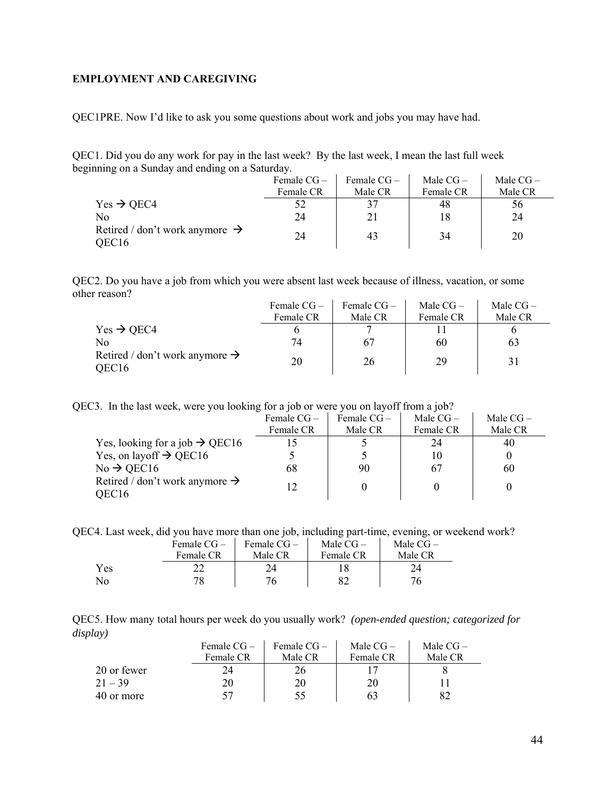#### <span id="page-43-0"></span>**EMPLOYMENT AND CAREGIVING**

QEC1PRE. Now I'd like to ask you some questions about work and jobs you may have had.

QEC1. Did you do any work for pay in the last week? By the last week, I mean the last full week beginning on a Sunday and ending on a Saturday.

|                                                                 | Female $CG-$ | Female $CG -$ | Male $CG-$ | Male $CG-$ |
|-----------------------------------------------------------------|--------------|---------------|------------|------------|
|                                                                 | Female CR    | Male CR       | Female CR  | Male CR    |
| $Yes \rightarrow QEC4$                                          | 52           | 37            | 48         | 56         |
| Nο                                                              | 24           | 21            | 18         | 24         |
| Retired / don't work anymore $\rightarrow$<br>OEC <sub>16</sub> | 24           | 43            | 34         | 20         |

QEC2. Do you have a job from which you were absent last week because of illness, vacation, or some other reason?  $\Gamma$  Female CC  $\Gamma$  $\mathbf{I}$ 

|                                                                 | Female $CG -$ | Female $CG -$ | Male $CG-$ | Male $CG-$ |
|-----------------------------------------------------------------|---------------|---------------|------------|------------|
|                                                                 | Female CR     | Male CR       | Female CR  | Male CR    |
| $Yes \rightarrow QEC4$                                          |               |               |            |            |
| No                                                              | 74            | 67            | 60         | 63         |
| Retired / don't work anymore $\rightarrow$<br>OEC <sub>16</sub> | 20            | 26            | 29         |            |

QEC3. In the last week, were you looking for a job or were you on layoff from a job?

|                                            | Female $CG -$ | Female $CG-$ | Male $CG-$ | Male $CG-$ |
|--------------------------------------------|---------------|--------------|------------|------------|
|                                            | Female CR     | Male CR      | Female CR  | Male CR    |
| Yes, looking for a job $\rightarrow$ QEC16 |               |              | 24         | 40         |
| Yes, on layoff $\rightarrow$ QEC16         |               |              |            |            |
| $No \rightarrow$ QEC16                     | 68            | 90           | 67         | 60         |
| Retired / don't work anymore $\rightarrow$ |               |              |            |            |
| OEC16                                      |               |              |            |            |

QEC4. Last week, did you have more than one job, including part-time, evening, or weekend work?

|     | Female $CG-$ | Female $CG-$ | Male $CG-$ | Male $CG-$ |
|-----|--------------|--------------|------------|------------|
|     | Female CR    | Male CR      | Female CR  | Male CR    |
| Yes |              |              |            |            |
| No  | 78           | 76           |            |            |

QEC5. How many total hours per week do you usually work? *(open-ended question; categorized for display)* 

|             | Female $CG-$<br>Female CR | Female $CG-$<br>Male CR | Male $CG-$<br>Female CR | Male $CG-$<br>Male CR |
|-------------|---------------------------|-------------------------|-------------------------|-----------------------|
| 20 or fewer |                           |                         |                         |                       |
| $21 - 39$   |                           | 20                      | 20                      |                       |
| 40 or more  |                           |                         |                         |                       |

 $\mathcal{L}$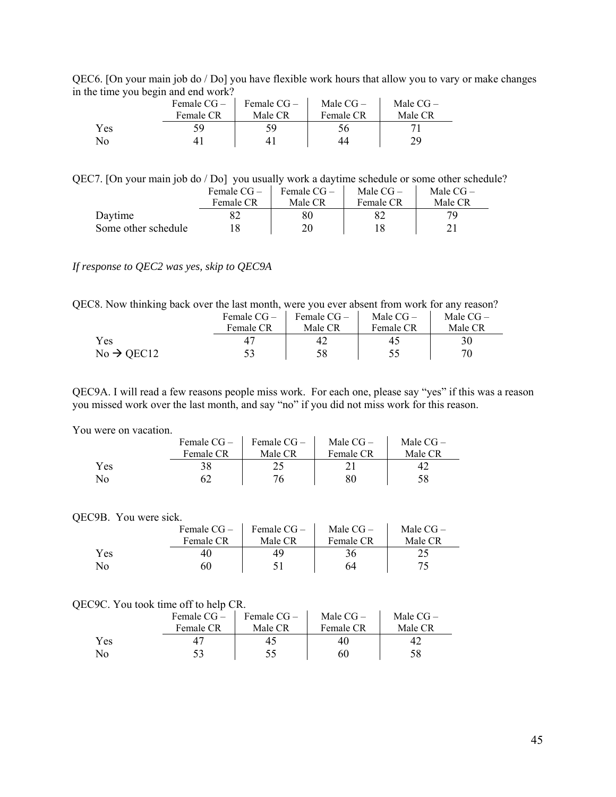| QEC6. [On your main job do / Do] you have flexible work hours that allow you to vary or make changes |  |  |
|------------------------------------------------------------------------------------------------------|--|--|
| in the time you begin and end work?                                                                  |  |  |

|     | ຼ | Female $CG-$ | Female CG- | Male $CG-$ | Male $CG-$ |
|-----|---|--------------|------------|------------|------------|
|     |   | Female CR    | Male CR    | Female CR  | Male CR    |
| Yes |   | 59           |            |            |            |
| No  |   |              |            |            | 79         |

QEC7. [On your main job do / Do] you usually work a daytime schedule or some other schedule?

|                     | Female $CG-$ | Female $CG-$ | Male $CG-$ | Male $CG-$ |
|---------------------|--------------|--------------|------------|------------|
|                     | Female CR    | Male CR      | Female CR  | Male CR    |
| Daytime             |              |              |            |            |
| Some other schedule |              |              |            |            |

## *If response to QEC2 was yes, skip to QEC9A*

QEC8. Now thinking back over the last month, were you ever absent from work for any reason?

|                        | Female $CG-$ | Female $CG-$ | Male $CG-$ | Male $CG-$ |
|------------------------|--------------|--------------|------------|------------|
|                        | Female CR    | Male CR      | Female CR  | Male CR    |
| Yes                    |              |              | 45         | 30         |
| $No \rightarrow$ OEC12 |              | 58           |            |            |

QEC9A. I will read a few reasons people miss work. For each one, please say "yes" if this was a reason you missed work over the last month, and say "no" if you did not miss work for this reason.

#### You were on vacation.

|                | Female $CG-$ | Female $CG-$ | Male $CG-$ | Male $CG-$ |
|----------------|--------------|--------------|------------|------------|
|                | Female CR    | Male CR      | Female CR  | Male CR    |
| Yes            | 38           |              |            |            |
| N <sub>0</sub> |              | 76           | 80         | 58         |

#### QEC9B. You were sick.

|     | Female $CG-$ | Female CG- | Male $CG-$ | Male $CG-$ |
|-----|--------------|------------|------------|------------|
|     | Female CR    | Male CR    | Female CR  | Male CR    |
| Yes |              | 49         |            |            |
| No  | 60           |            | 64         |            |

## QEC9C. You took time off to help CR.

|     | Female $CG-$ | Female $CG-$ | Male $CG-$ | Male $CG-$ |
|-----|--------------|--------------|------------|------------|
|     | Female CR    | Male CR      | Female CR  | Male CR    |
| Yes |              |              | 40         |            |
| No. |              |              | 60         | 58         |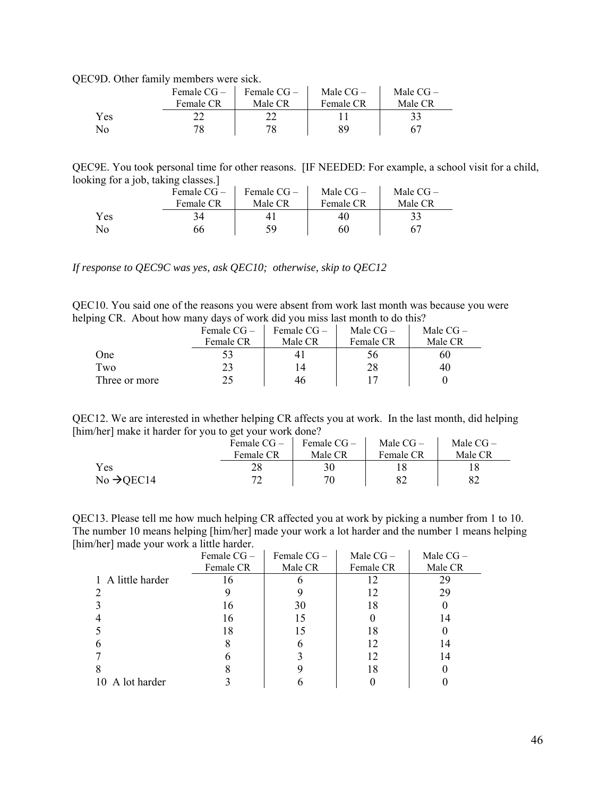QEC9D. Other family members were sick.

|     | Female $CG-$ | Female CG – | Male $CG-$ | Male $CG-$ |
|-----|--------------|-------------|------------|------------|
|     | Female CR    | Male CR     | Female CR  | Male CR    |
| Yes |              |             |            |            |
| No  |              |             |            |            |

QEC9E. You took personal time for other reasons. [IF NEEDED: For example, a school visit for a child, looking for a job, taking classes.]

|     | Female $CG-$ | Female $CG-$ | Male $CG-$ | Male $CG-$ |
|-----|--------------|--------------|------------|------------|
|     | Female CR    | Male CR      | Female CR  | Male CR    |
| Yes |              |              |            |            |
| No  | 66           | 59           | 60         |            |

*If response to QEC9C was yes, ask QEC10; otherwise, skip to QEC12* 

QEC10. You said one of the reasons you were absent from work last month was because you were helping CR. About how many days of work did you miss last month to do this?

| ້             | Female CG- | Female CG-     | Male $CG-$   | Male $CG-$ |
|---------------|------------|----------------|--------------|------------|
|               | Female CR  | Male CR        | Female CR    | Male CR    |
| One           |            |                | $50^{\circ}$ | 60         |
| Two           | 23         | $\overline{4}$ | 28           | 40         |
| Three or more |            | 46             |              |            |

QEC12. We are interested in whether helping CR affects you at work. In the last month, did helping [him/her] make it harder for you to get your work done?

|                        | Female CG – | $\blacksquare$ Female CG $-$ | Male $CG-$ | Male $CG-$ |
|------------------------|-------------|------------------------------|------------|------------|
|                        | Female CR   | Male CR                      | Female CR  | Male CR    |
| Yes                    |             |                              |            |            |
| No $\rightarrow$ QEC14 |             |                              |            |            |

QEC13. Please tell me how much helping CR affected you at work by picking a number from 1 to 10. The number 10 means helping [him/her] made your work a lot harder and the number 1 means helping [him/her] made your work a little harder.  $\mathcal{L}$  $\mathbf{r}$ 

|                   | Female CG- | Female CG- | Male $CG-$ | Male CG- |
|-------------------|------------|------------|------------|----------|
|                   | Female CR  | Male CR    | Female CR  | Male CR  |
| 1 A little harder | 16         |            | 12         | 29       |
|                   |            |            | 12         | 29       |
|                   | 16         | 30         | 18         |          |
|                   | 16         | 15         |            | 14       |
|                   | 18         | 15         | 18         |          |
|                   |            |            | 12         | 14       |
|                   |            |            | 12         | 14       |
|                   |            |            | 18         |          |
| 10 A lot harder   |            |            |            |          |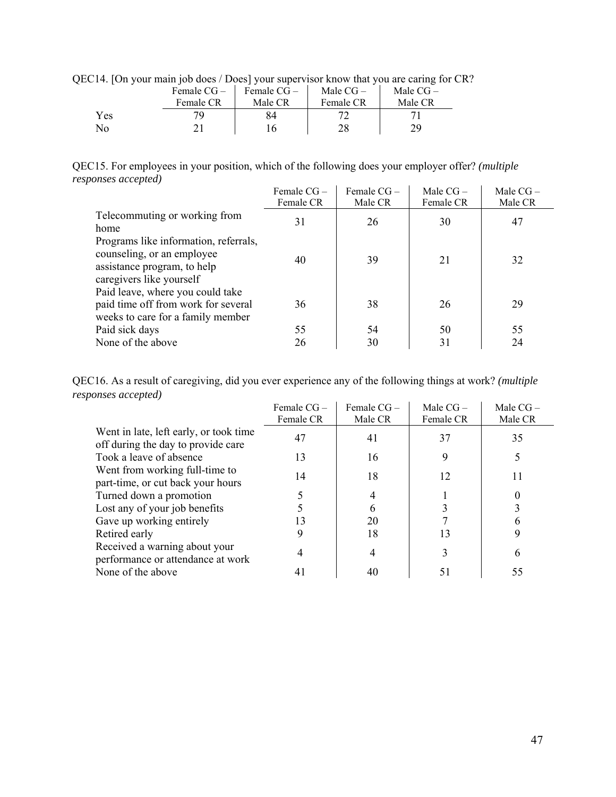| QEC14. [On your main job does / Does] your supervisor know that you are caring for CR? |                                                                             |  |
|----------------------------------------------------------------------------------------|-----------------------------------------------------------------------------|--|
|                                                                                        | Female $CG = \perp$ Female $CG = \perp$ Male $CG = \perp$ Male $CG = \perp$ |  |

|     | Female $CG-$ | Female $CG-$ | Male $CG-$ | Male $CG-$ |
|-----|--------------|--------------|------------|------------|
|     | Female CR    | Male CR      | Female CR  | Male CR    |
| Yes |              | 84           |            |            |
| No  |              |              | 28         | 20         |

QEC15. For employees in your position, which of the following does your employer offer? *(multiple responses accepted)*

|                                                                                                                                | Female $CG-$ | Female $CG-$ | Male $CG -$ | Male $CG-$ |
|--------------------------------------------------------------------------------------------------------------------------------|--------------|--------------|-------------|------------|
|                                                                                                                                | Female CR    | Male CR      | Female CR   | Male CR    |
| Telecommuting or working from                                                                                                  | 31           | 26           | 30          | 47         |
| home                                                                                                                           |              |              |             |            |
| Programs like information, referrals,<br>counseling, or an employee<br>assistance program, to help<br>caregivers like yourself | 40           | 39           | 21          | 32         |
| Paid leave, where you could take<br>paid time off from work for several<br>weeks to care for a family member                   | 36           | 38           | 26          | 29         |
| Paid sick days                                                                                                                 | 55           | 54           | 50          | 55         |
| None of the above                                                                                                              | 26           | 30           | 31          | 24         |

QEC16. As a result of caregiving, did you ever experience any of the following things at work? *(multiple responses accepted)*

|                                                                              | Female $CG-$ | Female CG- | Male $CG-$ | Male $CG -$ |
|------------------------------------------------------------------------------|--------------|------------|------------|-------------|
|                                                                              | Female CR    | Male CR    | Female CR  | Male CR     |
| Went in late, left early, or took time<br>off during the day to provide care | 47           | 41         | 37         | 35          |
| Took a leave of absence                                                      | 13           | 16         | 9          |             |
| Went from working full-time to<br>part-time, or cut back your hours          | 14           | 18         | 12         |             |
| Turned down a promotion                                                      |              |            |            |             |
| Lost any of your job benefits                                                |              | h          |            |             |
| Gave up working entirely                                                     | 13           | 20         |            |             |
| Retired early                                                                |              | 18         | 13         |             |
| Received a warning about your<br>performance or attendance at work           |              |            |            | 6           |
| None of the above                                                            |              | 40         |            | 55          |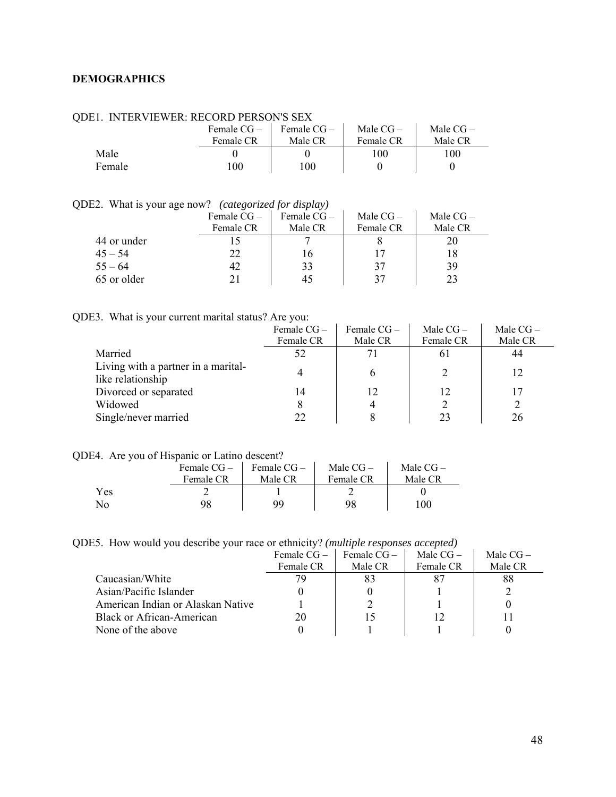## <span id="page-47-0"></span>**DEMOGRAPHICS**

|        | Female $CG-$<br>Female CR | Female $CG-$<br>Male CR | Male $CG-$<br>Female CR | Male $CG-$<br>Male CR |
|--------|---------------------------|-------------------------|-------------------------|-----------------------|
| Male   |                           |                         | 100                     | 100                   |
| Female | $100\,$                   | -00                     |                         |                       |

## QDE1. INTERVIEWER: RECORD PERSON'S SEX

QDE2. What is your age now? *(categorized for display)* 

| Male $CG-$ | Male $CG-$ |
|------------|------------|
|            |            |
| Female CR  | Male CR    |
|            |            |
|            | 18         |
| 37         | 39         |
| 37         | 23         |
|            |            |

## QDE3. What is your current marital status? Are you:

|                                                          | Female $CG -$<br>Female CR | Female $CG -$<br>Male CR | Male $CG -$<br>Female CR | Male $CG-$<br>Male CR |
|----------------------------------------------------------|----------------------------|--------------------------|--------------------------|-----------------------|
| Married                                                  | 52                         |                          | 0 I                      | 44                    |
| Living with a partner in a marital-<br>like relationship |                            | h                        |                          |                       |
| Divorced or separated                                    | 14                         | 12                       | 12                       |                       |
| Widowed                                                  | 8                          |                          |                          |                       |
| Single/never married                                     | 22                         |                          |                          | 26                    |

## QDE4. Are you of Hispanic or Latino descent?

|                | Female CG – | Female $CG-$ | Male $CG-$ | Male $CG-$       |
|----------------|-------------|--------------|------------|------------------|
|                | Female CR   | Male CR      | Female CR  | Male CR          |
| Yes            |             |              |            |                  |
| N <sub>0</sub> |             | aa           | 98         | 100 <sub>1</sub> |

QDE5. How would you describe your race or ethnicity? *(multiple responses accepted)* 

|                                   | Female $CG -$ | Female $CG-$ | Male $CG-$ | Male $CG-$ |
|-----------------------------------|---------------|--------------|------------|------------|
|                                   | Female CR     | Male CR      | Female CR  | Male CR    |
| Caucasian/White                   | 70            | 83           |            | 88         |
| Asian/Pacific Islander            |               |              |            |            |
| American Indian or Alaskan Native |               |              |            |            |
| Black or African-American         | 20            |              |            |            |
| None of the above                 |               |              |            |            |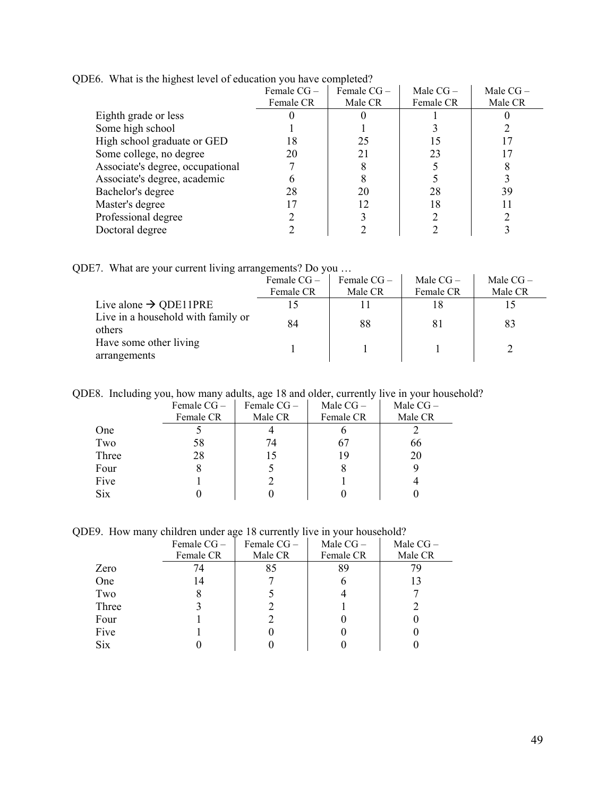| 7                                | Female $CG-$ | Female $CG-$ | Male $CG-$ | Male $CG-$ |
|----------------------------------|--------------|--------------|------------|------------|
|                                  | Female CR    | Male CR      | Female CR  | Male CR    |
| Eighth grade or less             |              |              |            |            |
| Some high school                 |              |              |            |            |
| High school graduate or GED      | 18           | 25           |            |            |
| Some college, no degree          | 20           |              | 23         |            |
| Associate's degree, occupational |              |              |            |            |
| Associate's degree, academic     |              |              |            |            |
| Bachelor's degree                | 28           | 20           | 28         | 39         |
| Master's degree                  |              |              | 18         |            |
| Professional degree              |              |              |            |            |
| Doctoral degree                  |              |              |            |            |

QDE6. What is the highest level of education you have completed?

QDE7. What are your current living arrangements? Do you …

|                                              | Female $CG-$<br>Female CR | Female $CG-$<br>Male CR | Male $CG-$<br>Female CR | Male $CG-$<br>Male CR |
|----------------------------------------------|---------------------------|-------------------------|-------------------------|-----------------------|
| Live alone $\rightarrow$ QDE11PRE            |                           |                         | 18                      |                       |
| Live in a household with family or<br>others | 84                        | 88                      | -81                     | 83                    |
| Have some other living<br>arrangements       |                           |                         |                         |                       |

QDE8. Including you, how many adults, age 18 and older, currently live in your household?

|            | Female $CG -$ | Female $CG -$ | Male $CG-$ | Male $CG-$ |
|------------|---------------|---------------|------------|------------|
|            | Female CR     | Male CR       | Female CR  | Male CR    |
| One        |               |               |            |            |
| Two        | 58            | 74            |            | 66         |
| Three      | 28            | 15            | 19         | 20         |
| Four       |               |               |            |            |
| Five       |               |               |            |            |
| <b>Six</b> |               |               |            |            |

QDE9. How many children under age 18 currently live in your household?

|            | Female CG- | Female CG- | Male $CG-$ | Male $CG-$ |
|------------|------------|------------|------------|------------|
|            | Female CR  | Male CR    | Female CR  | Male CR    |
| Zero       | 74         | 85         | 89         |            |
| One        | 14         |            |            | 13         |
| Two        |            |            |            |            |
| Three      |            |            |            |            |
| Four       |            |            |            |            |
| Five       |            |            |            |            |
| <b>Six</b> |            |            |            |            |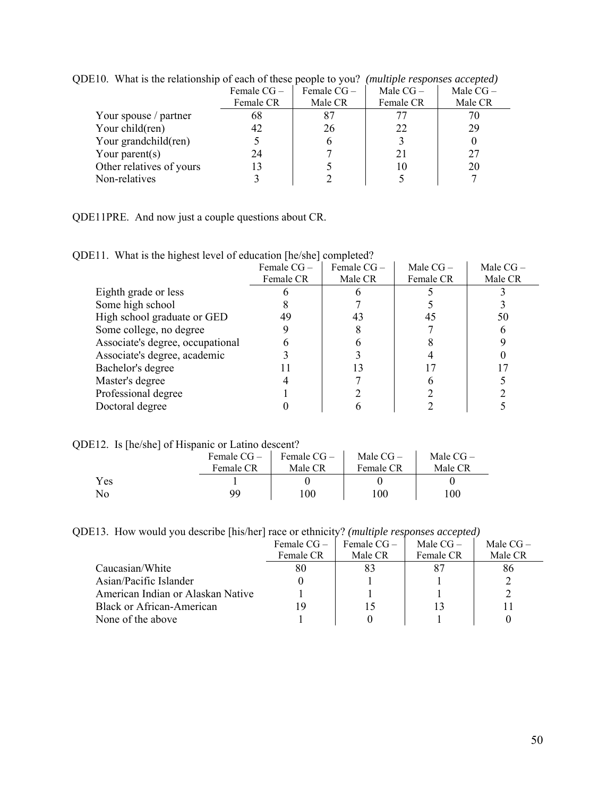| $\mu$ and $\mu$ and $\mu$ is the complete that the control of the control $\mu$ and $\mu$ |              |              | $\mu$      |            |
|-------------------------------------------------------------------------------------------|--------------|--------------|------------|------------|
|                                                                                           | Female $CG-$ | Female $CG-$ | Male $CG-$ | Male $CG-$ |
|                                                                                           | Female CR    | Male CR      | Female CR  | Male CR    |
| Your spouse / partner                                                                     | 68           |              |            |            |
| Your child(ren)                                                                           | 42           | 26           | 22         | 29         |
| Your grandchild(ren)                                                                      |              |              |            |            |
| Your parent $(s)$                                                                         | 24           |              | 21         | 27         |
| Other relatives of yours                                                                  | 13           |              | 10         | 20         |
| Non-relatives                                                                             |              |              |            |            |
|                                                                                           |              |              |            |            |

QDE10. What is the relationship of each of these people to you? *(multiple responses accepted)* 

QDE11PRE. And now just a couple questions about CR.

QDE11. What is the highest level of education [he/she] completed?

|                                  | Female $CG-$ | Female $CG-$ | Male $CG-$ | Male $CG-$ |
|----------------------------------|--------------|--------------|------------|------------|
|                                  | Female CR    | Male CR      | Female CR  | Male CR    |
| Eighth grade or less             |              |              |            |            |
| Some high school                 |              |              |            |            |
| High school graduate or GED      | 49           | 43           | 45         | 50         |
| Some college, no degree          |              |              |            |            |
| Associate's degree, occupational |              |              |            |            |
| Associate's degree, academic     |              |              |            |            |
| Bachelor's degree                |              |              |            |            |
| Master's degree                  |              |              |            |            |
| Professional degree              |              |              |            |            |
| Doctoral degree                  |              |              |            |            |

QDE12. Is [he/she] of Hispanic or Latino descent?

|           | Female $CG-$<br>Female CR | Female $CG -$<br>Male CR | Male $CG-$<br>Female CR | Male $CG-$<br>Male CR |  |
|-----------|---------------------------|--------------------------|-------------------------|-----------------------|--|
| Yes<br>No | qq                        | 100                      | 100                     | 100                   |  |

QDE13. How would you describe [his/her] race or ethnicity? *(multiple responses accepted)*

|                                   | Female $CG-$ | Female $CG-$ | Male $CG-$ | Male $CG-$ |
|-----------------------------------|--------------|--------------|------------|------------|
|                                   | Female CR    | Male CR      | Female CR  | Male CR    |
| Caucasian/White                   | 80           | 83           |            | 86         |
| Asian/Pacific Islander            |              |              |            |            |
| American Indian or Alaskan Native |              |              |            |            |
| <b>Black or African-American</b>  | 19           |              |            |            |
| None of the above                 |              |              |            |            |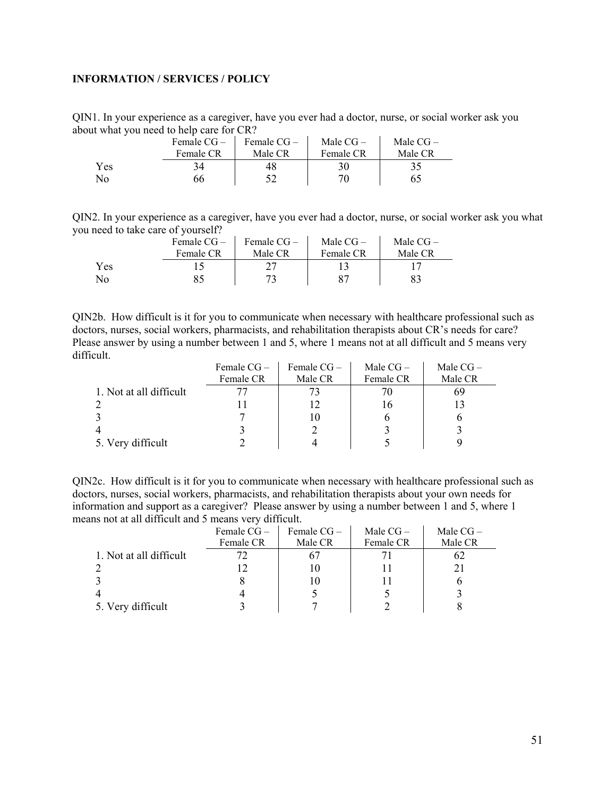## <span id="page-50-0"></span>**INFORMATION / SERVICES / POLICY**

QIN1. In your experience as a caregiver, have you ever had a doctor, nurse, or social worker ask you about what you need to help care for CR?

|     | Female CG- | Female $CG -$ | Male $CG-$ | Male $CG-$ |
|-----|------------|---------------|------------|------------|
|     | Female CR  | Male CR       | Female CR  | Male CR    |
| Yes | 34         | 48.           | 30         |            |
| No  | 66         |               |            | 65         |

QIN2. In your experience as a caregiver, have you ever had a doctor, nurse, or social worker ask you what you need to take care of yourself?

|     | Female CG- | Female CG- | Male $CG-$ | Male $CG-$ |
|-----|------------|------------|------------|------------|
|     | Female CR  | Male CR    | Female CR  | Male CR    |
| Yes |            |            |            |            |
| No  |            |            |            |            |

QIN2b. How difficult is it for you to communicate when necessary with healthcare professional such as doctors, nurses, social workers, pharmacists, and rehabilitation therapists about CR's needs for care? Please answer by using a number between 1 and 5, where 1 means not at all difficult and 5 means very difficult.  $\mathcal{L}^{\mathcal{L}}$  $\mathcal{L}_{\mathcal{A}}$ 

|                         | Female $CG-$ | Female $CG-$ | Male $CG-$ | Male $CG-$ |
|-------------------------|--------------|--------------|------------|------------|
|                         | Female CR    | Male CR      | Female CR  | Male CR    |
| 1. Not at all difficult |              |              |            | 69         |
|                         |              |              | I b        |            |
|                         |              |              |            |            |
|                         |              |              |            |            |
| 5. Very difficult       |              |              |            |            |

QIN2c. How difficult is it for you to communicate when necessary with healthcare professional such as doctors, nurses, social workers, pharmacists, and rehabilitation therapists about your own needs for information and support as a caregiver? Please answer by using a number between 1 and 5, where 1 means not at all difficult and 5 means very difficult.

|                         | Female $CG -$ | Female $CG-$ | Male $CG-$ | Male $CG-$ |
|-------------------------|---------------|--------------|------------|------------|
|                         | Female CR     | Male CR      | Female CR  | Male CR    |
| 1. Not at all difficult | 72.           |              |            | ΩŹ         |
|                         |               | 10           |            |            |
|                         |               |              |            |            |
|                         |               |              |            |            |
| 5. Very difficult       |               |              |            |            |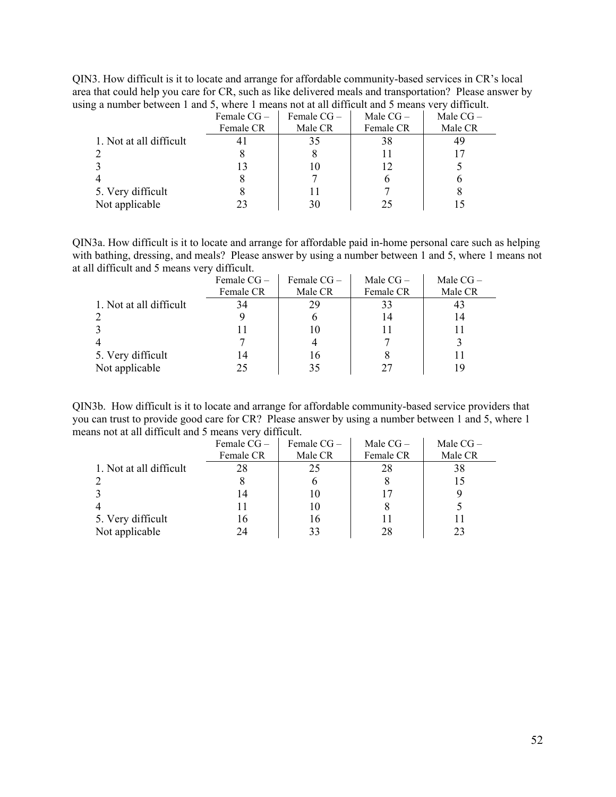QIN3. How difficult is it to locate and arrange for affordable community-based services in CR's local area that could help you care for CR, such as like delivered meals and transportation? Please answer by using a number between 1 and 5, where 1 means not at all difficult and 5 means very difficult.

|                          | Female CG- | Female $CG-$ | Male $CG-$ | Male $CG-$ |
|--------------------------|------------|--------------|------------|------------|
|                          | Female CR  | Male CR      | Female CR  | Male CR    |
| 1. Not at all difficult  |            | 35           | 38         | 49         |
| 2                        |            |              |            |            |
|                          |            |              | 12         |            |
| $\overline{\mathcal{A}}$ |            |              |            |            |
| 5. Very difficult        |            |              |            |            |
| Not applicable           |            | 30           | 25         |            |

QIN3a. How difficult is it to locate and arrange for affordable paid in-home personal care such as helping with bathing, dressing, and meals? Please answer by using a number between 1 and 5, where 1 means not at all difficult and 5 means very difficult.

|                         | Female $CG-$<br>Female CR | Female $CG-$<br>Male CR | Male $CG-$<br>Female CR | Male $CG-$<br>Male CR |
|-------------------------|---------------------------|-------------------------|-------------------------|-----------------------|
| 1. Not at all difficult | 34                        | 29                      | 33                      |                       |
|                         |                           |                         | 14                      | 14                    |
|                         |                           |                         | 11                      |                       |
|                         |                           |                         |                         |                       |
| 5. Very difficult       | 14                        | 16                      |                         |                       |
| Not applicable          | 25                        |                         | 27                      | 19                    |

QIN3b. How difficult is it to locate and arrange for affordable community-based service providers that you can trust to provide good care for CR? Please answer by using a number between 1 and 5, where 1 means not at all difficult and 5 means very difficult.

|                         | Female $CG-$ | Female $CG-$ | Male $CG-$ | Male $CG-$ |
|-------------------------|--------------|--------------|------------|------------|
|                         | Female CR    | Male CR      | Female CR  | Male CR    |
| 1. Not at all difficult | 28           | 25           | 28         | 38         |
|                         |              |              |            | 15         |
|                         | 14           |              | 17         |            |
|                         |              |              |            |            |
| 5. Very difficult       | 16           | 16           |            |            |
| Not applicable          | 24           |              | 28         | 23         |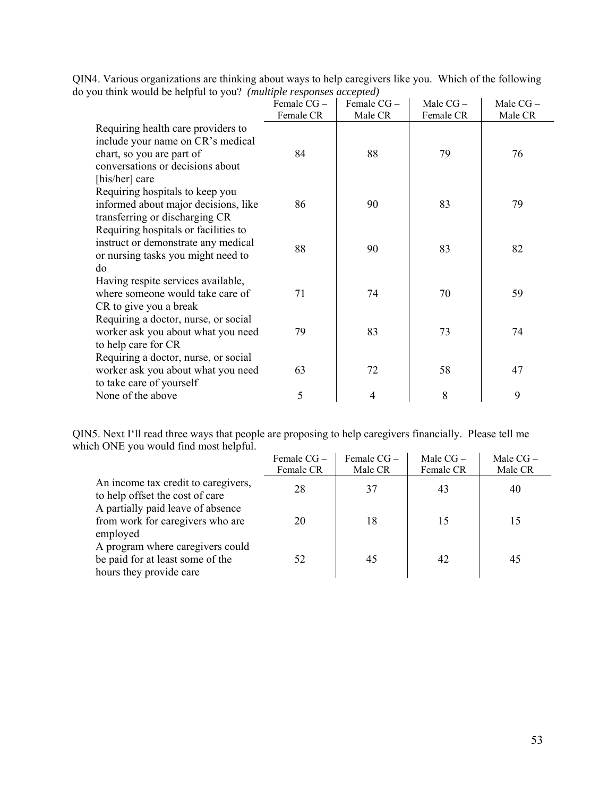|                                                                                                                                                            | Female CG- | Female CG- | Male $CG-$ | Male CG- |
|------------------------------------------------------------------------------------------------------------------------------------------------------------|------------|------------|------------|----------|
|                                                                                                                                                            | Female CR  | Male CR    | Female CR  | Male CR  |
| Requiring health care providers to<br>include your name on CR's medical<br>chart, so you are part of<br>conversations or decisions about<br>[his/her] care | 84         | 88         | 79         | 76       |
| Requiring hospitals to keep you<br>informed about major decisions, like<br>transferring or discharging CR                                                  | 86         | 90         | 83         | 79       |
| Requiring hospitals or facilities to<br>instruct or demonstrate any medical<br>or nursing tasks you might need to<br>do                                    | 88         | 90         | 83         | 82       |
| Having respite services available,<br>where someone would take care of<br>CR to give you a break                                                           | 71         | 74         | 70         | 59       |
| Requiring a doctor, nurse, or social<br>worker ask you about what you need<br>to help care for CR                                                          | 79         | 83         | 73         | 74       |
| Requiring a doctor, nurse, or social<br>worker ask you about what you need<br>to take care of yourself                                                     | 63         | 72         | 58         | 47       |
| None of the above                                                                                                                                          | 5          | 4          | 8          | 9        |

QIN4. Various organizations are thinking about ways to help caregivers like you. Which of the following do you think would be helpful to you? *(multiple responses accepted)* 

QIN5. Next I'll read three ways that people are proposing to help caregivers financially. Please tell me which ONE you would find most helpful.

|                                                                                                 | Female $CG-$<br>Female CR | Female $CG-$<br>Male CR | Male $CG -$<br>Female CR | Male $CG-$<br>Male CR |
|-------------------------------------------------------------------------------------------------|---------------------------|-------------------------|--------------------------|-----------------------|
| An income tax credit to caregivers,<br>to help offset the cost of care                          | 28                        | 37                      | 43                       | 40                    |
| A partially paid leave of absence<br>from work for caregivers who are<br>employed               | 20                        | 18                      | 15                       | 15                    |
| A program where caregivers could<br>be paid for at least some of the<br>hours they provide care | 52                        | 45                      | 42                       | 45                    |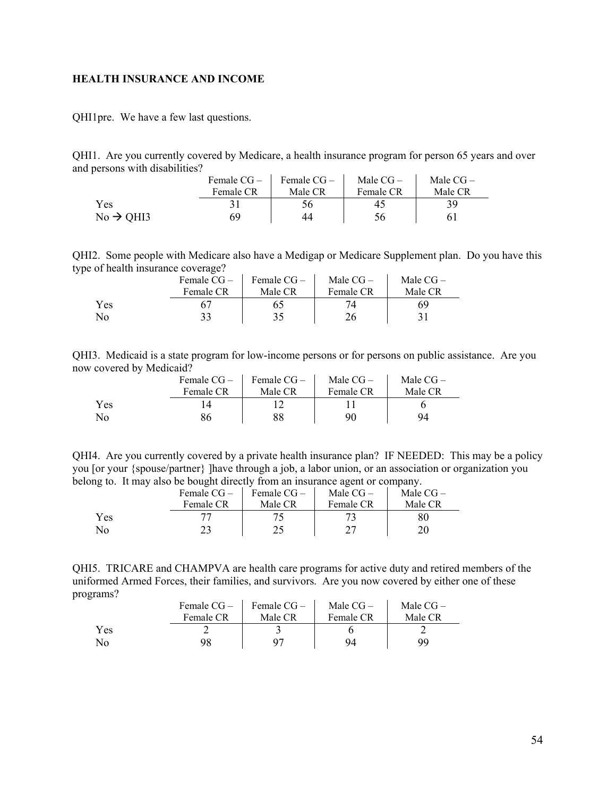#### <span id="page-53-0"></span>**HEALTH INSURANCE AND INCOME**

QHI1pre. We have a few last questions.

QHI1. Are you currently covered by Medicare, a health insurance program for person 65 years and over and persons with disabilities?

|                       | Female $CG-$ | Female $CG-$ | Male $CG-$ | Male $CG-$ |
|-----------------------|--------------|--------------|------------|------------|
|                       | Female CR    | Male CR      | Female CR  | Male CR    |
| Yes                   |              | 56           | 45         | 39         |
| $No \rightarrow OH13$ | 69           | 44           | 56         | 61         |

QHI2. Some people with Medicare also have a Medigap or Medicare Supplement plan. Do you have this type of health insurance coverage?

|                | Female $CG-$ | Female $CG-$ | Male $CG-$ | Male $CG-$ |
|----------------|--------------|--------------|------------|------------|
|                | Female CR    | Male CR      | Female CR  | Male CR    |
| Yes            |              |              |            | 69         |
| N <sub>o</sub> | 33           | 35           | 26         |            |

QHI3. Medicaid is a state program for low-income persons or for persons on public assistance. Are you now covered by Medicaid?

|     | Female $CG-$ | Female $CG-$ | Male $CG-$ | Male $CG-$ |
|-----|--------------|--------------|------------|------------|
|     | Female CR    | Male CR      | Female CR  | Male CR    |
| Yes |              |              |            |            |
| No  | 86           |              | 90         | 94         |

QHI4. Are you currently covered by a private health insurance plan? IF NEEDED: This may be a policy you [or your {spouse/partner} ]have through a job, a labor union, or an association or organization you belong to. It may also be bought directly from an insurance agent or company.

|     | Female $CG -$ | Female $CG-$ | Male $CG-$ | Male $CG-$ |
|-----|---------------|--------------|------------|------------|
|     | Female CR     | Male CR      | Female CR  | Male CR    |
| Yes |               |              |            | 80         |
| No  |               |              |            | 20         |

QHI5. TRICARE and CHAMPVA are health care programs for active duty and retired members of the uniformed Armed Forces, their families, and survivors. Are you now covered by either one of these programs?  $\mathbf{A}^{\text{out}}$  $\sim 10^6$ 

|     | Female CG – | Female $CG-$ | Male $CG-$ | Male $CG-$ |
|-----|-------------|--------------|------------|------------|
|     | Female CR   | Male CR      | Female CR  | Male CR    |
| Yes |             |              |            |            |
| No  | 98          |              | 94         | QQ         |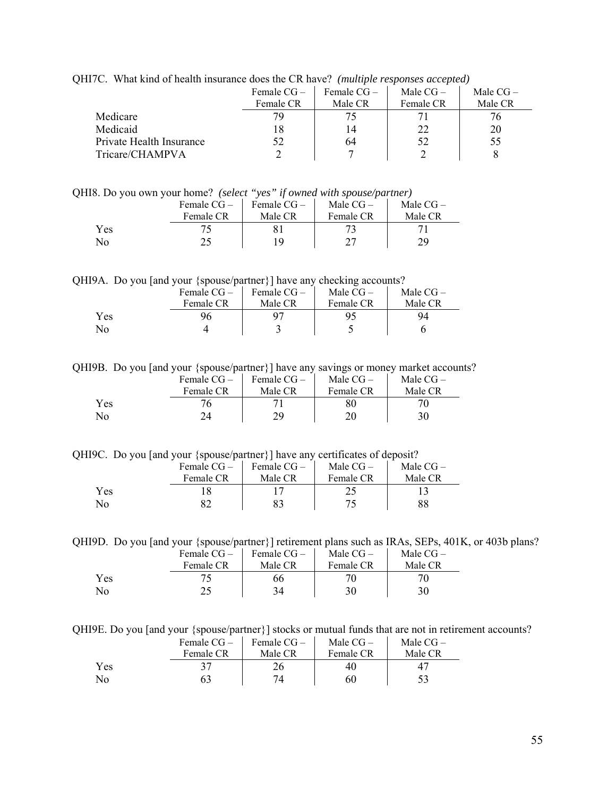| $\mathbf{m}$ . That kind of nearly modulated does the OR have. Thumpic responses accepted |              |               |            |            |
|-------------------------------------------------------------------------------------------|--------------|---------------|------------|------------|
|                                                                                           | Female $CG-$ | Female $CG -$ | Male $CG-$ | Male $CG-$ |
|                                                                                           | Female CR    | Male CR       | Female CR  | Male CR    |
| Medicare                                                                                  |              |               |            | 76         |
| Medicaid                                                                                  |              | 14            | 22.        | 20         |
| Private Health Insurance                                                                  |              | 64            | 52         | 55         |
| Tricare/CHAMPVA                                                                           |              |               |            |            |
|                                                                                           |              |               |            |            |

QHI7C. What kind of health insurance does the CR have? *(multiple responses accepted)*

QHI8. Do you own your home? *(select "yes" if owned with spouse/partner)* 

|     | Female $CG-$ | Female $CG-$ | Male $CG-$ | Male $CG-$ |
|-----|--------------|--------------|------------|------------|
|     | Female CR    | Male CR      | Female CR  | Male CR    |
| Yes |              |              |            |            |
| No  |              | ١Q           | າາ         | 79.        |

QHI9A. Do you [and your {spouse/partner}] have any checking accounts?

|     | Female $CG-$ | Female $CG-$ | Male $CG-$ | Male $CG-$ |
|-----|--------------|--------------|------------|------------|
|     | Female CR    | Male CR      | Female CR  | Male CR    |
| Yes |              |              |            | 94         |
| No  |              |              |            |            |

QHI9B. Do you [and your {spouse/partner}] have any savings or money market accounts?

|     | Female $CG-$ | Female $CG-$ | Male $CG-$ | Male $CG-$ |
|-----|--------------|--------------|------------|------------|
|     | Female CR    | Male CR      | Female CR  | Male CR    |
| Yes |              |              |            | 70         |
| No  |              | 29           | 20         | 30         |

QHI9C. Do you [and your {spouse/partner}] have any certificates of deposit?

|     | Female $CG-$ | Female $CG-$ | Male $CG-$ | Male $CG-$ |
|-----|--------------|--------------|------------|------------|
|     | Female CR    | Male CR      | Female CR  | Male CR    |
| Yes |              |              |            |            |
| No  |              |              |            |            |

QHI9D. Do you [and your {spouse/partner}] retirement plans such as IRAs, SEPs, 401K, or 403b plans?

|     | Female $CG-$ | Female $CG-$ | Male $CG-$ | Male $CG-$ |  |
|-----|--------------|--------------|------------|------------|--|
|     | Female CR    | Male CR      | Female CR  | Male CR    |  |
| Yes | 75           | 66           |            |            |  |
| No  | 25           | 34           | 30         | 30         |  |

QHI9E. Do you [and your {spouse/partner}] stocks or mutual funds that are not in retirement accounts?

|     | Female $CG-$ | Female $CG-$ | Male $CG-$ | Male $CG-$     |  |
|-----|--------------|--------------|------------|----------------|--|
|     | Female CR    | Male CR      | Female CR  | Male CR        |  |
| Yes | 37           |              | 40         | 4 <sup>7</sup> |  |
| No  |              | 74           | 60         |                |  |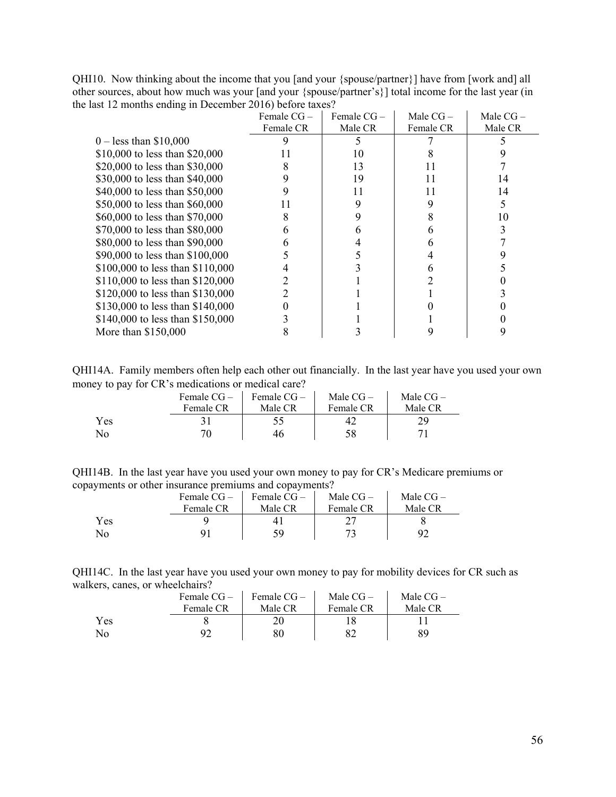QHI10. Now thinking about the income that you [and your {spouse/partner}] have from [work and] all other sources, about how much was your [and your {spouse/partner's}] total income for the last year (in the last 12 months ending in December 2016) before taxes?

|                                  | Female $CG-$ | Female $CG-$ | Male $CG-$ | Male $CG-$ |
|----------------------------------|--------------|--------------|------------|------------|
|                                  | Female CR    | Male CR      | Female CR  | Male CR    |
| $0 -$ less than \$10,000         |              |              |            |            |
| \$10,000 to less than \$20,000   | 11           | 10           |            |            |
| \$20,000 to less than \$30,000   | 8            | 13           | 11         |            |
| \$30,000 to less than \$40,000   | 9            | 19           | 11         | 14         |
| \$40,000 to less than \$50,000   |              | 11           | 11         | 14         |
| \$50,000 to less than \$60,000   | 11           | 9            | 9          |            |
| \$60,000 to less than \$70,000   | 8            |              | 8          | 10         |
| \$70,000 to less than \$80,000   | 6            | h            | h          |            |
| \$80,000 to less than \$90,000   | 6            |              |            |            |
| \$90,000 to less than \$100,000  |              |              |            |            |
| \$100,000 to less than \$110,000 |              |              |            |            |
| \$110,000 to less than \$120,000 |              |              |            |            |
| \$120,000 to less than \$130,000 |              |              |            |            |
| \$130,000 to less than \$140,000 |              |              |            |            |
| \$140,000 to less than \$150,000 |              |              |            |            |
| More than \$150,000              |              |              |            |            |

QHI14A. Family members often help each other out financially. In the last year have you used your own money to pay for CR's medications or medical care?

|     | Female CG – | Female CG- | Male $CG-$ | Male $CG-$ |
|-----|-------------|------------|------------|------------|
|     | Female CR   | Male CR    | Female CR  | Male CR    |
| Yes |             |            |            |            |
| No. |             | 46         | 58         |            |

QHI14B. In the last year have you used your own money to pay for CR's Medicare premiums or copayments or other insurance premiums and copayments?

|     | Female $CG-$ | Female $CG-$ | Male $CG-$ | Male $CG-$ |
|-----|--------------|--------------|------------|------------|
|     | Female CR    | Male CR      | Female CR  | Male CR    |
| Yes |              |              |            |            |
| No  |              | 59           |            | 92         |

QHI14C. In the last year have you used your own money to pay for mobility devices for CR such as walkers, canes, or wheelchairs?

|     | Female CG – | Female CG – | Male $CG-$ | Male $CG-$ |
|-----|-------------|-------------|------------|------------|
|     | Female CR   | Male CR     | Female CR  | Male CR    |
| Yes |             |             |            |            |
| No  |             | 80          |            |            |